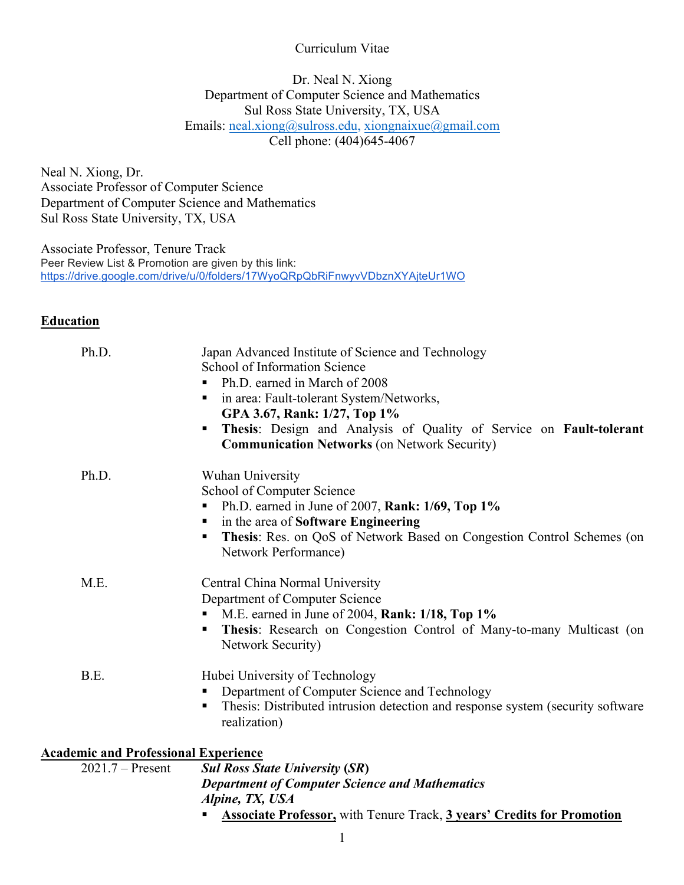#### Curriculum Vitae

Dr. Neal N. Xiong Department of Computer Science and Mathematics Sul Ross State University, TX, USA Emails: neal.xiong@sulross.edu, xiongnaixue@gmail.com Cell phone: (404)645-4067

Neal N. Xiong, Dr. Associate Professor of Computer Science Department of Computer Science and Mathematics Sul Ross State University, TX, USA

Associate Professor, Tenure Track Peer Review List & Promotion are given by this link: https://drive.google.com/drive/u/0/folders/17WyoQRpQbRiFnwyvVDbznXYAjteUr1WO

#### **Education**

|                                                                   | <b>Department of Computer Science and Mathematics</b>                                                                                                                                                                                                                                                                                          |
|-------------------------------------------------------------------|------------------------------------------------------------------------------------------------------------------------------------------------------------------------------------------------------------------------------------------------------------------------------------------------------------------------------------------------|
| <b>Academic and Professional Experience</b><br>$2021.7 -$ Present | <b>Sul Ross State University (SR)</b>                                                                                                                                                                                                                                                                                                          |
| B.E.                                                              | Hubei University of Technology<br>Department of Computer Science and Technology<br>٠<br>Thesis: Distributed intrusion detection and response system (security software<br>٠<br>realization)                                                                                                                                                    |
| M.E.                                                              | Central China Normal University<br>Department of Computer Science<br>• M.E. earned in June of 2004, Rank: 1/18, Top 1%<br>Thesis: Research on Congestion Control of Many-to-many Multicast (on<br><b>Network Security)</b>                                                                                                                     |
| Ph.D.                                                             | Wuhan University<br>School of Computer Science<br>Ph.D. earned in June of 2007, Rank: 1/69, Top 1%<br>in the area of Software Engineering<br>п<br>Thesis: Res. on QoS of Network Based on Congestion Control Schemes (on<br>п<br>Network Performance)                                                                                          |
| Ph.D.                                                             | Japan Advanced Institute of Science and Technology<br>School of Information Science<br>Ph.D. earned in March of 2008<br>п.<br>in area: Fault-tolerant System/Networks,<br>ш<br>GPA 3.67, Rank: 1/27, Top 1%<br>Thesis: Design and Analysis of Quality of Service on Fault-tolerant<br>п<br><b>Communication Networks (on Network Security)</b> |

 *Alpine, TX, USA*

§ **Associate Professor,** with Tenure Track, **3 years' Credits for Promotion**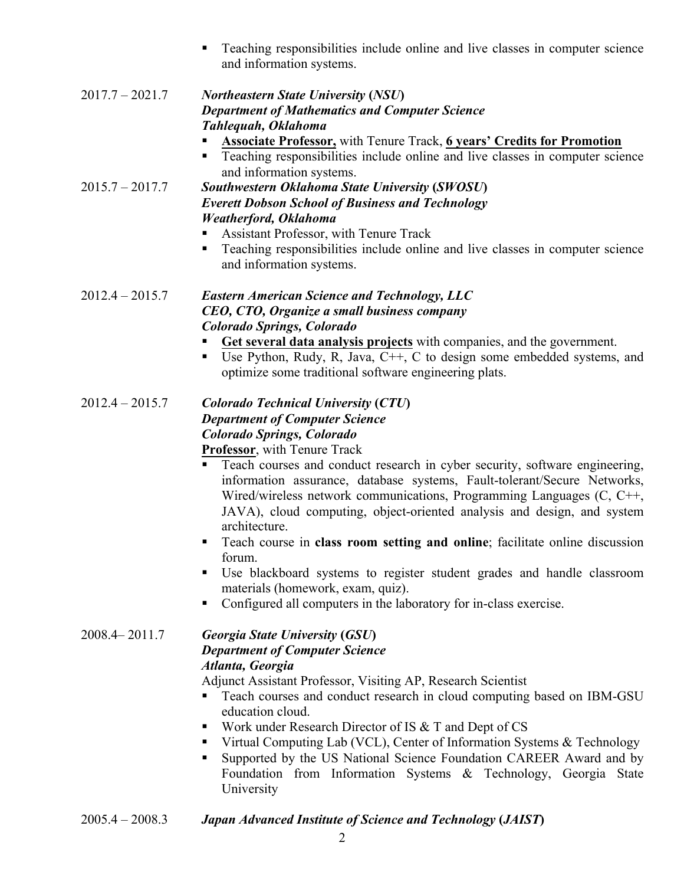■ Teaching responsibilities include online and live classes in computer science and information systems.

# 2017.7 – 2021.7 *Northeastern State University* **(***NSU***)** *Department of Mathematics and Computer Science Tahlequah, Oklahoma*

- § **Associate Professor,** with Tenure Track, **6 years' Credits for Promotion**
- Teaching responsibilities include online and live classes in computer science and information systems.

2015.7 – 2017.7 *Southwestern Oklahoma State University* **(***SWOSU***)** *Everett Dobson School of Business and Technology Weatherford, Oklahoma*

- Assistant Professor, with Tenure Track
- Teaching responsibilities include online and live classes in computer science and information systems.

### 2012.4 – 2015.7 *Eastern American Science and Technology, LLC CEO, CTO, Organize a small business company Colorado Springs, Colorado*

- § **Get several data analysis projects** with companies, and the government.
- Use Python, Rudy, R, Java,  $C++$ , C to design some embedded systems, and optimize some traditional software engineering plats.

#### 2012.4 – 2015.7 *Colorado Technical University* **(***CTU***)** *Department of Computer Science Colorado Springs, Colorado* **Professor**, with Tenure Track

- Teach courses and conduct research in cyber security, software engineering, information assurance, database systems, Fault-tolerant/Secure Networks, Wired/wireless network communications, Programming Languages (C, C++, JAVA), cloud computing, object-oriented analysis and design, and system architecture.
- § Teach course in **class room setting and online**; facilitate online discussion forum.
- § Use blackboard systems to register student grades and handle classroom materials (homework, exam, quiz).
- Configured all computers in the laboratory for in-class exercise.

#### 2008.4– 2011.7 *Georgia State University* **(***GSU***)** *Department of Computer Science Atlanta, Georgia*

Adjunct Assistant Professor, Visiting AP, Research Scientist

- Teach courses and conduct research in cloud computing based on IBM-GSU education cloud.
- Work under Research Director of IS & T and Dept of CS
- Virtual Computing Lab (VCL), Center of Information Systems & Technology
- Supported by the US National Science Foundation CAREER Award and by Foundation from Information Systems & Technology, Georgia State University
- 2005.4 2008.3 *Japan Advanced Institute of Science and Technology* **(***JAIST***)**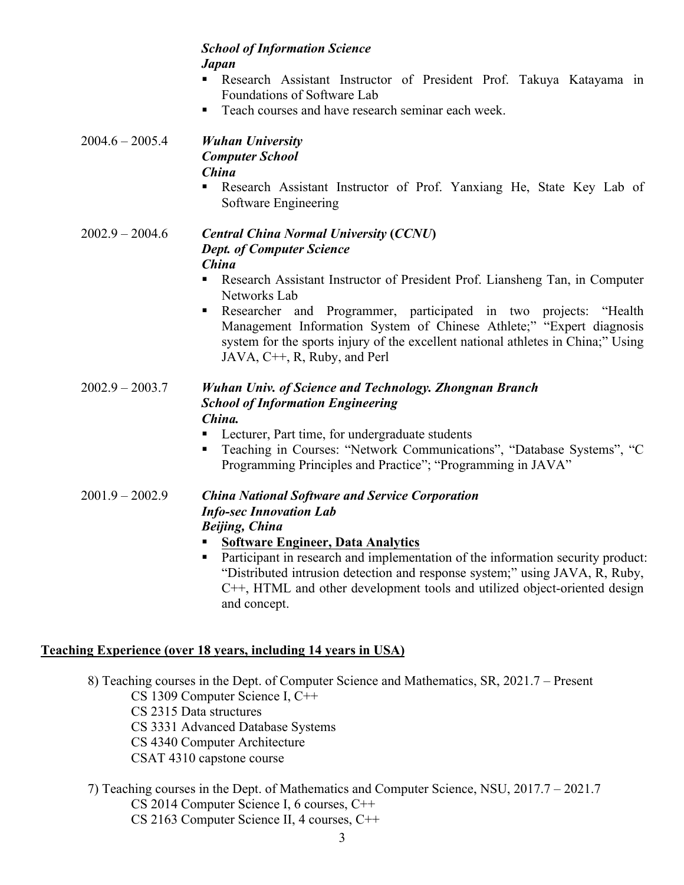#### *School of Information Science Japan*

- § Research Assistant Instructor of President Prof. Takuya Katayama in Foundations of Software Lab
- Teach courses and have research seminar each week.

#### 2004.6 – 2005.4 *Wuhan University Computer School China*

§ Research Assistant Instructor of Prof. Yanxiang He, State Key Lab of Software Engineering

#### 2002.9 – 2004.6 *Central China Normal University* **(***CCNU***)** *Dept. of Computer Science China*

- Research Assistant Instructor of President Prof. Liansheng Tan, in Computer Networks Lab
- § Researcher and Programmer, participated in two projects: "Health Management Information System of Chinese Athlete;" "Expert diagnosis system for the sports injury of the excellent national athletes in China;" Using JAVA, C++, R, Ruby, and Perl

#### 2002.9 – 2003.7 *Wuhan Univ. of Science and Technology. Zhongnan Branch School of Information Engineering China.*

- Lecturer, Part time, for undergraduate students
- Teaching in Courses: "Network Communications", "Database Systems", "C Programming Principles and Practice"; "Programming in JAVA"

#### 2001.9 – 2002.9 *China National Software and Service Corporation Info-sec Innovation Lab Beijing, China*

- § **Software Engineer, Data Analytics**
- Participant in research and implementation of the information security product: "Distributed intrusion detection and response system;" using JAVA, R, Ruby, C++, HTML and other development tools and utilized object-oriented design and concept.

# **Teaching Experience (over 18 years, including 14 years in USA)**

- 8) Teaching courses in the Dept. of Computer Science and Mathematics, SR, 2021.7 Present CS 1309 Computer Science I, C++ CS 2315 Data structures CS 3331 Advanced Database Systems CS 4340 Computer Architecture CSAT 4310 capstone course
- 7) Teaching courses in the Dept. of Mathematics and Computer Science, NSU, 2017.7 2021.7 CS 2014 Computer Science I, 6 courses, C++ CS 2163 Computer Science II, 4 courses, C++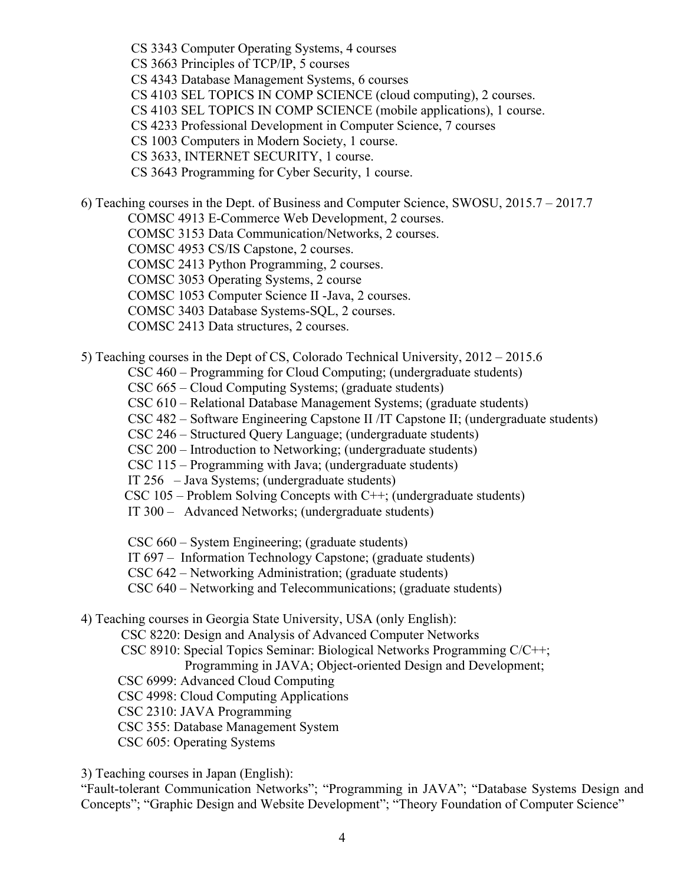CS 3343 Computer Operating Systems, 4 courses

CS 3663 Principles of TCP/IP, 5 courses

CS 4343 Database Management Systems, 6 courses

CS 4103 SEL TOPICS IN COMP SCIENCE (cloud computing), 2 courses.

CS 4103 SEL TOPICS IN COMP SCIENCE (mobile applications), 1 course.

CS 4233 Professional Development in Computer Science, 7 courses

CS 1003 Computers in Modern Society, 1 course.

CS 3633, INTERNET SECURITY, 1 course.

CS 3643 Programming for Cyber Security, 1 course.

6) Teaching courses in the Dept. of Business and Computer Science, SWOSU, 2015.7 – 2017.7

COMSC 4913 E-Commerce Web Development, 2 courses.

COMSC 3153 Data Communication/Networks, 2 courses.

COMSC 4953 CS/IS Capstone, 2 courses.

COMSC 2413 Python Programming, 2 courses.

COMSC 3053 Operating Systems, 2 course

COMSC 1053 Computer Science II -Java, 2 courses.

COMSC 3403 Database Systems-SQL, 2 courses.

COMSC 2413 Data structures, 2 courses.

5) Teaching courses in the Dept of CS, Colorado Technical University, 2012 – 2015.6

CSC 460 – Programming for Cloud Computing; (undergraduate students)

CSC 665 – Cloud Computing Systems; (graduate students)

CSC 610 – Relational Database Management Systems; (graduate students)

CSC 482 – Software Engineering Capstone II /IT Capstone II; (undergraduate students)

CSC 246 – Structured Query Language; (undergraduate students)

CSC 200 – Introduction to Networking; (undergraduate students)

CSC 115 – Programming with Java; (undergraduate students)

IT 256 – Java Systems; (undergraduate students)

 $CSC 105 - Problem Solving Concepts with C++; (undergraduate students)$ 

IT 300 – Advanced Networks; (undergraduate students)

CSC 660 – System Engineering; (graduate students)

IT 697 – Information Technology Capstone; (graduate students)

CSC 642 – Networking Administration; (graduate students)

CSC 640 – Networking and Telecommunications; (graduate students)

4) Teaching courses in Georgia State University, USA (only English):

CSC 8220: Design and Analysis of Advanced Computer Networks

 CSC 8910: Special Topics Seminar: Biological Networks Programming C/C++; Programming in JAVA; Object-oriented Design and Development;

CSC 6999: Advanced Cloud Computing

CSC 4998: Cloud Computing Applications

CSC 2310: JAVA Programming

CSC 355: Database Management System

CSC 605: Operating Systems

3) Teaching courses in Japan (English):

"Fault-tolerant Communication Networks"; "Programming in JAVA"; "Database Systems Design and Concepts"; "Graphic Design and Website Development"; "Theory Foundation of Computer Science"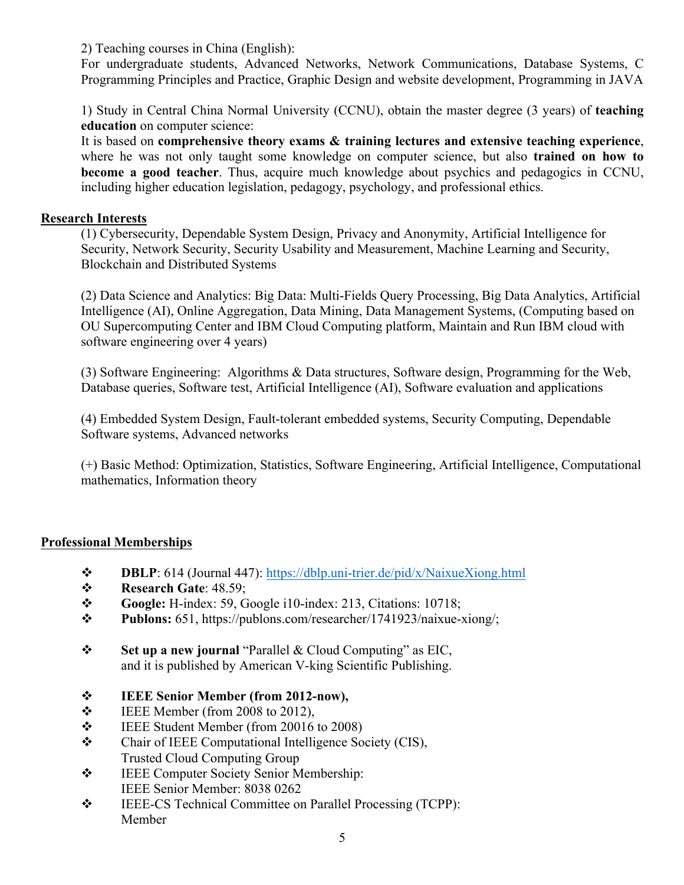2) Teaching courses in China (English):

For undergraduate students, Advanced Networks, Network Communications, Database Systems, C Programming Principles and Practice, Graphic Design and website development, Programming in JAVA

1) Study in Central China Normal University (CCNU), obtain the master degree (3 years) of **teaching education** on computer science:

It is based on **comprehensive theory exams & training lectures and extensive teaching experience**, where he was not only taught some knowledge on computer science, but also **trained on how to become a good teacher**. Thus, acquire much knowledge about psychics and pedagogics in CCNU, including higher education legislation, pedagogy, psychology, and professional ethics.

#### **Research Interests**

(1) Cybersecurity, Dependable System Design, Privacy and Anonymity, Artificial Intelligence for Security, Network Security, Security Usability and Measurement, Machine Learning and Security, Blockchain and Distributed Systems

(2) Data Science and Analytics: Big Data: Multi-Fields Query Processing, Big Data Analytics, Artificial Intelligence (AI), Online Aggregation, Data Mining, Data Management Systems, (Computing based on OU Supercomputing Center and IBM Cloud Computing platform, Maintain and Run IBM cloud with software engineering over 4 years)

(3) Software Engineering: Algorithms & Data structures, Software design, Programming for the Web, Database queries, Software test, Artificial Intelligence (AI), Software evaluation and applications

(4) Embedded System Design, Fault-tolerant embedded systems, Security Computing, Dependable Software systems, Advanced networks

(+) Basic Method: Optimization, Statistics, Software Engineering, Artificial Intelligence, Computational mathematics, Information theory

#### **Professional Memberships**

- v **DBLP**: 614 (Journal 447): https://dblp.uni-trier.de/pid/x/NaixueXiong.html
- **Research Gate: 48.59;**
- v **Google:** H-index: 59, Google i10-index: 213, Citations: 10718;
- v **Publons:** 651, https://publons.com/researcher/1741923/naixue-xiong/;
- v **Set up a new journal** "Parallel & Cloud Computing" as EIC, and it is published by American V-king Scientific Publishing.
- v **IEEE Senior Member (from 2012-now),**
- $\div$  IEEE Member (from 2008 to 2012),
- $\div$  IEEE Student Member (from 20016 to 2008)
- \* Chair of IEEE Computational Intelligence Society (CIS), Trusted Cloud Computing Group
- $\div$  IEEE Computer Society Senior Membership: IEEE Senior Member: 8038 0262
- v IEEE-CS Technical Committee on Parallel Processing (TCPP): Member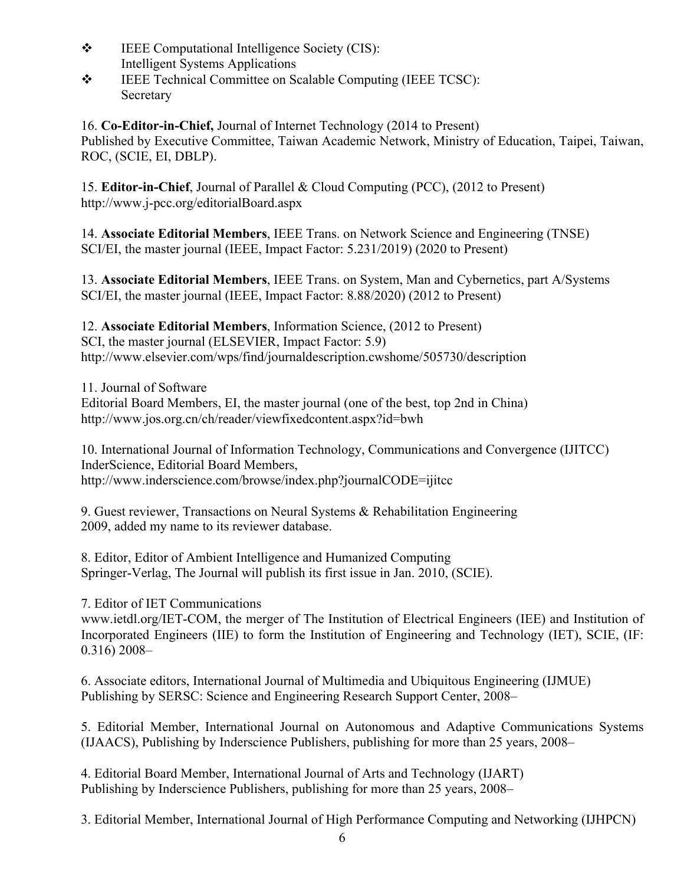- $\div$  IEEE Computational Intelligence Society (CIS): Intelligent Systems Applications
- $\div$  IEEE Technical Committee on Scalable Computing (IEEE TCSC): Secretary

16. **Co-Editor-in-Chief,** Journal of Internet Technology (2014 to Present) Published by Executive Committee, Taiwan Academic Network, Ministry of Education, Taipei, Taiwan, ROC, (SCIE, EI, DBLP).

15. **Editor-in-Chief**, Journal of Parallel & Cloud Computing (PCC), (2012 to Present) http://www.j-pcc.org/editorialBoard.aspx

14. **Associate Editorial Members**, IEEE Trans. on Network Science and Engineering (TNSE) SCI/EI, the master journal (IEEE, Impact Factor: 5.231/2019) (2020 to Present)

13. **Associate Editorial Members**, IEEE Trans. on System, Man and Cybernetics, part A/Systems SCI/EI, the master journal (IEEE, Impact Factor: 8.88/2020) (2012 to Present)

12. **Associate Editorial Members**, Information Science, (2012 to Present) SCI, the master journal (ELSEVIER, Impact Factor: 5.9) http://www.elsevier.com/wps/find/journaldescription.cwshome/505730/description

11. Journal of Software Editorial Board Members, EI, the master journal (one of the best, top 2nd in China) http://www.jos.org.cn/ch/reader/viewfixedcontent.aspx?id=bwh

10. International Journal of Information Technology, Communications and Convergence (IJITCC) InderScience, Editorial Board Members, http://www.inderscience.com/browse/index.php?journalCODE=ijitcc

9. Guest reviewer, Transactions on Neural Systems & Rehabilitation Engineering 2009, added my name to its reviewer database.

8. Editor, Editor of Ambient Intelligence and Humanized Computing Springer-Verlag, The Journal will publish its first issue in Jan. 2010, (SCIE).

7. Editor of IET Communications

www.ietdl.org/IET-COM, the merger of The Institution of Electrical Engineers (IEE) and Institution of Incorporated Engineers (IIE) to form the Institution of Engineering and Technology (IET), SCIE, (IF: 0.316) 2008–

6. Associate editors, International Journal of Multimedia and Ubiquitous Engineering (IJMUE) Publishing by SERSC: Science and Engineering Research Support Center, 2008–

5. Editorial Member, International Journal on Autonomous and Adaptive Communications Systems (IJAACS), Publishing by Inderscience Publishers, publishing for more than 25 years, 2008–

4. Editorial Board Member, International Journal of Arts and Technology (IJART) Publishing by Inderscience Publishers, publishing for more than 25 years, 2008–

3. Editorial Member, International Journal of High Performance Computing and Networking (IJHPCN)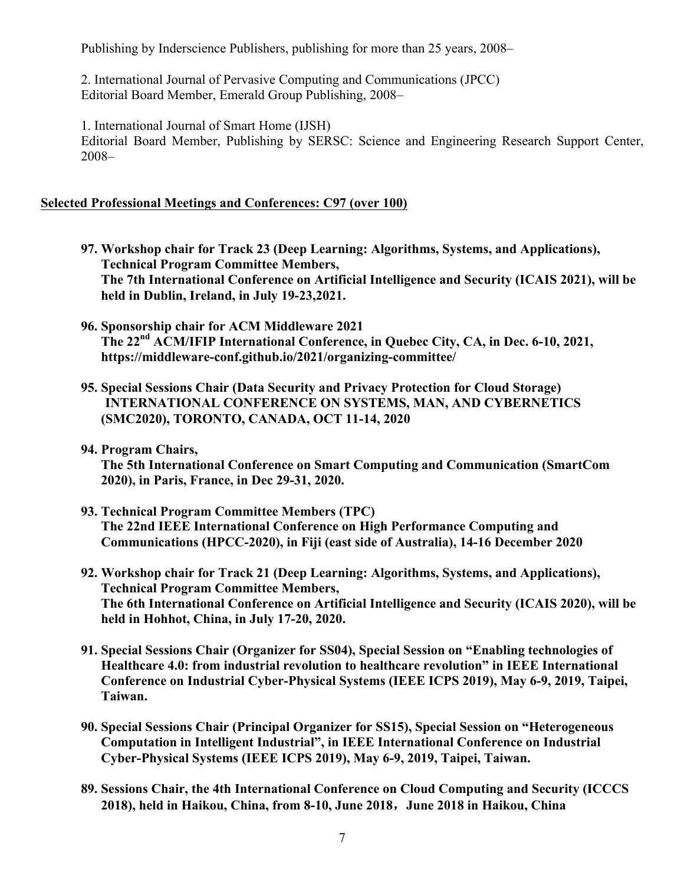Publishing by Inderscience Publishers, publishing for more than 25 years, 2008–

2. International Journal of Pervasive Computing and Communications (JPCC) Editorial Board Member, Emerald Group Publishing, 2008–

1. International Journal of Smart Home (IJSH) Editorial Board Member, Publishing by SERSC: Science and Engineering Research Support Center, 2008–

#### **Selected Professional Meetings and Conferences: C97 (over 100)**

- **97. Workshop chair for Track 23 (Deep Learning: Algorithms, Systems, and Applications), Technical Program Committee Members, The 7th International Conference on Artificial Intelligence and Security (ICAIS 2021), will be held in Dublin, Ireland, in July 19-23,2021.**
- **96. Sponsorship chair for ACM Middleware 2021 The 22nd ACM/IFIP International Conference, in Quebec City, CA, in Dec. 6-10, 2021, https://middleware-conf.github.io/2021/organizing-committee/**
- **95. Special Sessions Chair (Data Security and Privacy Protection for Cloud Storage) INTERNATIONAL CONFERENCE ON SYSTEMS, MAN, AND CYBERNETICS (SMC2020), TORONTO, CANADA, OCT 11-14, 2020**
- **94. Program Chairs,**

**The 5th International Conference on Smart Computing and Communication (SmartCom 2020), in Paris, France, in Dec 29-31, 2020.**

- **93. Technical Program Committee Members (TPC) The 22nd IEEE International Conference on High Performance Computing and Communications (HPCC-2020), in Fiji (east side of Australia), 14-16 December 2020**
- **92. Workshop chair for Track 21 (Deep Learning: Algorithms, Systems, and Applications), Technical Program Committee Members, The 6th International Conference on Artificial Intelligence and Security (ICAIS 2020), will be held in Hohhot, China, in July 17-20, 2020.**
- **91. Special Sessions Chair (Organizer for SS04), Special Session on "Enabling technologies of Healthcare 4.0: from industrial revolution to healthcare revolution" in IEEE International Conference on Industrial Cyber-Physical Systems (IEEE ICPS 2019), May 6-9, 2019, Taipei, Taiwan.**
- **90. Special Sessions Chair (Principal Organizer for SS15), Special Session on "Heterogeneous Computation in Intelligent Industrial", in IEEE International Conference on Industrial Cyber-Physical Systems (IEEE ICPS 2019), May 6-9, 2019, Taipei, Taiwan.**
- **89. Sessions Chair, the 4th International Conference on Cloud Computing and Security (ICCCS 2018), held in Haikou, China, from 8-10, June 2018**,**June 2018 in Haikou, China**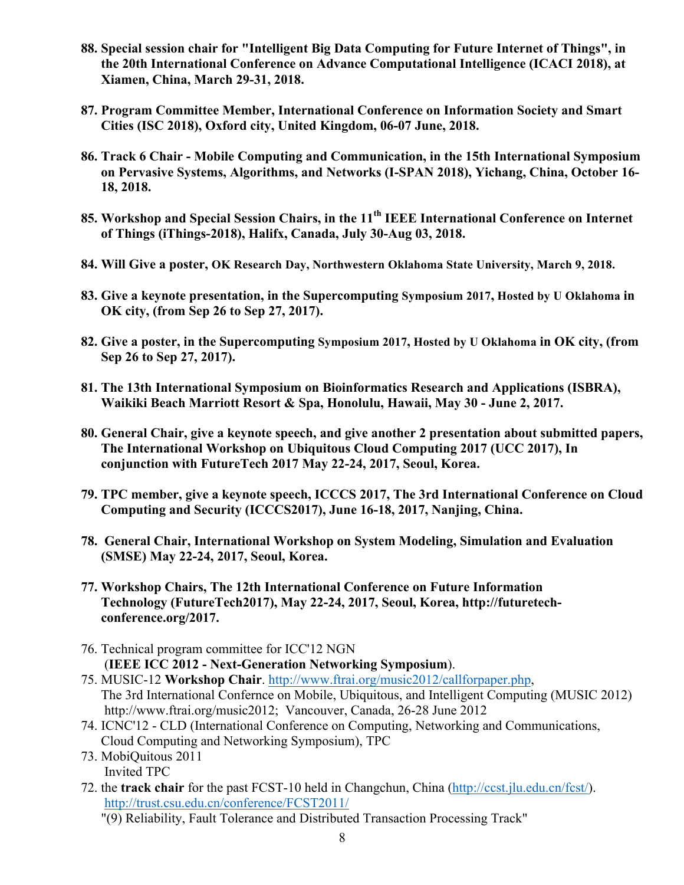- **88. Special session chair for "Intelligent Big Data Computing for Future Internet of Things", in the 20th International Conference on Advance Computational Intelligence (ICACI 2018), at Xiamen, China, March 29-31, 2018.**
- **87. Program Committee Member, International Conference on Information Society and Smart Cities (ISC 2018), Oxford city, United Kingdom, 06-07 June, 2018.**
- **86. Track 6 Chair - Mobile Computing and Communication, in the 15th International Symposium on Pervasive Systems, Algorithms, and Networks (I-SPAN 2018), Yichang, China, October 16- 18, 2018.**
- **85. Workshop and Special Session Chairs, in the 11th IEEE International Conference on Internet of Things (iThings-2018), Halifx, Canada, July 30-Aug 03, 2018.**
- **84. Will Give a poster, OK Research Day, Northwestern Oklahoma State University, March 9, 2018.**
- **83. Give a keynote presentation, in the Supercomputing Symposium 2017, Hosted by U Oklahoma in OK city, (from Sep 26 to Sep 27, 2017).**
- **82. Give a poster, in the Supercomputing Symposium 2017, Hosted by U Oklahoma in OK city, (from Sep 26 to Sep 27, 2017).**
- **81. The 13th International Symposium on Bioinformatics Research and Applications (ISBRA), Waikiki Beach Marriott Resort & Spa, Honolulu, Hawaii, May 30 - June 2, 2017.**
- **80. General Chair, give a keynote speech, and give another 2 presentation about submitted papers, The International Workshop on Ubiquitous Cloud Computing 2017 (UCC 2017), In conjunction with FutureTech 2017 May 22-24, 2017, Seoul, Korea.**
- **79. TPC member, give a keynote speech, ICCCS 2017, The 3rd International Conference on Cloud Computing and Security (ICCCS2017), June 16-18, 2017, Nanjing, China.**
- **78. General Chair, International Workshop on System Modeling, Simulation and Evaluation (SMSE) May 22-24, 2017, Seoul, Korea.**
- **77. Workshop Chairs, The 12th International Conference on Future Information Technology (FutureTech2017), May 22-24, 2017, Seoul, Korea, http://futuretechconference.org/2017.**
- 76. Technical program committee for ICC'12 NGN (**IEEE ICC 2012 - Next-Generation Networking Symposium**).
- 75. MUSIC-12 **Workshop Chair**. http://www.ftrai.org/music2012/callforpaper.php, The 3rd International Confernce on Mobile, Ubiquitous, and Intelligent Computing (MUSIC 2012) http://www.ftrai.org/music2012; Vancouver, Canada, 26-28 June 2012
- 74. ICNC'12 CLD (International Conference on Computing, Networking and Communications, Cloud Computing and Networking Symposium), TPC
- 73. MobiQuitous 2011 Invited TPC
- 72. the **track chair** for the past FCST-10 held in Changchun, China (http://ccst.jlu.edu.cn/fcst/). http://trust.csu.edu.cn/conference/FCST2011/
	- "(9) Reliability, Fault Tolerance and Distributed Transaction Processing Track"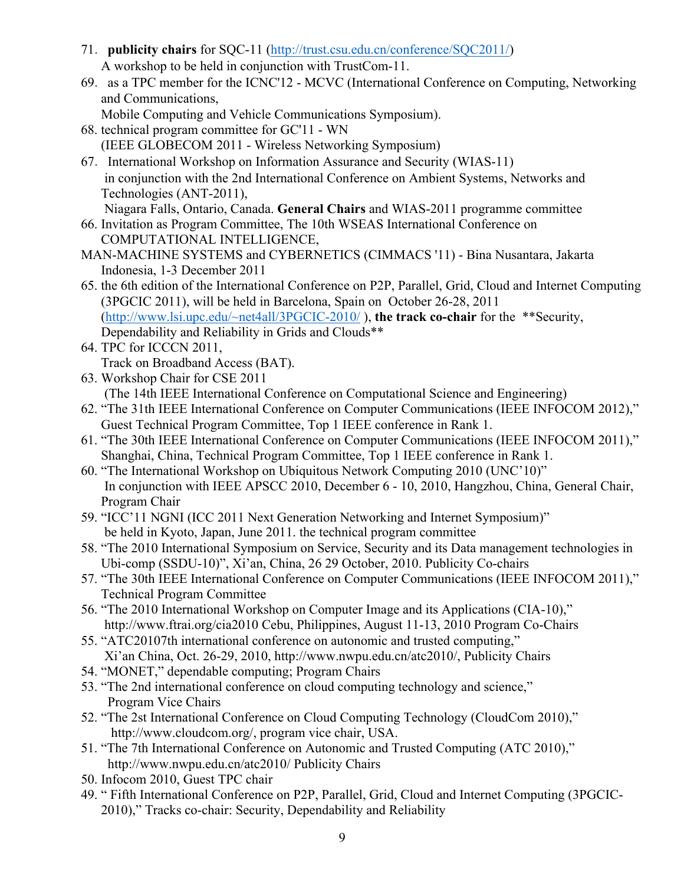- 71.**publicity chairs** for SQC-11 (http://trust.csu.edu.cn/conference/SQC2011/) A workshop to be held in conjunction with TrustCom-11.
- 69.as a TPC member for the ICNC'12 MCVC (International Conference on Computing, Networking and Communications,
	- Mobile Computing and Vehicle Communications Symposium).
- 68. technical program committee for GC'11 WN (IEEE GLOBECOM 2011 - Wireless Networking Symposium)
- 67.International Workshop on Information Assurance and Security (WIAS-11) in conjunction with the 2nd International Conference on Ambient Systems, Networks and Technologies (ANT-2011), Niagara Falls, Ontario, Canada. **General Chairs** and WIAS-2011 programme committee
- 66. Invitation as Program Committee, The 10th WSEAS International Conference on COMPUTATIONAL INTELLIGENCE,
- MAN-MACHINE SYSTEMS and CYBERNETICS (CIMMACS '11) Bina Nusantara, Jakarta Indonesia, 1-3 December 2011
- 65. the 6th edition of the International Conference on P2P, Parallel, Grid, Cloud and Internet Computing (3PGCIC 2011), will be held in Barcelona, Spain on October 26-28, 2011 (http://www.lsi.upc.edu/~net4all/3PGCIC-2010/ ), **the track co-chair** for the \*\*Security, Dependability and Reliability in Grids and Clouds\*\*
- 64. TPC for ICCCN 2011, Track on Broadband Access (BAT).
- 63. Workshop Chair for CSE 2011 (The 14th IEEE International Conference on Computational Science and Engineering)
- 62. "The 31th IEEE International Conference on Computer Communications (IEEE INFOCOM 2012)," Guest Technical Program Committee, Top 1 IEEE conference in Rank 1.
- 61. "The 30th IEEE International Conference on Computer Communications (IEEE INFOCOM 2011)," Shanghai, China, Technical Program Committee, Top 1 IEEE conference in Rank 1.
- 60. "The International Workshop on Ubiquitous Network Computing 2010 (UNC'10)" In conjunction with IEEE APSCC 2010, December 6 - 10, 2010, Hangzhou, China, General Chair, Program Chair
- 59. "ICC'11 NGNI (ICC 2011 Next Generation Networking and Internet Symposium)" be held in Kyoto, Japan, June 2011. the technical program committee
- 58. "The 2010 International Symposium on Service, Security and its Data management technologies in Ubi-comp (SSDU-10)", Xi'an, China, 26 29 October, 2010. Publicity Co-chairs
- 57. "The 30th IEEE International Conference on Computer Communications (IEEE INFOCOM 2011)," Technical Program Committee
- 56. "The 2010 International Workshop on Computer Image and its Applications (CIA-10)," http://www.ftrai.org/cia2010 Cebu, Philippines, August 11-13, 2010 Program Co-Chairs
- 55. "ATC20107th international conference on autonomic and trusted computing," Xi'an China, Oct. 26-29, 2010, http://www.nwpu.edu.cn/atc2010/, Publicity Chairs
- 54. "MONET," dependable computing; Program Chairs
- 53. "The 2nd international conference on cloud computing technology and science," Program Vice Chairs
- 52. "The 2st International Conference on Cloud Computing Technology (CloudCom 2010)," http://www.cloudcom.org/, program vice chair, USA.
- 51. "The 7th International Conference on Autonomic and Trusted Computing (ATC 2010)," http://www.nwpu.edu.cn/atc2010/ Publicity Chairs
- 50. Infocom 2010, Guest TPC chair
- 49. " Fifth International Conference on P2P, Parallel, Grid, Cloud and Internet Computing (3PGCIC-2010)," Tracks co-chair: Security, Dependability and Reliability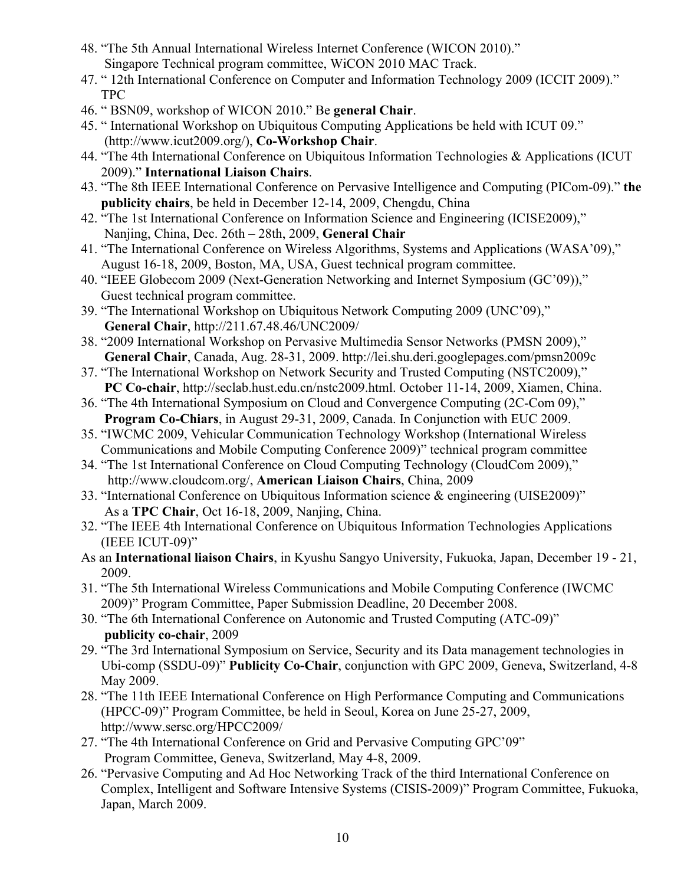- 48. "The 5th Annual International Wireless Internet Conference (WICON 2010)." Singapore Technical program committee, WiCON 2010 MAC Track.
- 47. " 12th International Conference on Computer and Information Technology 2009 (ICCIT 2009)." TPC
- 46. " BSN09, workshop of WICON 2010." Be **general Chair**.
- 45. " International Workshop on Ubiquitous Computing Applications be held with ICUT 09." (http://www.icut2009.org/), **Co-Workshop Chair**.
- 44. "The 4th International Conference on Ubiquitous Information Technologies & Applications (ICUT 2009)." **International Liaison Chairs**.
- 43. "The 8th IEEE International Conference on Pervasive Intelligence and Computing (PICom-09)." **the publicity chairs**, be held in December 12-14, 2009, Chengdu, China
- 42. "The 1st International Conference on Information Science and Engineering (ICISE2009)," Nanjing, China, Dec. 26th – 28th, 2009, **General Chair**
- 41. "The International Conference on Wireless Algorithms, Systems and Applications (WASA'09)," August 16-18, 2009, Boston, MA, USA, Guest technical program committee.
- 40. "IEEE Globecom 2009 (Next-Generation Networking and Internet Symposium (GC'09))," Guest technical program committee.
- 39. "The International Workshop on Ubiquitous Network Computing 2009 (UNC'09),"  **General Chair**, http://211.67.48.46/UNC2009/
- 38. "2009 International Workshop on Pervasive Multimedia Sensor Networks (PMSN 2009),"  **General Chair**, Canada, Aug. 28-31, 2009. http://lei.shu.deri.googlepages.com/pmsn2009c
- 37. "The International Workshop on Network Security and Trusted Computing (NSTC2009),"  **PC Co-chair**, http://seclab.hust.edu.cn/nstc2009.html. October 11-14, 2009, Xiamen, China.
- 36. "The 4th International Symposium on Cloud and Convergence Computing (2C-Com 09),"  **Program Co-Chiars**, in August 29-31, 2009, Canada. In Conjunction with EUC 2009.
- 35. "IWCMC 2009, Vehicular Communication Technology Workshop (International Wireless Communications and Mobile Computing Conference 2009)" technical program committee
- 34. "The 1st International Conference on Cloud Computing Technology (CloudCom 2009)," http://www.cloudcom.org/, **American Liaison Chairs**, China, 2009
- 33. "International Conference on Ubiquitous Information science & engineering (UISE2009)" As a **TPC Chair**, Oct 16-18, 2009, Nanjing, China.
- 32. "The IEEE 4th International Conference on Ubiquitous Information Technologies Applications (IEEE ICUT-09)"
- As an **International liaison Chairs**, in Kyushu Sangyo University, Fukuoka, Japan, December 19 21, 2009.
- 31. "The 5th International Wireless Communications and Mobile Computing Conference (IWCMC 2009)" Program Committee, Paper Submission Deadline, 20 December 2008.
- 30. "The 6th International Conference on Autonomic and Trusted Computing (ATC-09)"  **publicity co-chair**, 2009
- 29. "The 3rd International Symposium on Service, Security and its Data management technologies in Ubi-comp (SSDU-09)" **Publicity Co-Chair**, conjunction with GPC 2009, Geneva, Switzerland, 4-8 May 2009.
- 28. "The 11th IEEE International Conference on High Performance Computing and Communications (HPCC-09)" Program Committee, be held in Seoul, Korea on June 25-27, 2009, http://www.sersc.org/HPCC2009/
- 27. "The 4th International Conference on Grid and Pervasive Computing GPC'09" Program Committee, Geneva, Switzerland, May 4-8, 2009.
- 26. "Pervasive Computing and Ad Hoc Networking Track of the third International Conference on Complex, Intelligent and Software Intensive Systems (CISIS-2009)" Program Committee, Fukuoka, Japan, March 2009.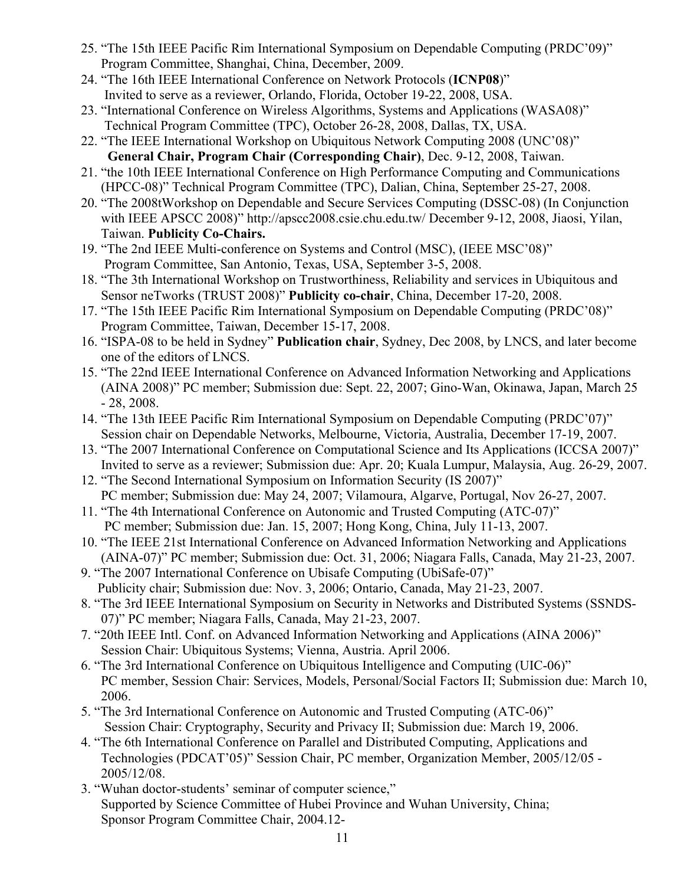- 25. "The 15th IEEE Pacific Rim International Symposium on Dependable Computing (PRDC'09)" Program Committee, Shanghai, China, December, 2009.
- 24. "The 16th IEEE International Conference on Network Protocols (**ICNP08**)" Invited to serve as a reviewer, Orlando, Florida, October 19-22, 2008, USA.
- 23. "International Conference on Wireless Algorithms, Systems and Applications (WASA08)" Technical Program Committee (TPC), October 26-28, 2008, Dallas, TX, USA.
- 22. "The IEEE International Workshop on Ubiquitous Network Computing 2008 (UNC'08)"  **General Chair, Program Chair (Corresponding Chair)**, Dec. 9-12, 2008, Taiwan.
- 21. "the 10th IEEE International Conference on High Performance Computing and Communications (HPCC-08)" Technical Program Committee (TPC), Dalian, China, September 25-27, 2008.
- 20. "The 2008tWorkshop on Dependable and Secure Services Computing (DSSC-08) (In Conjunction with IEEE APSCC 2008)" http://apscc2008.csie.chu.edu.tw/ December 9-12, 2008, Jiaosi, Yilan, Taiwan. **Publicity Co-Chairs.**
- 19. "The 2nd IEEE Multi-conference on Systems and Control (MSC), (IEEE MSC'08)" Program Committee, San Antonio, Texas, USA, September 3-5, 2008.
- 18. "The 3th International Workshop on Trustworthiness, Reliability and services in Ubiquitous and Sensor neTworks (TRUST 2008)" **Publicity co-chair**, China, December 17-20, 2008.
- 17. "The 15th IEEE Pacific Rim International Symposium on Dependable Computing (PRDC'08)" Program Committee, Taiwan, December 15-17, 2008.
- 16. "ISPA-08 to be held in Sydney" **Publication chair**, Sydney, Dec 2008, by LNCS, and later become one of the editors of LNCS.
- 15. "The 22nd IEEE International Conference on Advanced Information Networking and Applications (AINA 2008)" PC member; Submission due: Sept. 22, 2007; Gino-Wan, Okinawa, Japan, March 25 - 28, 2008.
- 14. "The 13th IEEE Pacific Rim International Symposium on Dependable Computing (PRDC'07)" Session chair on Dependable Networks, Melbourne, Victoria, Australia, December 17-19, 2007.
- 13. "The 2007 International Conference on Computational Science and Its Applications (ICCSA 2007)" Invited to serve as a reviewer; Submission due: Apr. 20; Kuala Lumpur, Malaysia, Aug. 26-29, 2007.
- 12. "The Second International Symposium on Information Security (IS 2007)" PC member; Submission due: May 24, 2007; Vilamoura, Algarve, Portugal, Nov 26-27, 2007.
- 11. "The 4th International Conference on Autonomic and Trusted Computing (ATC-07)" PC member; Submission due: Jan. 15, 2007; Hong Kong, China, July 11-13, 2007.
- 10. "The IEEE 21st International Conference on Advanced Information Networking and Applications (AINA-07)" PC member; Submission due: Oct. 31, 2006; Niagara Falls, Canada, May 21-23, 2007.
- 9. "The 2007 International Conference on Ubisafe Computing (UbiSafe-07)" Publicity chair; Submission due: Nov. 3, 2006; Ontario, Canada, May 21-23, 2007.
- 8. "The 3rd IEEE International Symposium on Security in Networks and Distributed Systems (SSNDS-07)" PC member; Niagara Falls, Canada, May 21-23, 2007.
- 7. "20th IEEE Intl. Conf. on Advanced Information Networking and Applications (AINA 2006)" Session Chair: Ubiquitous Systems; Vienna, Austria. April 2006.
- 6. "The 3rd International Conference on Ubiquitous Intelligence and Computing (UIC-06)" PC member, Session Chair: Services, Models, Personal/Social Factors II; Submission due: March 10, 2006.
- 5. "The 3rd International Conference on Autonomic and Trusted Computing (ATC-06)" Session Chair: Cryptography, Security and Privacy II; Submission due: March 19, 2006.
- 4. "The 6th International Conference on Parallel and Distributed Computing, Applications and Technologies (PDCAT'05)" Session Chair, PC member, Organization Member, 2005/12/05 - 2005/12/08.
- 3. "Wuhan doctor-students' seminar of computer science," Supported by Science Committee of Hubei Province and Wuhan University, China; Sponsor Program Committee Chair, 2004.12-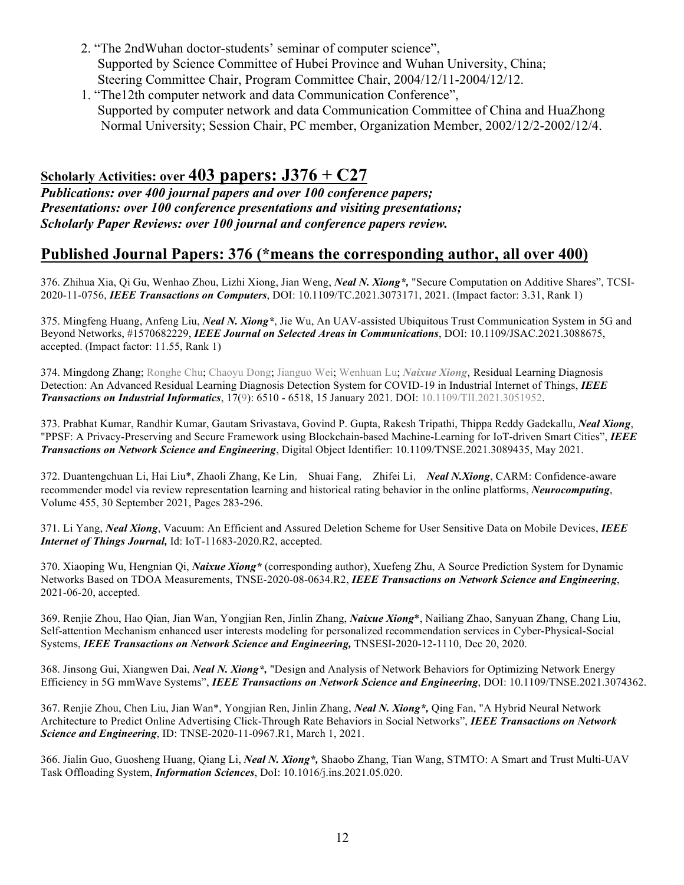- 2. "The 2ndWuhan doctor-students' seminar of computer science", Supported by Science Committee of Hubei Province and Wuhan University, China; Steering Committee Chair, Program Committee Chair, 2004/12/11-2004/12/12.
- 1. "The12th computer network and data Communication Conference", Supported by computer network and data Communication Committee of China and HuaZhong Normal University; Session Chair, PC member, Organization Member, 2002/12/2-2002/12/4.

# **Scholarly Activities: over 403 papers: J376 + C27**

*Publications: over 400 journal papers and over 100 conference papers; Presentations: over 100 conference presentations and visiting presentations; Scholarly Paper Reviews: over 100 journal and conference papers review.*

# **Published Journal Papers: 376 (\*means the corresponding author, all over 400)**

376. Zhihua Xia, Qi Gu, Wenhao Zhou, Lizhi Xiong, Jian Weng, *Neal N. Xiong\*,* "Secure Computation on Additive Shares", TCSI-2020-11-0756, *IEEE Transactions on Computers*, DOI: 10.1109/TC.2021.3073171, 2021. (Impact factor: 3.31, Rank 1)

375. Mingfeng Huang, Anfeng Liu, *Neal N. Xiong\**, Jie Wu, An UAV-assisted Ubiquitous Trust Communication System in 5G and Beyond Networks, #1570682229, *IEEE Journal on Selected Areas in Communications*, DOI: 10.1109/JSAC.2021.3088675, accepted. (Impact factor: 11.55, Rank 1)

374. Mingdong Zhang; Ronghe Chu; Chaoyu Dong; Jianguo Wei; Wenhuan Lu; *Naixue Xiong*, Residual Learning Diagnosis Detection: An Advanced Residual Learning Diagnosis Detection System for COVID-19 in Industrial Internet of Things, *IEEE Transactions on Industrial Informatics*, 17(9): 6510 - 6518, 15 January 2021. DOI: 10.1109/TII.2021.3051952.

373. Prabhat Kumar, Randhir Kumar, Gautam Srivastava, Govind P. Gupta, Rakesh Tripathi, Thippa Reddy Gadekallu, *Neal Xiong*, "PPSF: A Privacy-Preserving and Secure Framework using Blockchain-based Machine-Learning for IoT-driven Smart Cities", *IEEE Transactions on Network Science and Engineering*, Digital Object Identifier: 10.1109/TNSE.2021.3089435, May 2021.

372. Duantengchuan Li, Hai Liu\*, Zhaoli Zhang, Ke Lin, Shuai Fang, Zhifei Li, *Neal N.Xiong*, CARM: Confidence-aware recommender model via review representation learning and historical rating behavior in the online platforms, *Neurocomputing*, Volume 455, 30 September 2021, Pages 283-296.

371. Li Yang, *Neal Xiong*, Vacuum: An Efficient and Assured Deletion Scheme for User Sensitive Data on Mobile Devices, *IEEE Internet of Things Journal,* Id: IoT-11683-2020.R2, accepted.

370. Xiaoping Wu, Hengnian Qi, *Naixue Xiong\** (corresponding author), Xuefeng Zhu, A Source Prediction System for Dynamic Networks Based on TDOA Measurements, TNSE-2020-08-0634.R2, *IEEE Transactions on Network Science and Engineering*, 2021-06-20, accepted.

369. Renjie Zhou, Hao Qian, Jian Wan, Yongjian Ren, Jinlin Zhang, *Naixue Xiong*\*, Nailiang Zhao, Sanyuan Zhang, Chang Liu, Self-attention Mechanism enhanced user interests modeling for personalized recommendation services in Cyber-Physical-Social Systems, *IEEE Transactions on Network Science and Engineering,* TNSESI-2020-12-1110, Dec 20, 2020.

368. Jinsong Gui, Xiangwen Dai, *Neal N. Xiong\*,* "Design and Analysis of Network Behaviors for Optimizing Network Energy Efficiency in 5G mmWave Systems", *IEEE Transactions on Network Science and Engineering*, DOI: 10.1109/TNSE.2021.3074362.

367. Renjie Zhou, Chen Liu, Jian Wan\*, Yongjian Ren, Jinlin Zhang, *Neal N. Xiong\*,* Qing Fan, "A Hybrid Neural Network Architecture to Predict Online Advertising Click-Through Rate Behaviors in Social Networks", *IEEE Transactions on Network Science and Engineering*, ID: TNSE-2020-11-0967.R1, March 1, 2021.

366. Jialin Guo, Guosheng Huang, Qiang Li, *Neal N. Xiong\*,* Shaobo Zhang, Tian Wang, STMTO: A Smart and Trust Multi-UAV Task Offloading System, *Information Sciences*, DoI: 10.1016/j.ins.2021.05.020.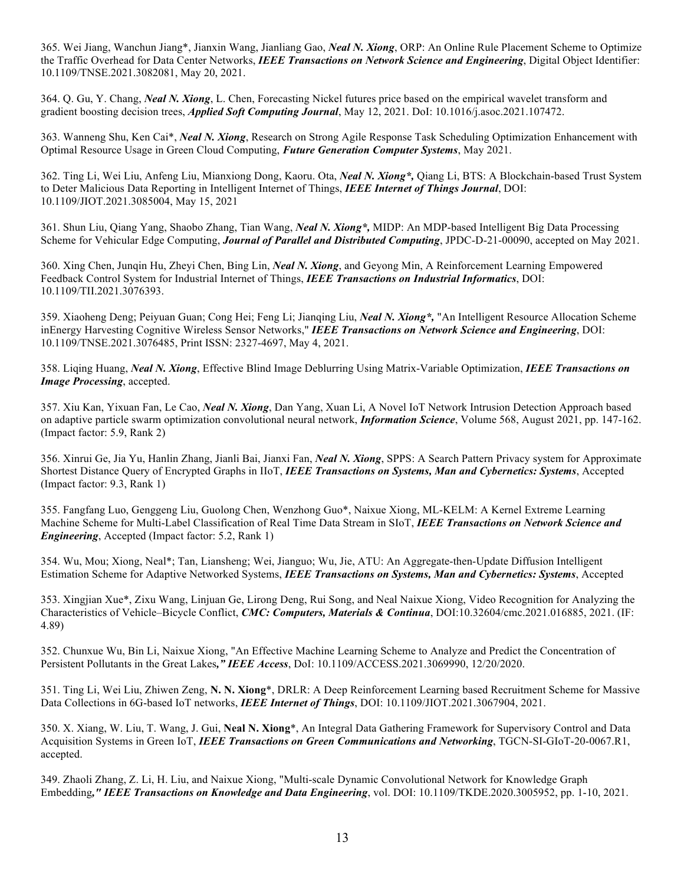365. Wei Jiang, Wanchun Jiang\*, Jianxin Wang, Jianliang Gao, *Neal N. Xiong*, ORP: An Online Rule Placement Scheme to Optimize the Traffic Overhead for Data Center Networks, *IEEE Transactions on Network Science and Engineering*, Digital Object Identifier: 10.1109/TNSE.2021.3082081, May 20, 2021.

364. Q. Gu, Y. Chang, *Neal N. Xiong*, L. Chen, Forecasting Nickel futures price based on the empirical wavelet transform and gradient boosting decision trees, *Applied Soft Computing Journal*, May 12, 2021. DoI: 10.1016/j.asoc.2021.107472.

363. Wanneng Shu, Ken Cai\*, *Neal N. Xiong*, Research on Strong Agile Response Task Scheduling Optimization Enhancement with Optimal Resource Usage in Green Cloud Computing, *Future Generation Computer Systems*, May 2021.

362. Ting Li, Wei Liu, Anfeng Liu, Mianxiong Dong, Kaoru. Ota, *Neal N. Xiong\*,* Qiang Li, BTS: A Blockchain-based Trust System to Deter Malicious Data Reporting in Intelligent Internet of Things, *IEEE Internet of Things Journal*, DOI: 10.1109/JIOT.2021.3085004, May 15, 2021

361. Shun Liu, Qiang Yang, Shaobo Zhang, Tian Wang, *Neal N. Xiong\*,* MIDP: An MDP-based Intelligent Big Data Processing Scheme for Vehicular Edge Computing, *Journal of Parallel and Distributed Computing*, JPDC-D-21-00090, accepted on May 2021.

360. Xing Chen, Junqin Hu, Zheyi Chen, Bing Lin, *Neal N. Xiong*, and Geyong Min, A Reinforcement Learning Empowered Feedback Control System for Industrial Internet of Things, *IEEE Transactions on Industrial Informatics*, DOI: 10.1109/TII.2021.3076393.

359. Xiaoheng Deng; Peiyuan Guan; Cong Hei; Feng Li; Jianqing Liu, *Neal N. Xiong\*,* "An Intelligent Resource Allocation Scheme inEnergy Harvesting Cognitive Wireless Sensor Networks," *IEEE Transactions on Network Science and Engineering*, DOI: 10.1109/TNSE.2021.3076485, Print ISSN: 2327-4697, May 4, 2021.

358. Liqing Huang, *Neal N. Xiong*, Effective Blind Image Deblurring Using Matrix-Variable Optimization, *IEEE Transactions on Image Processing*, accepted.

357. Xiu Kan, Yixuan Fan, Le Cao, *Neal N. Xiong*, Dan Yang, Xuan Li, A Novel IoT Network Intrusion Detection Approach based on adaptive particle swarm optimization convolutional neural network, *Information Science*, Volume 568, August 2021, pp. 147-162. (Impact factor: 5.9, Rank 2)

356. Xinrui Ge, Jia Yu, Hanlin Zhang, Jianli Bai, Jianxi Fan, *Neal N. Xiong*, SPPS: A Search Pattern Privacy system for Approximate Shortest Distance Query of Encrypted Graphs in IIoT, *IEEE Transactions on Systems, Man and Cybernetics: Systems*, Accepted (Impact factor: 9.3, Rank 1)

355. Fangfang Luo, Genggeng Liu, Guolong Chen, Wenzhong Guo\*, Naixue Xiong, ML-KELM: A Kernel Extreme Learning Machine Scheme for Multi-Label Classification of Real Time Data Stream in SIoT, *IEEE Transactions on Network Science and Engineering*, Accepted (Impact factor: 5.2, Rank 1)

354. Wu, Mou; Xiong, Neal\*; Tan, Liansheng; Wei, Jianguo; Wu, Jie, ATU: An Aggregate-then-Update Diffusion Intelligent Estimation Scheme for Adaptive Networked Systems, *IEEE Transactions on Systems, Man and Cybernetics: Systems*, Accepted

353. Xingjian Xue\*, Zixu Wang, Linjuan Ge, Lirong Deng, Rui Song, and Neal Naixue Xiong, Video Recognition for Analyzing the Characteristics of Vehicle–Bicycle Conflict, *CMC: Computers, Materials & Continua*, DOI:10.32604/cmc.2021.016885, 2021. (IF: 4.89)

352. Chunxue Wu, Bin Li, Naixue Xiong, "An Effective Machine Learning Scheme to Analyze and Predict the Concentration of Persistent Pollutants in the Great Lakes*," IEEE Access*, DoI: 10.1109/ACCESS.2021.3069990, 12/20/2020.

351. Ting Li, Wei Liu, Zhiwen Zeng, **N. N. Xiong**\*, DRLR: A Deep Reinforcement Learning based Recruitment Scheme for Massive Data Collections in 6G-based IoT networks, *IEEE Internet of Things*, DOI: 10.1109/JIOT.2021.3067904, 2021.

350. X. Xiang, W. Liu, T. Wang, J. Gui, **Neal N. Xiong**\*, An Integral Data Gathering Framework for Supervisory Control and Data Acquisition Systems in Green IoT, *IEEE Transactions on Green Communications and Networking*, TGCN-SI-GIoT-20-0067.R1, accepted.

349. Zhaoli Zhang, Z. Li, H. Liu, and Naixue Xiong, "Multi-scale Dynamic Convolutional Network for Knowledge Graph Embedding*," IEEE Transactions on Knowledge and Data Engineering*, vol. DOI: 10.1109/TKDE.2020.3005952, pp. 1-10, 2021.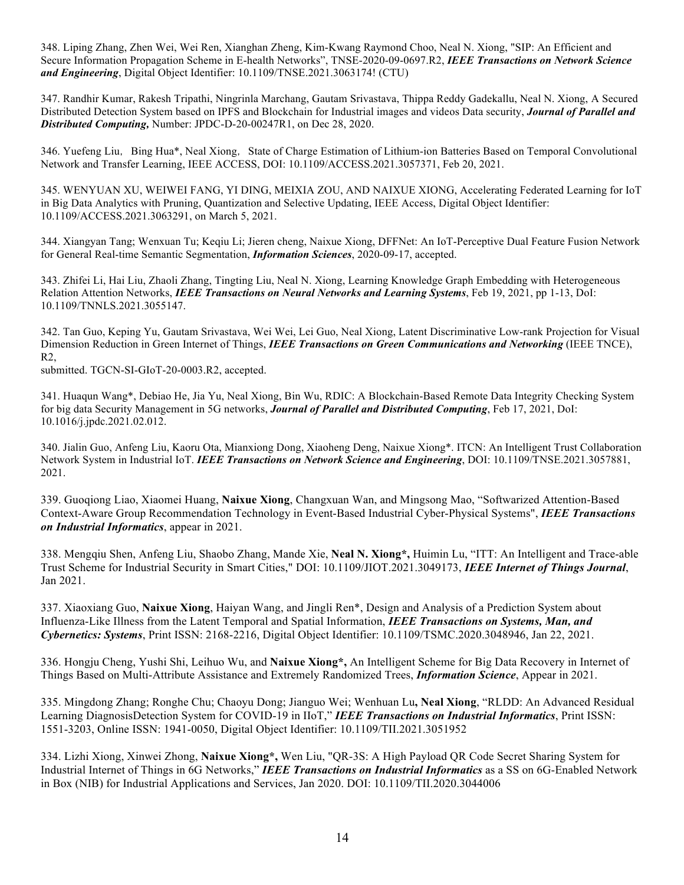348. Liping Zhang, Zhen Wei, Wei Ren, Xianghan Zheng, Kim-Kwang Raymond Choo, Neal N. Xiong, "SIP: An Efficient and Secure Information Propagation Scheme in E-health Networks", TNSE-2020-09-0697.R2, *IEEE Transactions on Network Science and Engineering*, Digital Object Identifier: 10.1109/TNSE.2021.3063174! (CTU)

347. Randhir Kumar, Rakesh Tripathi, Ningrinla Marchang, Gautam Srivastava, Thippa Reddy Gadekallu, Neal N. Xiong, A Secured Distributed Detection System based on IPFS and Blockchain for Industrial images and videos Data security, *Journal of Parallel and Distributed Computing,* Number: JPDC-D-20-00247R1, on Dec 28, 2020.

346. Yuefeng Liu, Bing Hua\*, Neal Xiong, State of Charge Estimation of Lithium-ion Batteries Based on Temporal Convolutional Network and Transfer Learning, IEEE ACCESS, DOI: 10.1109/ACCESS.2021.3057371, Feb 20, 2021.

345. WENYUAN XU, WEIWEI FANG, YI DING, MEIXIA ZOU, AND NAIXUE XIONG, Accelerating Federated Learning for IoT in Big Data Analytics with Pruning, Quantization and Selective Updating, IEEE Access, Digital Object Identifier: 10.1109/ACCESS.2021.3063291, on March 5, 2021.

344. Xiangyan Tang; Wenxuan Tu; Keqiu Li; Jieren cheng, Naixue Xiong, DFFNet: An IoT-Perceptive Dual Feature Fusion Network for General Real-time Semantic Segmentation, *Information Sciences*, 2020-09-17, accepted.

343. Zhifei Li, Hai Liu, Zhaoli Zhang, Tingting Liu, Neal N. Xiong, Learning Knowledge Graph Embedding with Heterogeneous Relation Attention Networks, *IEEE Transactions on Neural Networks and Learning Systems*, Feb 19, 2021, pp 1-13, DoI: 10.1109/TNNLS.2021.3055147.

342. Tan Guo, Keping Yu, Gautam Srivastava, Wei Wei, Lei Guo, Neal Xiong, Latent Discriminative Low-rank Projection for Visual Dimension Reduction in Green Internet of Things, *IEEE Transactions on Green Communications and Networking* (IEEE TNCE), R2,

submitted. TGCN-SI-GIoT-20-0003.R2, accepted.

341. Huaqun Wang\*, Debiao He, Jia Yu, Neal Xiong, Bin Wu, RDIC: A Blockchain-Based Remote Data Integrity Checking System for big data Security Management in 5G networks, *Journal of Parallel and Distributed Computing*, Feb 17, 2021, DoI: 10.1016/j.jpdc.2021.02.012.

340. Jialin Guo, Anfeng Liu, Kaoru Ota, Mianxiong Dong, Xiaoheng Deng, Naixue Xiong\*. ITCN: An Intelligent Trust Collaboration Network System in Industrial IoT. *IEEE Transactions on Network Science and Engineering*, DOI: 10.1109/TNSE.2021.3057881, 2021.

339. Guoqiong Liao, Xiaomei Huang, **Naixue Xiong**, Changxuan Wan, and Mingsong Mao, "Softwarized Attention-Based Context-Aware Group Recommendation Technology in Event-Based Industrial Cyber-Physical Systems", *IEEE Transactions on Industrial Informatics*, appear in 2021.

338. Mengqiu Shen, Anfeng Liu, Shaobo Zhang, Mande Xie, **Neal N. Xiong\*,** Huimin Lu, "ITT: An Intelligent and Trace-able Trust Scheme for Industrial Security in Smart Cities," DOI: 10.1109/JIOT.2021.3049173, *IEEE Internet of Things Journal*, Jan 2021.

337. Xiaoxiang Guo, **Naixue Xiong**, Haiyan Wang, and Jingli Ren\*, Design and Analysis of a Prediction System about Influenza-Like Illness from the Latent Temporal and Spatial Information, *IEEE Transactions on Systems, Man, and Cybernetics: Systems*, Print ISSN: 2168-2216, Digital Object Identifier: 10.1109/TSMC.2020.3048946, Jan 22, 2021.

336. Hongju Cheng, Yushi Shi, Leihuo Wu, and **Naixue Xiong\*,** An Intelligent Scheme for Big Data Recovery in Internet of Things Based on Multi-Attribute Assistance and Extremely Randomized Trees, *Information Science*, Appear in 2021.

335. Mingdong Zhang; Ronghe Chu; Chaoyu Dong; Jianguo Wei; Wenhuan Lu**, Neal Xiong**, "RLDD: An Advanced Residual Learning DiagnosisDetection System for COVID-19 in IIoT," *IEEE Transactions on Industrial Informatics*, Print ISSN: 1551-3203, Online ISSN: 1941-0050, Digital Object Identifier: 10.1109/TII.2021.3051952

334. Lizhi Xiong, Xinwei Zhong, **Naixue Xiong\*,** Wen Liu, "QR-3S: A High Payload QR Code Secret Sharing System for Industrial Internet of Things in 6G Networks," *IEEE Transactions on Industrial Informatics* as a SS on 6G-Enabled Network in Box (NIB) for Industrial Applications and Services, Jan 2020. DOI: 10.1109/TII.2020.3044006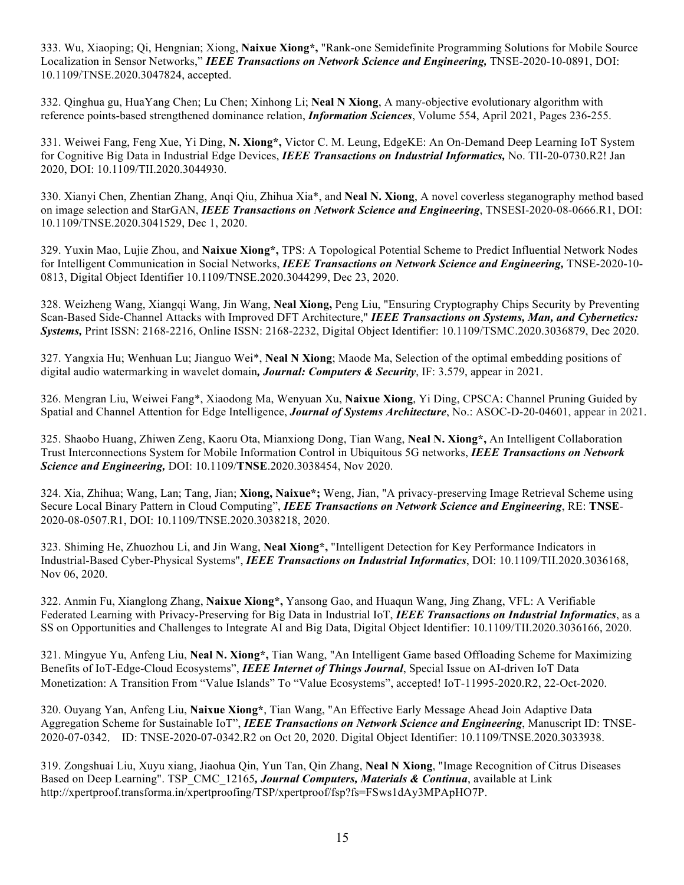333. Wu, Xiaoping; Qi, Hengnian; Xiong, **Naixue Xiong\*,** "Rank-one Semidefinite Programming Solutions for Mobile Source Localization in Sensor Networks," *IEEE Transactions on Network Science and Engineering,* TNSE-2020-10-0891, DOI: 10.1109/TNSE.2020.3047824, accepted.

332. Qinghua gu, HuaYang Chen; Lu Chen; Xinhong Li; **Neal N Xiong**, A many-objective evolutionary algorithm with reference points-based strengthened dominance relation, *Information Sciences*, Volume 554, April 2021, Pages 236-255.

331. Weiwei Fang, Feng Xue, Yi Ding, **N. Xiong\*,** Victor C. M. Leung, EdgeKE: An On-Demand Deep Learning IoT System for Cognitive Big Data in Industrial Edge Devices, *IEEE Transactions on Industrial Informatics,* No. TII-20-0730.R2! Jan 2020, DOI: 10.1109/TII.2020.3044930.

330. Xianyi Chen, Zhentian Zhang, Anqi Qiu, Zhihua Xia\*, and **Neal N. Xiong**, A novel coverless steganography method based on image selection and StarGAN, *IEEE Transactions on Network Science and Engineering*, TNSESI-2020-08-0666.R1, DOI: 10.1109/TNSE.2020.3041529, Dec 1, 2020.

329. Yuxin Mao, Lujie Zhou, and **Naixue Xiong\*,** TPS: A Topological Potential Scheme to Predict Influential Network Nodes for Intelligent Communication in Social Networks, *IEEE Transactions on Network Science and Engineering,* TNSE-2020-10- 0813, Digital Object Identifier 10.1109/TNSE.2020.3044299, Dec 23, 2020.

328. Weizheng Wang, Xiangqi Wang, Jin Wang, **Neal Xiong,** Peng Liu, "Ensuring Cryptography Chips Security by Preventing Scan-Based Side-Channel Attacks with Improved DFT Architecture," *IEEE Transactions on Systems, Man, and Cybernetics: Systems,* Print ISSN: 2168-2216, Online ISSN: 2168-2232, Digital Object Identifier: 10.1109/TSMC.2020.3036879, Dec 2020.

327. Yangxia Hu; Wenhuan Lu; Jianguo Wei\*, **Neal N Xiong**; Maode Ma, Selection of the optimal embedding positions of digital audio watermarking in wavelet domain*, Journal: Computers & Security*, IF: 3.579, appear in 2021.

326. Mengran Liu, Weiwei Fang\*, Xiaodong Ma, Wenyuan Xu, **Naixue Xiong**, Yi Ding, CPSCA: Channel Pruning Guided by Spatial and Channel Attention for Edge Intelligence, *Journal of Systems Architecture*, No.: ASOC-D-20-04601, appear in 2021.

325. Shaobo Huang, Zhiwen Zeng, Kaoru Ota, Mianxiong Dong, Tian Wang, **Neal N. Xiong\*,** An Intelligent Collaboration Trust Interconnections System for Mobile Information Control in Ubiquitous 5G networks, *IEEE Transactions on Network Science and Engineering,* DOI: 10.1109/**TNSE**.2020.3038454, Nov 2020.

324. Xia, Zhihua; Wang, Lan; Tang, Jian; **Xiong, Naixue\*;** Weng, Jian, "A privacy-preserving Image Retrieval Scheme using Secure Local Binary Pattern in Cloud Computing", *IEEE Transactions on Network Science and Engineering*, RE: **TNSE**-2020-08-0507.R1, DOI: 10.1109/TNSE.2020.3038218, 2020.

323. Shiming He, Zhuozhou Li, and Jin Wang, **Neal Xiong\*,** "Intelligent Detection for Key Performance Indicators in Industrial-Based Cyber-Physical Systems", *IEEE Transactions on Industrial Informatics*, DOI: 10.1109/TII.2020.3036168, Nov 06, 2020.

322. Anmin Fu, Xianglong Zhang, **Naixue Xiong\*,** Yansong Gao, and Huaqun Wang, Jing Zhang, VFL: A Verifiable Federated Learning with Privacy-Preserving for Big Data in Industrial IoT, *IEEE Transactions on Industrial Informatics*, as a SS on Opportunities and Challenges to Integrate AI and Big Data, Digital Object Identifier: 10.1109/TII.2020.3036166, 2020.

321. Mingyue Yu, Anfeng Liu, **Neal N. Xiong\*,** Tian Wang, "An Intelligent Game based Offloading Scheme for Maximizing Benefits of IoT-Edge-Cloud Ecosystems", *IEEE Internet of Things Journal*, Special Issue on AI-driven IoT Data Monetization: A Transition From "Value Islands" To "Value Ecosystems", accepted! IoT-11995-2020.R2, 22-Oct-2020.

320. Ouyang Yan, Anfeng Liu, **Naixue Xiong\***, Tian Wang, "An Effective Early Message Ahead Join Adaptive Data Aggregation Scheme for Sustainable IoT", *IEEE Transactions on Network Science and Engineering*, Manuscript ID: TNSE-2020-07-0342, ID: TNSE-2020-07-0342.R2 on Oct 20, 2020. Digital Object Identifier: 10.1109/TNSE.2020.3033938.

319. Zongshuai Liu, Xuyu xiang, Jiaohua Qin, Yun Tan, Qin Zhang, **Neal N Xiong**, "Image Recognition of Citrus Diseases Based on Deep Learning". TSP CMC 12165*, Journal Computers, Materials & Continua*, available at Link http://xpertproof.transforma.in/xpertproofing/TSP/xpertproof/fsp?fs=FSws1dAy3MPApHO7P.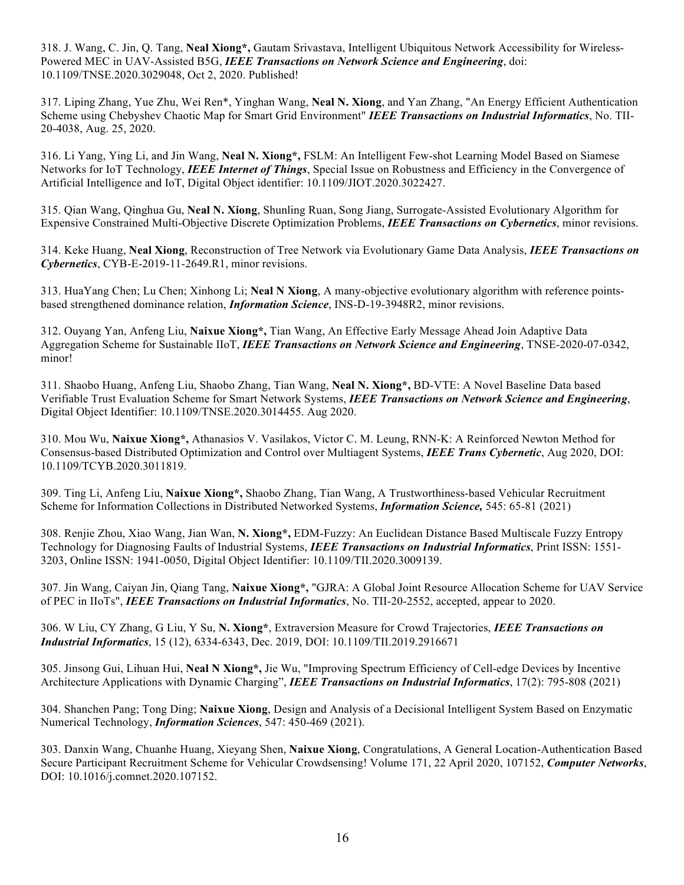318. J. Wang, C. Jin, Q. Tang, **Neal Xiong\*,** Gautam Srivastava, Intelligent Ubiquitous Network Accessibility for Wireless-Powered MEC in UAV-Assisted B5G, *IEEE Transactions on Network Science and Engineering*, doi: 10.1109/TNSE.2020.3029048, Oct 2, 2020. Published!

317. Liping Zhang, Yue Zhu, Wei Ren\*, Yinghan Wang, **Neal N. Xiong**, and Yan Zhang, "An Energy Efficient Authentication Scheme using Chebyshev Chaotic Map for Smart Grid Environment" *IEEE Transactions on Industrial Informatics*, No. TII-20-4038, Aug. 25, 2020.

316. Li Yang, Ying Li, and Jin Wang, **Neal N. Xiong\*,** FSLM: An Intelligent Few-shot Learning Model Based on Siamese Networks for IoT Technology, *IEEE Internet of Things*, Special Issue on Robustness and Efficiency in the Convergence of Artificial Intelligence and IoT, Digital Object identifier: 10.1109/JIOT.2020.3022427.

315. Qian Wang, Qinghua Gu, **Neal N. Xiong**, Shunling Ruan, Song Jiang, Surrogate-Assisted Evolutionary Algorithm for Expensive Constrained Multi-Objective Discrete Optimization Problems, *IEEE Transactions on Cybernetics*, minor revisions.

314. Keke Huang, **Neal Xiong**, Reconstruction of Tree Network via Evolutionary Game Data Analysis, *IEEE Transactions on Cybernetics*, CYB-E-2019-11-2649.R1, minor revisions.

313. HuaYang Chen; Lu Chen; Xinhong Li; **Neal N Xiong**, A many-objective evolutionary algorithm with reference pointsbased strengthened dominance relation, *Information Science*, INS-D-19-3948R2, minor revisions.

312. Ouyang Yan, Anfeng Liu, **Naixue Xiong\*,** Tian Wang, An Effective Early Message Ahead Join Adaptive Data Aggregation Scheme for Sustainable IIoT, *IEEE Transactions on Network Science and Engineering*, TNSE-2020-07-0342, minor!

311. Shaobo Huang, Anfeng Liu, Shaobo Zhang, Tian Wang, **Neal N. Xiong\*,** BD-VTE: A Novel Baseline Data based Verifiable Trust Evaluation Scheme for Smart Network Systems, *IEEE Transactions on Network Science and Engineering*, Digital Object Identifier: 10.1109/TNSE.2020.3014455. Aug 2020.

310. Mou Wu, **Naixue Xiong\*,** Athanasios V. Vasilakos, Victor C. M. Leung, RNN-K: A Reinforced Newton Method for Consensus-based Distributed Optimization and Control over Multiagent Systems, *IEEE Trans Cybernetic*, Aug 2020, DOI: 10.1109/TCYB.2020.3011819.

309. Ting Li, Anfeng Liu, **Naixue Xiong\*,** Shaobo Zhang, Tian Wang, A Trustworthiness-based Vehicular Recruitment Scheme for Information Collections in Distributed Networked Systems, *Information Science,* 545: 65-81 (2021)

308. Renjie Zhou, Xiao Wang, Jian Wan, **N. Xiong\*,** EDM-Fuzzy: An Euclidean Distance Based Multiscale Fuzzy Entropy Technology for Diagnosing Faults of Industrial Systems, *IEEE Transactions on Industrial Informatics*, Print ISSN: 1551- 3203, Online ISSN: 1941-0050, Digital Object Identifier: 10.1109/TII.2020.3009139.

307. Jin Wang, Caiyan Jin, Qiang Tang, **Naixue Xiong\*,** "GJRA: A Global Joint Resource Allocation Scheme for UAV Service of PEC in IIoTs", *IEEE Transactions on Industrial Informatics*, No. TII-20-2552, accepted, appear to 2020.

306. W Liu, CY Zhang, G Liu, Y Su, **N. Xiong\***, Extraversion Measure for Crowd Trajectories, *IEEE Transactions on Industrial Informatics*, 15 (12), 6334-6343, Dec. 2019, DOI: 10.1109/TII.2019.2916671

305. Jinsong Gui, Lihuan Hui, **Neal N Xiong\*,** Jie Wu, "Improving Spectrum Efficiency of Cell-edge Devices by Incentive Architecture Applications with Dynamic Charging", *IEEE Transactions on Industrial Informatics*, 17(2): 795-808 (2021)

304. Shanchen Pang; Tong Ding; **Naixue Xiong**, Design and Analysis of a Decisional Intelligent System Based on Enzymatic Numerical Technology, *Information Sciences*, 547: 450-469 (2021).

303. Danxin Wang, Chuanhe Huang, Xieyang Shen, **Naixue Xiong**, Congratulations, A General Location-Authentication Based Secure Participant Recruitment Scheme for Vehicular Crowdsensing! Volume 171, 22 April 2020, 107152, *Computer Networks*, DOI: 10.1016/j.comnet.2020.107152.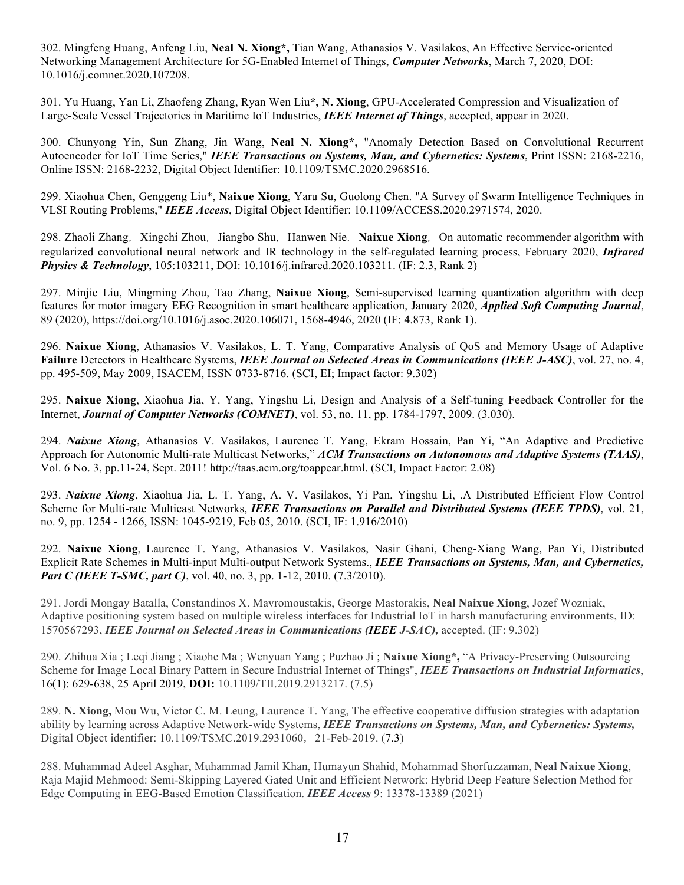302. Mingfeng Huang, Anfeng Liu, **Neal N. Xiong\*,** Tian Wang, Athanasios V. Vasilakos, An Effective Service-oriented Networking Management Architecture for 5G-Enabled Internet of Things, *Computer Networks*, March 7, 2020, DOI: 10.1016/j.comnet.2020.107208.

301. Yu Huang, Yan Li, Zhaofeng Zhang, Ryan Wen Liu**\*, N. Xiong**, GPU-Accelerated Compression and Visualization of Large-Scale Vessel Trajectories in Maritime IoT Industries, *IEEE Internet of Things*, accepted, appear in 2020.

300. Chunyong Yin, Sun Zhang, Jin Wang, **Neal N. Xiong\*,** "Anomaly Detection Based on Convolutional Recurrent Autoencoder for IoT Time Series," *IEEE Transactions on Systems, Man, and Cybernetics: Systems*, Print ISSN: 2168-2216, Online ISSN: 2168-2232, Digital Object Identifier: 10.1109/TSMC.2020.2968516.

299. Xiaohua Chen, Genggeng Liu\*, **Naixue Xiong**, Yaru Su, Guolong Chen. "A Survey of Swarm Intelligence Techniques in VLSI Routing Problems," *IEEE Access*, Digital Object Identifier: 10.1109/ACCESS.2020.2971574, 2020.

298. Zhaoli Zhang, Xingchi Zhou, Jiangbo Shu, Hanwen Nie, Naixue Xiong, On automatic recommender algorithm with regularized convolutional neural network and IR technology in the self-regulated learning process, February 2020, *Infrared Physics & Technology*, 105:103211, DOI: 10.1016/j.infrared.2020.103211. (IF: 2.3, Rank 2)

297. Minjie Liu, Mingming Zhou, Tao Zhang, **Naixue Xiong**, Semi-supervised learning quantization algorithm with deep features for motor imagery EEG Recognition in smart healthcare application, January 2020, *Applied Soft Computing Journal*, 89 (2020), https://doi.org/10.1016/j.asoc.2020.106071, 1568-4946, 2020 (IF: 4.873, Rank 1).

296. **Naixue Xiong**, Athanasios V. Vasilakos, L. T. Yang, Comparative Analysis of QoS and Memory Usage of Adaptive **Failure** Detectors in Healthcare Systems, *IEEE Journal on Selected Areas in Communications (IEEE J-ASC)*, vol. 27, no. 4, pp. 495-509, May 2009, ISACEM, ISSN 0733-8716. (SCI, EI; Impact factor: 9.302)

295. **Naixue Xiong**, Xiaohua Jia, Y. Yang, Yingshu Li, Design and Analysis of a Self-tuning Feedback Controller for the Internet, *Journal of Computer Networks (COMNET)*, vol. 53, no. 11, pp. 1784-1797, 2009. (3.030).

294. *Naixue Xiong*, Athanasios V. Vasilakos, Laurence T. Yang, Ekram Hossain, Pan Yi, "An Adaptive and Predictive Approach for Autonomic Multi-rate Multicast Networks," *ACM Transactions on Autonomous and Adaptive Systems (TAAS)*, Vol. 6 No. 3, pp.11-24, Sept. 2011! http://taas.acm.org/toappear.html. (SCI, Impact Factor: 2.08)

293. *Naixue Xiong*, Xiaohua Jia, L. T. Yang, A. V. Vasilakos, Yi Pan, Yingshu Li, .A Distributed Efficient Flow Control Scheme for Multi-rate Multicast Networks, *IEEE Transactions on Parallel and Distributed Systems (IEEE TPDS)*, vol. 21, no. 9, pp. 1254 - 1266, ISSN: 1045-9219, Feb 05, 2010. (SCI, IF: 1.916/2010)

292. **Naixue Xiong**, Laurence T. Yang, Athanasios V. Vasilakos, Nasir Ghani, Cheng-Xiang Wang, Pan Yi, Distributed Explicit Rate Schemes in Multi-input Multi-output Network Systems., *IEEE Transactions on Systems, Man, and Cybernetics, Part C (IEEE T-SMC, part C), vol.* 40, no. 3, pp. 1-12, 2010. (7.3/2010).

291. Jordi Mongay Batalla, Constandinos X. Mavromoustakis, George Mastorakis, **Neal Naixue Xiong**, Jozef Wozniak, Adaptive positioning system based on multiple wireless interfaces for Industrial IoT in harsh manufacturing environments, ID: 1570567293, *IEEE Journal on Selected Areas in Communications (IEEE J-SAC),* accepted. (IF: 9.302)

290. Zhihua Xia ; Leqi Jiang ; Xiaohe Ma ; Wenyuan Yang ; Puzhao Ji ; **Naixue Xiong\*,** "A Privacy-Preserving Outsourcing Scheme for Image Local Binary Pattern in Secure Industrial Internet of Things", *IEEE Transactions on Industrial Informatics*, 16(1): 629-638, 25 April 2019, **DOI:** 10.1109/TII.2019.2913217. (7.5)

289. **N. Xiong,** Mou Wu, Victor C. M. Leung, Laurence T. Yang, The effective cooperative diffusion strategies with adaptation ability by learning across Adaptive Network-wide Systems, *IEEE Transactions on Systems, Man, and Cybernetics: Systems,* Digital Object identifier: 10.1109/TSMC.2019.2931060, 21-Feb-2019. (7.3)

288. Muhammad Adeel Asghar, Muhammad Jamil Khan, Humayun Shahid, Mohammad Shorfuzzaman, **Neal Naixue Xiong**, Raja Majid Mehmood: Semi-Skipping Layered Gated Unit and Efficient Network: Hybrid Deep Feature Selection Method for Edge Computing in EEG-Based Emotion Classification. *IEEE Access* 9: 13378-13389 (2021)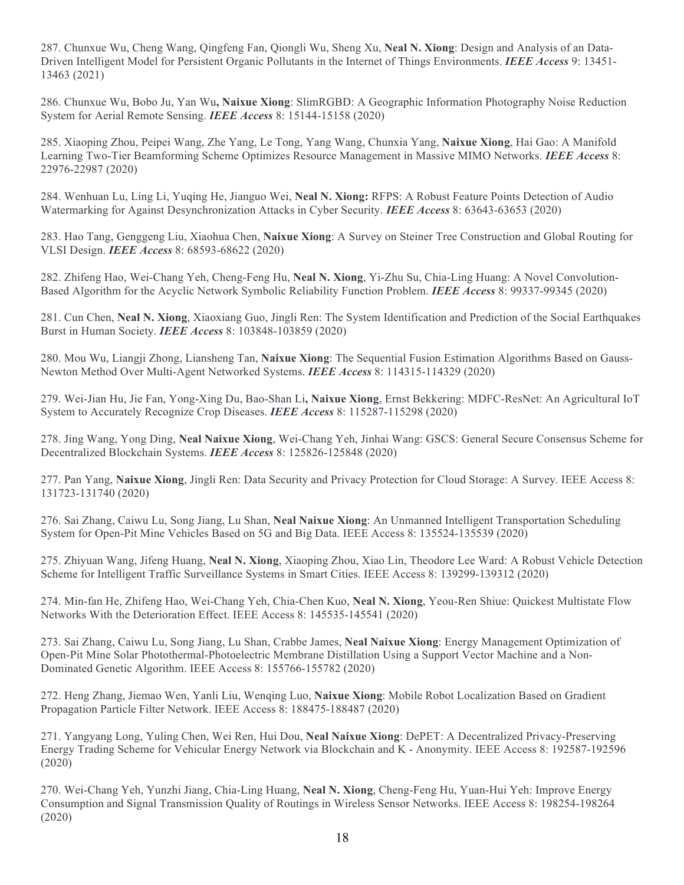287. Chunxue Wu, Cheng Wang, Qingfeng Fan, Qiongli Wu, Sheng Xu, **Neal N. Xiong**: Design and Analysis of an Data-Driven Intelligent Model for Persistent Organic Pollutants in the Internet of Things Environments. *IEEE Access* 9: 13451- 13463 (2021)

286. Chunxue Wu, Bobo Ju, Yan Wu**, Naixue Xiong**: SlimRGBD: A Geographic Information Photography Noise Reduction System for Aerial Remote Sensing. *IEEE Access* 8: 15144-15158 (2020)

285. Xiaoping Zhou, Peipei Wang, Zhe Yang, Le Tong, Yang Wang, Chunxia Yang, **Naixue Xiong**, Hai Gao: A Manifold Learning Two-Tier Beamforming Scheme Optimizes Resource Management in Massive MIMO Networks. *IEEE Access* 8: 22976-22987 (2020)

284. Wenhuan Lu, Ling Li, Yuqing He, Jianguo Wei, **Neal N. Xiong:** RFPS: A Robust Feature Points Detection of Audio Watermarking for Against Desynchronization Attacks in Cyber Security. *IEEE Access* 8: 63643-63653 (2020)

283. Hao Tang, Genggeng Liu, Xiaohua Chen, **Naixue Xiong**: A Survey on Steiner Tree Construction and Global Routing for VLSI Design. *IEEE Access* 8: 68593-68622 (2020)

282. Zhifeng Hao, Wei-Chang Yeh, Cheng-Feng Hu, **Neal N. Xiong**, Yi-Zhu Su, Chia-Ling Huang: A Novel Convolution-Based Algorithm for the Acyclic Network Symbolic Reliability Function Problem. *IEEE Access* 8: 99337-99345 (2020)

281. Cun Chen, **Neal N. Xiong**, Xiaoxiang Guo, Jingli Ren: The System Identification and Prediction of the Social Earthquakes Burst in Human Society. *IEEE Access* 8: 103848-103859 (2020)

280. Mou Wu, Liangji Zhong, Liansheng Tan, **Naixue Xiong**: The Sequential Fusion Estimation Algorithms Based on Gauss-Newton Method Over Multi-Agent Networked Systems. *IEEE Access* 8: 114315-114329 (2020)

279. Wei-Jian Hu, Jie Fan, Yong-Xing Du, Bao-Shan Li**, Naixue Xiong**, Ernst Bekkering: MDFC-ResNet: An Agricultural IoT System to Accurately Recognize Crop Diseases. *IEEE Access* 8: 115287-115298 (2020)

278. Jing Wang, Yong Ding, **Neal Naixue Xiong**, Wei-Chang Yeh, Jinhai Wang: GSCS: General Secure Consensus Scheme for Decentralized Blockchain Systems. *IEEE Access* 8: 125826-125848 (2020)

277. Pan Yang, **Naixue Xiong**, Jingli Ren: Data Security and Privacy Protection for Cloud Storage: A Survey. IEEE Access 8: 131723-131740 (2020)

276. Sai Zhang, Caiwu Lu, Song Jiang, Lu Shan, **Neal Naixue Xiong**: An Unmanned Intelligent Transportation Scheduling System for Open-Pit Mine Vehicles Based on 5G and Big Data. IEEE Access 8: 135524-135539 (2020)

275. Zhiyuan Wang, Jifeng Huang, **Neal N. Xiong**, Xiaoping Zhou, Xiao Lin, Theodore Lee Ward: A Robust Vehicle Detection Scheme for Intelligent Traffic Surveillance Systems in Smart Cities. IEEE Access 8: 139299-139312 (2020)

274. Min-fan He, Zhifeng Hao, Wei-Chang Yeh, Chia-Chen Kuo, **Neal N. Xiong**, Yeou-Ren Shiue: Quickest Multistate Flow Networks With the Deterioration Effect. IEEE Access 8: 145535-145541 (2020)

273. Sai Zhang, Caiwu Lu, Song Jiang, Lu Shan, Crabbe James, **Neal Naixue Xiong**: Energy Management Optimization of Open-Pit Mine Solar Photothermal-Photoelectric Membrane Distillation Using a Support Vector Machine and a Non-Dominated Genetic Algorithm. IEEE Access 8: 155766-155782 (2020)

272. Heng Zhang, Jiemao Wen, Yanli Liu, Wenqing Luo, **Naixue Xiong**: Mobile Robot Localization Based on Gradient Propagation Particle Filter Network. IEEE Access 8: 188475-188487 (2020)

271. Yangyang Long, Yuling Chen, Wei Ren, Hui Dou, **Neal Naixue Xiong**: DePET: A Decentralized Privacy-Preserving Energy Trading Scheme for Vehicular Energy Network via Blockchain and K - Anonymity. IEEE Access 8: 192587-192596 (2020)

270. Wei-Chang Yeh, Yunzhi Jiang, Chia-Ling Huang, **Neal N. Xiong**, Cheng-Feng Hu, Yuan-Hui Yeh: Improve Energy Consumption and Signal Transmission Quality of Routings in Wireless Sensor Networks. IEEE Access 8: 198254-198264 (2020)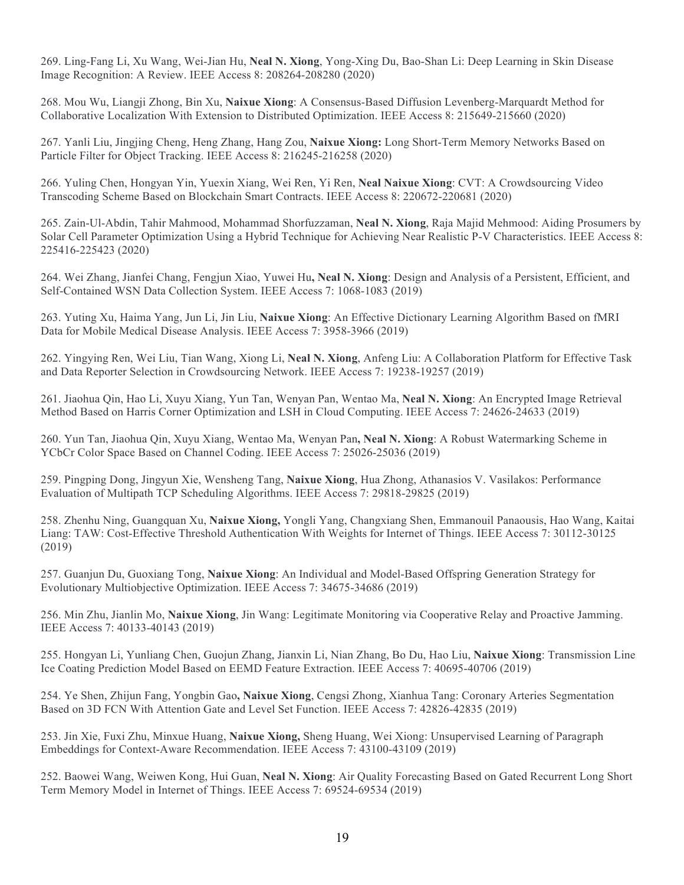269. Ling-Fang Li, Xu Wang, Wei-Jian Hu, **Neal N. Xiong**, Yong-Xing Du, Bao-Shan Li: Deep Learning in Skin Disease Image Recognition: A Review. IEEE Access 8: 208264-208280 (2020)

268. Mou Wu, Liangji Zhong, Bin Xu, **Naixue Xiong**: A Consensus-Based Diffusion Levenberg-Marquardt Method for Collaborative Localization With Extension to Distributed Optimization. IEEE Access 8: 215649-215660 (2020)

267. Yanli Liu, Jingjing Cheng, Heng Zhang, Hang Zou, **Naixue Xiong:** Long Short-Term Memory Networks Based on Particle Filter for Object Tracking. IEEE Access 8: 216245-216258 (2020)

266. Yuling Chen, Hongyan Yin, Yuexin Xiang, Wei Ren, Yi Ren, **Neal Naixue Xiong**: CVT: A Crowdsourcing Video Transcoding Scheme Based on Blockchain Smart Contracts. IEEE Access 8: 220672-220681 (2020)

265. Zain-Ul-Abdin, Tahir Mahmood, Mohammad Shorfuzzaman, **Neal N. Xiong**, Raja Majid Mehmood: Aiding Prosumers by Solar Cell Parameter Optimization Using a Hybrid Technique for Achieving Near Realistic P-V Characteristics. IEEE Access 8: 225416-225423 (2020)

264. Wei Zhang, Jianfei Chang, Fengjun Xiao, Yuwei Hu**, Neal N. Xiong**: Design and Analysis of a Persistent, Efficient, and Self-Contained WSN Data Collection System. IEEE Access 7: 1068-1083 (2019)

263. Yuting Xu, Haima Yang, Jun Li, Jin Liu, **Naixue Xiong**: An Effective Dictionary Learning Algorithm Based on fMRI Data for Mobile Medical Disease Analysis. IEEE Access 7: 3958-3966 (2019)

262. Yingying Ren, Wei Liu, Tian Wang, Xiong Li, **Neal N. Xiong**, Anfeng Liu: A Collaboration Platform for Effective Task and Data Reporter Selection in Crowdsourcing Network. IEEE Access 7: 19238-19257 (2019)

261. Jiaohua Qin, Hao Li, Xuyu Xiang, Yun Tan, Wenyan Pan, Wentao Ma, **Neal N. Xiong**: An Encrypted Image Retrieval Method Based on Harris Corner Optimization and LSH in Cloud Computing. IEEE Access 7: 24626-24633 (2019)

260. Yun Tan, Jiaohua Qin, Xuyu Xiang, Wentao Ma, Wenyan Pan**, Neal N. Xiong**: A Robust Watermarking Scheme in YCbCr Color Space Based on Channel Coding. IEEE Access 7: 25026-25036 (2019)

259. Pingping Dong, Jingyun Xie, Wensheng Tang, **Naixue Xiong**, Hua Zhong, Athanasios V. Vasilakos: Performance Evaluation of Multipath TCP Scheduling Algorithms. IEEE Access 7: 29818-29825 (2019)

258. Zhenhu Ning, Guangquan Xu, **Naixue Xiong,** Yongli Yang, Changxiang Shen, Emmanouil Panaousis, Hao Wang, Kaitai Liang: TAW: Cost-Effective Threshold Authentication With Weights for Internet of Things. IEEE Access 7: 30112-30125  $(2019)$ 

257. Guanjun Du, Guoxiang Tong, **Naixue Xiong**: An Individual and Model-Based Offspring Generation Strategy for Evolutionary Multiobjective Optimization. IEEE Access 7: 34675-34686 (2019)

256. Min Zhu, Jianlin Mo, **Naixue Xiong**, Jin Wang: Legitimate Monitoring via Cooperative Relay and Proactive Jamming. IEEE Access 7: 40133-40143 (2019)

255. Hongyan Li, Yunliang Chen, Guojun Zhang, Jianxin Li, Nian Zhang, Bo Du, Hao Liu, **Naixue Xiong**: Transmission Line Ice Coating Prediction Model Based on EEMD Feature Extraction. IEEE Access 7: 40695-40706 (2019)

254. Ye Shen, Zhijun Fang, Yongbin Gao**, Naixue Xiong**, Cengsi Zhong, Xianhua Tang: Coronary Arteries Segmentation Based on 3D FCN With Attention Gate and Level Set Function. IEEE Access 7: 42826-42835 (2019)

253. Jin Xie, Fuxi Zhu, Minxue Huang, **Naixue Xiong,** Sheng Huang, Wei Xiong: Unsupervised Learning of Paragraph Embeddings for Context-Aware Recommendation. IEEE Access 7: 43100-43109 (2019)

252. Baowei Wang, Weiwen Kong, Hui Guan, **Neal N. Xiong**: Air Quality Forecasting Based on Gated Recurrent Long Short Term Memory Model in Internet of Things. IEEE Access 7: 69524-69534 (2019)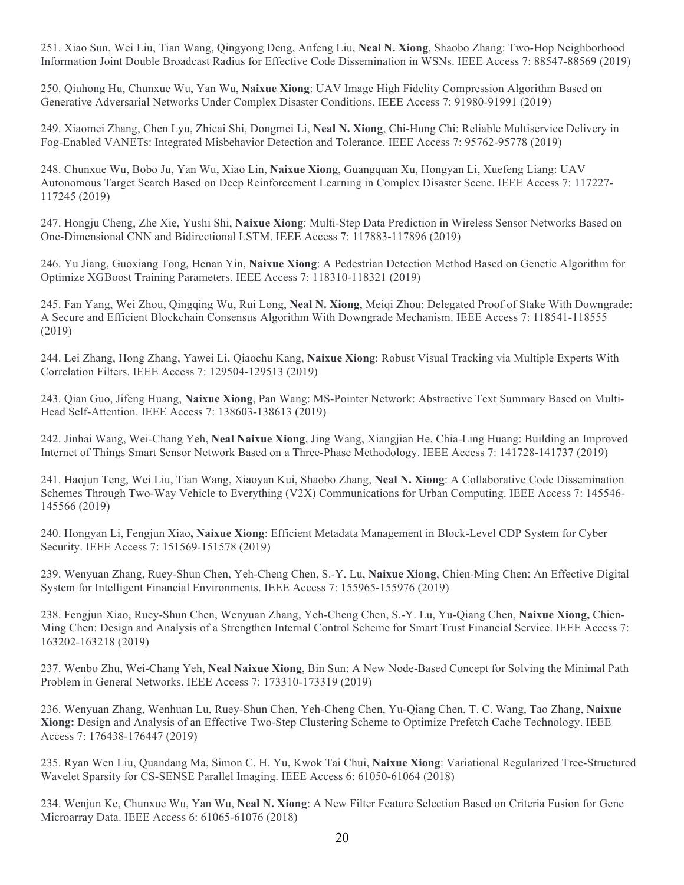251. Xiao Sun, Wei Liu, Tian Wang, Qingyong Deng, Anfeng Liu, **Neal N. Xiong**, Shaobo Zhang: Two-Hop Neighborhood Information Joint Double Broadcast Radius for Effective Code Dissemination in WSNs. IEEE Access 7: 88547-88569 (2019)

250. Qiuhong Hu, Chunxue Wu, Yan Wu, **Naixue Xiong**: UAV Image High Fidelity Compression Algorithm Based on Generative Adversarial Networks Under Complex Disaster Conditions. IEEE Access 7: 91980-91991 (2019)

249. Xiaomei Zhang, Chen Lyu, Zhicai Shi, Dongmei Li, **Neal N. Xiong**, Chi-Hung Chi: Reliable Multiservice Delivery in Fog-Enabled VANETs: Integrated Misbehavior Detection and Tolerance. IEEE Access 7: 95762-95778 (2019)

248. Chunxue Wu, Bobo Ju, Yan Wu, Xiao Lin, **Naixue Xiong**, Guangquan Xu, Hongyan Li, Xuefeng Liang: UAV Autonomous Target Search Based on Deep Reinforcement Learning in Complex Disaster Scene. IEEE Access 7: 117227- 117245 (2019)

247. Hongju Cheng, Zhe Xie, Yushi Shi, **Naixue Xiong**: Multi-Step Data Prediction in Wireless Sensor Networks Based on One-Dimensional CNN and Bidirectional LSTM. IEEE Access 7: 117883-117896 (2019)

246. Yu Jiang, Guoxiang Tong, Henan Yin, **Naixue Xiong**: A Pedestrian Detection Method Based on Genetic Algorithm for Optimize XGBoost Training Parameters. IEEE Access 7: 118310-118321 (2019)

245. Fan Yang, Wei Zhou, Qingqing Wu, Rui Long, **Neal N. Xiong**, Meiqi Zhou: Delegated Proof of Stake With Downgrade: A Secure and Efficient Blockchain Consensus Algorithm With Downgrade Mechanism. IEEE Access 7: 118541-118555 (2019)

244. Lei Zhang, Hong Zhang, Yawei Li, Qiaochu Kang, **Naixue Xiong**: Robust Visual Tracking via Multiple Experts With Correlation Filters. IEEE Access 7: 129504-129513 (2019)

243. Qian Guo, Jifeng Huang, **Naixue Xiong**, Pan Wang: MS-Pointer Network: Abstractive Text Summary Based on Multi-Head Self-Attention. IEEE Access 7: 138603-138613 (2019)

242. Jinhai Wang, Wei-Chang Yeh, **Neal Naixue Xiong**, Jing Wang, Xiangjian He, Chia-Ling Huang: Building an Improved Internet of Things Smart Sensor Network Based on a Three-Phase Methodology. IEEE Access 7: 141728-141737 (2019)

241. Haojun Teng, Wei Liu, Tian Wang, Xiaoyan Kui, Shaobo Zhang, **Neal N. Xiong**: A Collaborative Code Dissemination Schemes Through Two-Way Vehicle to Everything (V2X) Communications for Urban Computing. IEEE Access 7: 145546- 145566 (2019)

240. Hongyan Li, Fengjun Xiao**, Naixue Xiong**: Efficient Metadata Management in Block-Level CDP System for Cyber Security. IEEE Access 7: 151569-151578 (2019)

239. Wenyuan Zhang, Ruey-Shun Chen, Yeh-Cheng Chen, S.-Y. Lu, **Naixue Xiong**, Chien-Ming Chen: An Effective Digital System for Intelligent Financial Environments. IEEE Access 7: 155965-155976 (2019)

238. Fengjun Xiao, Ruey-Shun Chen, Wenyuan Zhang, Yeh-Cheng Chen, S.-Y. Lu, Yu-Qiang Chen, **Naixue Xiong,** Chien-Ming Chen: Design and Analysis of a Strengthen Internal Control Scheme for Smart Trust Financial Service. IEEE Access 7: 163202-163218 (2019)

237. Wenbo Zhu, Wei-Chang Yeh, **Neal Naixue Xiong**, Bin Sun: A New Node-Based Concept for Solving the Minimal Path Problem in General Networks. IEEE Access 7: 173310-173319 (2019)

236. Wenyuan Zhang, Wenhuan Lu, Ruey-Shun Chen, Yeh-Cheng Chen, Yu-Qiang Chen, T. C. Wang, Tao Zhang, **Naixue Xiong:** Design and Analysis of an Effective Two-Step Clustering Scheme to Optimize Prefetch Cache Technology. IEEE Access 7: 176438-176447 (2019)

235. Ryan Wen Liu, Quandang Ma, Simon C. H. Yu, Kwok Tai Chui, **Naixue Xiong**: Variational Regularized Tree-Structured Wavelet Sparsity for CS-SENSE Parallel Imaging. IEEE Access 6: 61050-61064 (2018)

234. Wenjun Ke, Chunxue Wu, Yan Wu, **Neal N. Xiong**: A New Filter Feature Selection Based on Criteria Fusion for Gene Microarray Data. IEEE Access 6: 61065-61076 (2018)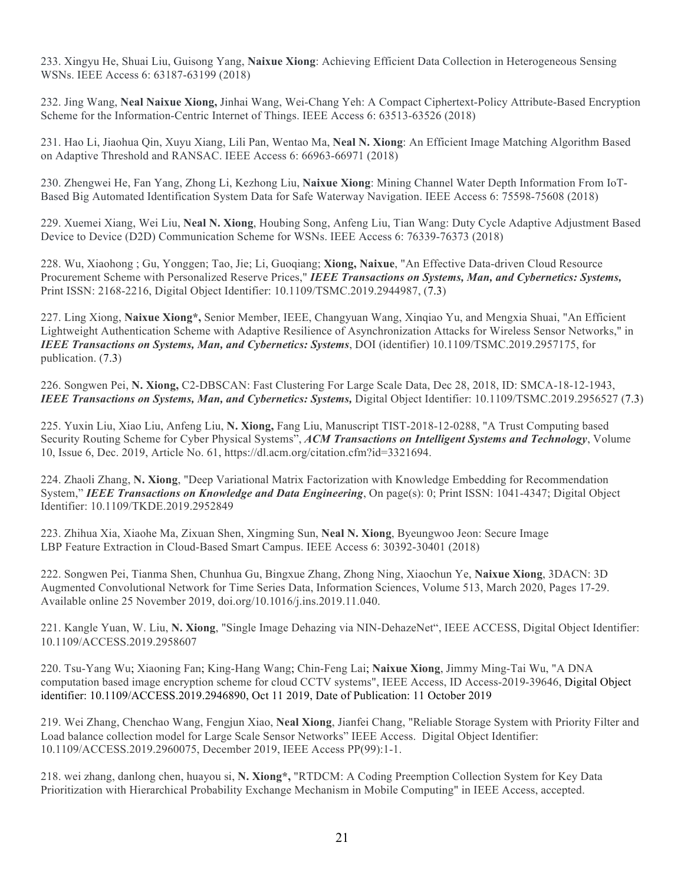233. Xingyu He, Shuai Liu, Guisong Yang, **Naixue Xiong**: Achieving Efficient Data Collection in Heterogeneous Sensing WSNs. IEEE Access 6: 63187-63199 (2018)

232. Jing Wang, **Neal Naixue Xiong,** Jinhai Wang, Wei-Chang Yeh: A Compact Ciphertext-Policy Attribute-Based Encryption Scheme for the Information-Centric Internet of Things. IEEE Access 6: 63513-63526 (2018)

231. Hao Li, Jiaohua Qin, Xuyu Xiang, Lili Pan, Wentao Ma, **Neal N. Xiong**: An Efficient Image Matching Algorithm Based on Adaptive Threshold and RANSAC. IEEE Access 6: 66963-66971 (2018)

230. Zhengwei He, Fan Yang, Zhong Li, Kezhong Liu, **Naixue Xiong**: Mining Channel Water Depth Information From IoT-Based Big Automated Identification System Data for Safe Waterway Navigation. IEEE Access 6: 75598-75608 (2018)

229. Xuemei Xiang, Wei Liu, **Neal N. Xiong**, Houbing Song, Anfeng Liu, Tian Wang: Duty Cycle Adaptive Adjustment Based Device to Device (D2D) Communication Scheme for WSNs. IEEE Access 6: 76339-76373 (2018)

228. Wu, Xiaohong ; Gu, Yonggen; Tao, Jie; Li, Guoqiang; **Xiong, Naixue**, "An Effective Data-driven Cloud Resource Procurement Scheme with Personalized Reserve Prices," *IEEE Transactions on Systems, Man, and Cybernetics: Systems,* Print ISSN: 2168-2216, Digital Object Identifier: 10.1109/TSMC.2019.2944987, (7.3)

227. Ling Xiong, **Naixue Xiong\*,** Senior Member, IEEE, Changyuan Wang, Xinqiao Yu, and Mengxia Shuai, "An Efficient Lightweight Authentication Scheme with Adaptive Resilience of Asynchronization Attacks for Wireless Sensor Networks," in *IEEE Transactions on Systems, Man, and Cybernetics: Systems*, DOI (identifier) 10.1109/TSMC.2019.2957175, for publication. (7.3)

226. Songwen Pei, **N. Xiong,** C2-DBSCAN: Fast Clustering For Large Scale Data, Dec 28, 2018, ID: SMCA-18-12-1943, *IEEE Transactions on Systems, Man, and Cybernetics: Systems,* Digital Object Identifier: 10.1109/TSMC.2019.2956527 (7.3)

225. Yuxin Liu, Xiao Liu, Anfeng Liu, **N. Xiong,** Fang Liu, Manuscript TIST-2018-12-0288, "A Trust Computing based Security Routing Scheme for Cyber Physical Systems", *ACM Transactions on Intelligent Systems and Technology*, Volume 10, Issue 6, Dec. 2019, Article No. 61, https://dl.acm.org/citation.cfm?id=3321694.

224. Zhaoli Zhang, **N. Xiong**, "Deep Variational Matrix Factorization with Knowledge Embedding for Recommendation System," *IEEE Transactions on Knowledge and Data Engineering*, On page(s): 0; Print ISSN: 1041-4347; Digital Object Identifier: 10.1109/TKDE.2019.2952849

223. Zhihua Xia, Xiaohe Ma, Zixuan Shen, Xingming Sun, **Neal N. Xiong**, Byeungwoo Jeon: Secure Image LBP Feature Extraction in Cloud-Based Smart Campus. IEEE Access 6: 30392-30401 (2018)

222. Songwen Pei, Tianma Shen, Chunhua Gu, Bingxue Zhang, Zhong Ning, Xiaochun Ye, **Naixue Xiong**, 3DACN: 3D Augmented Convolutional Network for Time Series Data, Information Sciences, Volume 513, March 2020, Pages 17-29. Available online 25 November 2019, doi.org/10.1016/j.ins.2019.11.040.

221. Kangle Yuan, W. Liu, **N. Xiong**, "Single Image Dehazing via NIN-DehazeNet", IEEE ACCESS, Digital Object Identifier: 10.1109/ACCESS.2019.2958607

220. Tsu-Yang Wu; Xiaoning Fan; King-Hang Wang; Chin-Feng Lai; **Naixue Xiong**, Jimmy Ming-Tai Wu, "A DNA computation based image encryption scheme for cloud CCTV systems", IEEE Access, ID Access-2019-39646, Digital Object identifier: 10.1109/ACCESS.2019.2946890, Oct 11 2019, Date of Publication: 11 October 2019

219. Wei Zhang, Chenchao Wang, Fengjun Xiao, **Neal Xiong**, Jianfei Chang, "Reliable Storage System with Priority Filter and Load balance collection model for Large Scale Sensor Networks" IEEE Access. Digital Object Identifier: 10.1109/ACCESS.2019.2960075, December 2019, IEEE Access PP(99):1-1.

218. wei zhang, danlong chen, huayou si, **N. Xiong\*,** "RTDCM: A Coding Preemption Collection System for Key Data Prioritization with Hierarchical Probability Exchange Mechanism in Mobile Computing" in IEEE Access, accepted.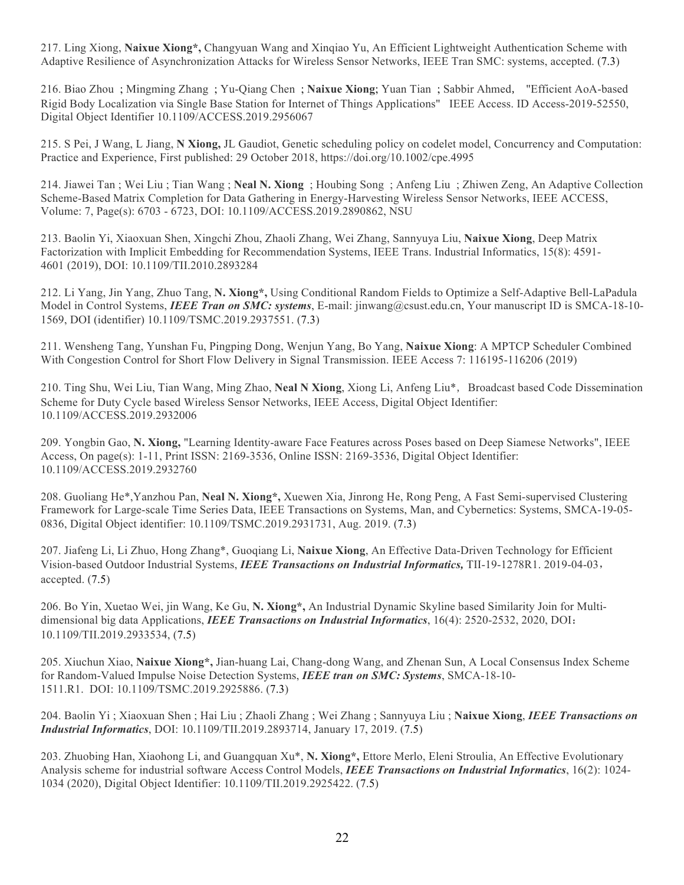217. Ling Xiong, **Naixue Xiong\*,** Changyuan Wang and Xinqiao Yu, An Efficient Lightweight Authentication Scheme with Adaptive Resilience of Asynchronization Attacks for Wireless Sensor Networks, IEEE Tran SMC: systems, accepted. (7.3)

216. Biao Zhou ; Mingming Zhang ; Yu-Qiang Chen ; **Naixue Xiong**; Yuan Tian ; Sabbir Ahmed, "Efficient AoA-based Rigid Body Localization via Single Base Station for Internet of Things Applications" IEEE Access. ID Access-2019-52550, Digital Object Identifier 10.1109/ACCESS.2019.2956067

215. S Pei, J Wang, L Jiang, **N Xiong,** JL Gaudiot, Genetic scheduling policy on codelet model, Concurrency and Computation: Practice and Experience, First published: 29 October 2018, https://doi.org/10.1002/cpe.4995

214. Jiawei Tan ; Wei Liu ; Tian Wang ; **Neal N. Xiong** ; Houbing Song ; Anfeng Liu ; Zhiwen Zeng, An Adaptive Collection Scheme-Based Matrix Completion for Data Gathering in Energy-Harvesting Wireless Sensor Networks, IEEE ACCESS, Volume: 7, Page(s): 6703 - 6723, DOI: 10.1109/ACCESS.2019.2890862, NSU

213. Baolin Yi, Xiaoxuan Shen, Xingchi Zhou, Zhaoli Zhang, Wei Zhang, Sannyuya Liu, **Naixue Xiong**, Deep Matrix Factorization with Implicit Embedding for Recommendation Systems, IEEE Trans. Industrial Informatics, 15(8): 4591- 4601 (2019), DOI: 10.1109/TII.2010.2893284

212. Li Yang, Jin Yang, Zhuo Tang, **N. Xiong\*,** Using Conditional Random Fields to Optimize a Self-Adaptive Bell-LaPadula Model in Control Systems, *IEEE Tran on SMC: systems*, E-mail: jinwang@csust.edu.cn, Your manuscript ID is SMCA-18-10- 1569, DOI (identifier) 10.1109/TSMC.2019.2937551. (7.3)

211. Wensheng Tang, Yunshan Fu, Pingping Dong, Wenjun Yang, Bo Yang, **Naixue Xiong**: A MPTCP Scheduler Combined With Congestion Control for Short Flow Delivery in Signal Transmission. IEEE Access 7: 116195-116206 (2019)

210. Ting Shu, Wei Liu, Tian Wang, Ming Zhao, **Neal N Xiong**, Xiong Li, Anfeng Liu\*,Broadcast based Code Dissemination Scheme for Duty Cycle based Wireless Sensor Networks, IEEE Access, Digital Object Identifier: 10.1109/ACCESS.2019.2932006

209. Yongbin Gao, **N. Xiong,** "Learning Identity-aware Face Features across Poses based on Deep Siamese Networks", IEEE Access, On page(s): 1-11, Print ISSN: 2169-3536, Online ISSN: 2169-3536, Digital Object Identifier: 10.1109/ACCESS.2019.2932760

208. Guoliang He\*,Yanzhou Pan, **Neal N. Xiong\*,** Xuewen Xia, Jinrong He, Rong Peng, A Fast Semi-supervised Clustering Framework for Large-scale Time Series Data, IEEE Transactions on Systems, Man, and Cybernetics: Systems, SMCA-19-05- 0836, Digital Object identifier: 10.1109/TSMC.2019.2931731, Aug. 2019. (7.3)

207. Jiafeng Li, Li Zhuo, Hong Zhang\*, Guoqiang Li, **Naixue Xiong**, An Effective Data-Driven Technology for Efficient Vision-based Outdoor Industrial Systems, *IEEE Transactions on Industrial Informatics,* TII-19-1278R1. 2019-04-03, accepted. (7.5)

206. Bo Yin, Xuetao Wei, jin Wang, Ke Gu, **N. Xiong\*,** An Industrial Dynamic Skyline based Similarity Join for Multidimensional big data Applications, *IEEE Transactions on Industrial Informatics*, 16(4): 2520-2532, 2020, DOI: 10.1109/TII.2019.2933534, (7.5)

205. Xiuchun Xiao, **Naixue Xiong\*,** Jian-huang Lai, Chang-dong Wang, and Zhenan Sun, A Local Consensus Index Scheme for Random-Valued Impulse Noise Detection Systems, *IEEE tran on SMC: Systems*, SMCA-18-10- 1511.R1. DOI: 10.1109/TSMC.2019.2925886. (7.3)

204. Baolin Yi ; Xiaoxuan Shen ; Hai Liu ; Zhaoli Zhang ; Wei Zhang ; Sannyuya Liu ; **Naixue Xiong**, *IEEE Transactions on Industrial Informatics*, DOI: 10.1109/TII.2019.2893714, January 17, 2019. (7.5)

203. Zhuobing Han, Xiaohong Li, and Guangquan Xu\*, **N. Xiong\*,** Ettore Merlo, Eleni Stroulia, An Effective Evolutionary Analysis scheme for industrial software Access Control Models, *IEEE Transactions on Industrial Informatics*, 16(2): 1024- 1034 (2020), Digital Object Identifier: 10.1109/TII.2019.2925422. (7.5)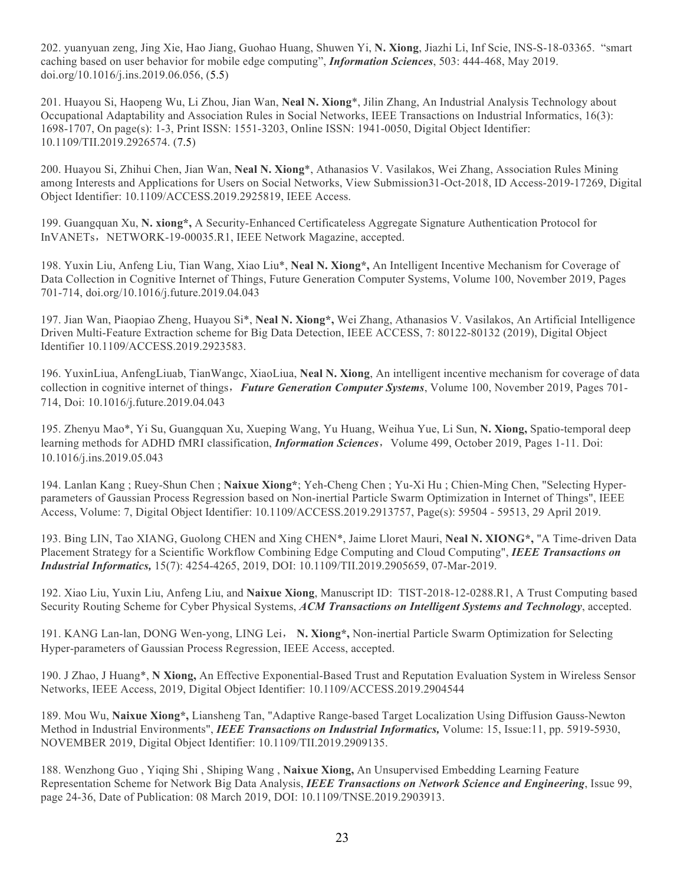202. yuanyuan zeng, Jing Xie, Hao Jiang, Guohao Huang, Shuwen Yi, **N. Xiong**, Jiazhi Li, Inf Scie, INS-S-18-03365. "smart caching based on user behavior for mobile edge computing", *Information Sciences*, 503: 444-468, May 2019. doi.org/10.1016/j.ins.2019.06.056, (5.5)

201. Huayou Si, Haopeng Wu, Li Zhou, Jian Wan, **Neal N. Xiong**\*, Jilin Zhang, An Industrial Analysis Technology about Occupational Adaptability and Association Rules in Social Networks, IEEE Transactions on Industrial Informatics, 16(3): 1698-1707, On page(s): 1-3, Print ISSN: 1551-3203, Online ISSN: 1941-0050, Digital Object Identifier: 10.1109/TII.2019.2926574. (7.5)

200. Huayou Si, Zhihui Chen, Jian Wan, **Neal N. Xiong**\*, Athanasios V. Vasilakos, Wei Zhang, Association Rules Mining among Interests and Applications for Users on Social Networks, View Submission31-Oct-2018, ID Access-2019-17269, Digital Object Identifier: 10.1109/ACCESS.2019.2925819, IEEE Access.

199. Guangquan Xu, **N. xiong\*,** A Security-Enhanced Certificateless Aggregate Signature Authentication Protocol for InVANETs, NETWORK-19-00035.R1, IEEE Network Magazine, accepted.

198. Yuxin Liu, Anfeng Liu, Tian Wang, Xiao Liu\*, **Neal N. Xiong\*,** An Intelligent Incentive Mechanism for Coverage of Data Collection in Cognitive Internet of Things, Future Generation Computer Systems, Volume 100, November 2019, Pages 701-714, doi.org/10.1016/j.future.2019.04.043

197. Jian Wan, Piaopiao Zheng, Huayou Si\*, **Neal N. Xiong\*,** Wei Zhang, Athanasios V. Vasilakos, An Artificial Intelligence Driven Multi-Feature Extraction scheme for Big Data Detection, IEEE ACCESS, 7: 80122-80132 (2019), Digital Object Identifier 10.1109/ACCESS.2019.2923583.

196. YuxinLiua, AnfengLiuab, TianWangc, XiaoLiua, **Neal N. Xiong**, An intelligent incentive mechanism for coverage of data collection in cognitive internet of things,*Future Generation Computer Systems*, Volume 100, November 2019, Pages 701- 714, Doi: 10.1016/j.future.2019.04.043

195. Zhenyu Mao\*, Yi Su, Guangquan Xu, Xueping Wang, Yu Huang, Weihua Yue, Li Sun, **N. Xiong,** Spatio-temporal deep learning methods for ADHD fMRI classification, *Information Sciences*, Volume 499, October 2019, Pages 1-11. Doi: 10.1016/j.ins.2019.05.043

194. Lanlan Kang ; Ruey-Shun Chen ; **Naixue Xiong\***; Yeh-Cheng Chen ; Yu-Xi Hu ; Chien-Ming Chen, "Selecting Hyperparameters of Gaussian Process Regression based on Non-inertial Particle Swarm Optimization in Internet of Things", IEEE Access, Volume: 7, Digital Object Identifier: 10.1109/ACCESS.2019.2913757, Page(s): 59504 - 59513, 29 April 2019.

193. Bing LIN, Tao XIANG, Guolong CHEN and Xing CHEN\*, Jaime Lloret Mauri, **Neal N. XIONG\*,** "A Time-driven Data Placement Strategy for a Scientific Workflow Combining Edge Computing and Cloud Computing", *IEEE Transactions on Industrial Informatics,* 15(7): 4254-4265, 2019, DOI: 10.1109/TII.2019.2905659, 07-Mar-2019.

192. Xiao Liu, Yuxin Liu, Anfeng Liu, and **Naixue Xiong**, Manuscript ID: TIST-2018-12-0288.R1, A Trust Computing based Security Routing Scheme for Cyber Physical Systems, *ACM Transactions on Intelligent Systems and Technology*, accepted.

191. KANG Lan-lan, DONG Wen-yong, LING Lei, **N. Xiong\*,** Non-inertial Particle Swarm Optimization for Selecting Hyper-parameters of Gaussian Process Regression, IEEE Access, accepted.

190. J Zhao, J Huang\*, **N Xiong,** An Effective Exponential-Based Trust and Reputation Evaluation System in Wireless Sensor Networks, IEEE Access, 2019, Digital Object Identifier: 10.1109/ACCESS.2019.2904544

189. Mou Wu, **Naixue Xiong\*,** Liansheng Tan, "Adaptive Range-based Target Localization Using Diffusion Gauss-Newton Method in Industrial Environments", *IEEE Transactions on Industrial Informatics,* Volume: 15, Issue:11, pp. 5919-5930, NOVEMBER 2019, Digital Object Identifier: 10.1109/TII.2019.2909135.

188. Wenzhong Guo , Yiqing Shi , Shiping Wang , **Naixue Xiong,** An Unsupervised Embedding Learning Feature Representation Scheme for Network Big Data Analysis, *IEEE Transactions on Network Science and Engineering*, Issue 99, page 24-36, Date of Publication: 08 March 2019, DOI: 10.1109/TNSE.2019.2903913.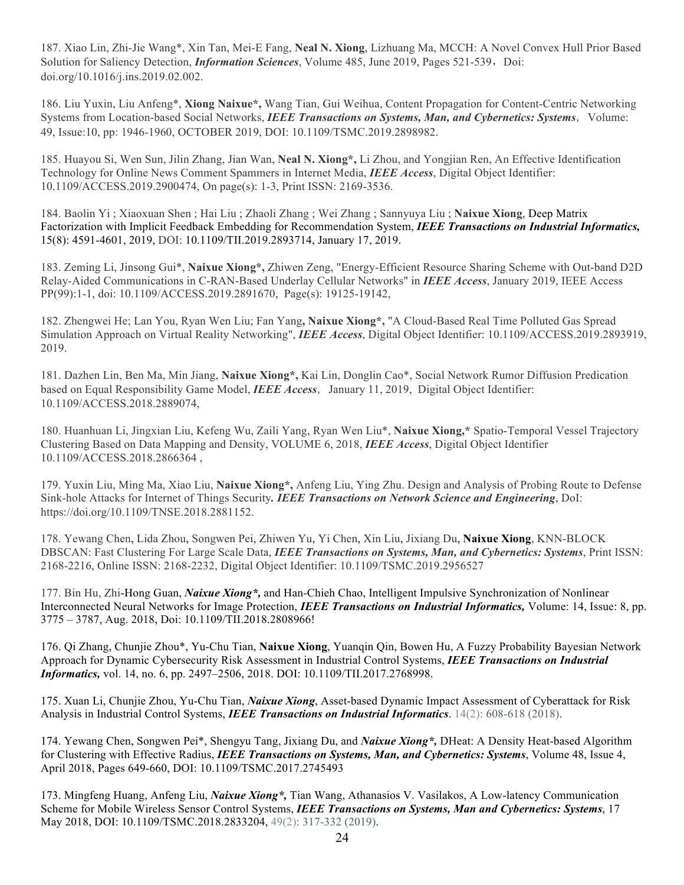187. Xiao Lin, Zhi-Jie Wang\*, Xin Tan, Mei-E Fang, **Neal N. Xiong**, Lizhuang Ma, MCCH: A Novel Convex Hull Prior Based Solution for Saliency Detection, *Information Sciences*, Volume 485, June 2019, Pages 521-539, Doi: doi.org/10.1016/j.ins.2019.02.002.

186. Liu Yuxin, Liu Anfeng\*, **Xiong Naixue\*,** Wang Tian, Gui Weihua, Content Propagation for Content-Centric Networking Systems from Location-based Social Networks, *IEEE Transactions on Systems, Man, and Cybernetics: Systems*, Volume: 49, Issue:10, pp: 1946-1960, OCTOBER 2019, DOI: 10.1109/TSMC.2019.2898982.

185. Huayou Si, Wen Sun, Jilin Zhang, Jian Wan, **Neal N. Xiong\*,** Li Zhou, and Yongjian Ren, An Effective Identification Technology for Online News Comment Spammers in Internet Media, *IEEE Access*, Digital Object Identifier: 10.1109/ACCESS.2019.2900474, On page(s): 1-3, Print ISSN: 2169-3536.

184. Baolin Yi ; Xiaoxuan Shen ; Hai Liu ; Zhaoli Zhang ; Wei Zhang ; Sannyuya Liu ; **Naixue Xiong**, Deep Matrix Factorization with Implicit Feedback Embedding for Recommendation System, *IEEE Transactions on Industrial Informatics,* 15(8): 4591-4601, 2019, DOI: 10.1109/TII.2019.2893714, January 17, 2019.

183. Zeming Li, Jinsong Gui\*, **Naixue Xiong\*,** Zhiwen Zeng, "Energy-Efficient Resource Sharing Scheme with Out-band D2D Relay-Aided Communications in C-RAN-Based Underlay Cellular Networks" in *IEEE Access*, January 2019, IEEE Access PP(99):1-1, doi: 10.1109/ACCESS.2019.2891670, Page(s): 19125-19142,

182. Zhengwei He; Lan You, Ryan Wen Liu; Fan Yang**, Naixue Xiong\*,** "A Cloud-Based Real Time Polluted Gas Spread Simulation Approach on Virtual Reality Networking", *IEEE Access*, Digital Object Identifier: 10.1109/ACCESS.2019.2893919, 2019.

181. Dazhen Lin, Ben Ma, Min Jiang, **Naixue Xiong\*,** Kai Lin, Donglin Cao\*, Social Network Rumor Diffusion Predication based on Equal Responsibility Game Model, *IEEE Access*,January 11, 2019, Digital Object Identifier: 10.1109/ACCESS.2018.2889074,

180. Huanhuan Li, Jingxian Liu, Kefeng Wu, Zaili Yang, Ryan Wen Liu\*, **Naixue Xiong,\*** Spatio-Temporal Vessel Trajectory Clustering Based on Data Mapping and Density, VOLUME 6, 2018, *IEEE Access*, Digital Object Identifier 10.1109/ACCESS.2018.2866364 ,

179. Yuxin Liu, Ming Ma, Xiao Liu, **Naixue Xiong\*,** Anfeng Liu, Ying Zhu. Design and Analysis of Probing Route to Defense Sink-hole Attacks for Internet of Things Security*. IEEE Transactions on Network Science and Engineering*, DoI: https://doi.org/10.1109/TNSE.2018.2881152.

178. Yewang Chen, Lida Zhou, Songwen Pei, Zhiwen Yu, Yi Chen, Xin Liu, Jixiang Du, **Naixue Xiong**, KNN-BLOCK DBSCAN: Fast Clustering For Large Scale Data, *IEEE Transactions on Systems, Man, and Cybernetics: Systems*, Print ISSN: 2168-2216, Online ISSN: 2168-2232, Digital Object Identifier: 10.1109/TSMC.2019.2956527

177. Bin Hu, Zhi-Hong Guan, *Naixue Xiong\*,* and Han-Chieh Chao, Intelligent Impulsive Synchronization of Nonlinear Interconnected Neural Networks for Image Protection, *IEEE Transactions on Industrial Informatics,* Volume: 14, Issue: 8, pp. 3775 – 3787, Aug. 2018, Doi: 10.1109/TII.2018.2808966!

176. Qi Zhang, Chunjie Zhou\*, Yu-Chu Tian, **Naixue Xiong**, Yuanqin Qin, Bowen Hu, A Fuzzy Probability Bayesian Network Approach for Dynamic Cybersecurity Risk Assessment in Industrial Control Systems, *IEEE Transactions on Industrial Informatics,* vol. 14, no. 6, pp. 2497–2506, 2018. DOI: 10.1109/TII.2017.2768998.

175. Xuan Li, Chunjie Zhou, Yu-Chu Tian, *Naixue Xiong*, Asset-based Dynamic Impact Assessment of Cyberattack for Risk Analysis in Industrial Control Systems, *IEEE Transactions on Industrial Informatics*. 14(2): 608-618 (2018).

174. Yewang Chen, Songwen Pei\*, Shengyu Tang, Jixiang Du, and *Naixue Xiong\*,* DHeat: A Density Heat-based Algorithm for Clustering with Effective Radius, *IEEE Transactions on Systems, Man, and Cybernetics: Systems*, Volume 48, Issue 4, April 2018, Pages 649-660, DOI: 10.1109/TSMC.2017.2745493

173. Mingfeng Huang, Anfeng Liu, *Naixue Xiong\*,* Tian Wang, Athanasios V. Vasilakos, A Low-latency Communication Scheme for Mobile Wireless Sensor Control Systems, *IEEE Transactions on Systems, Man and Cybernetics: Systems*, 17 May 2018, DOI: 10.1109/TSMC.2018.2833204, 49(2): 317-332 (2019).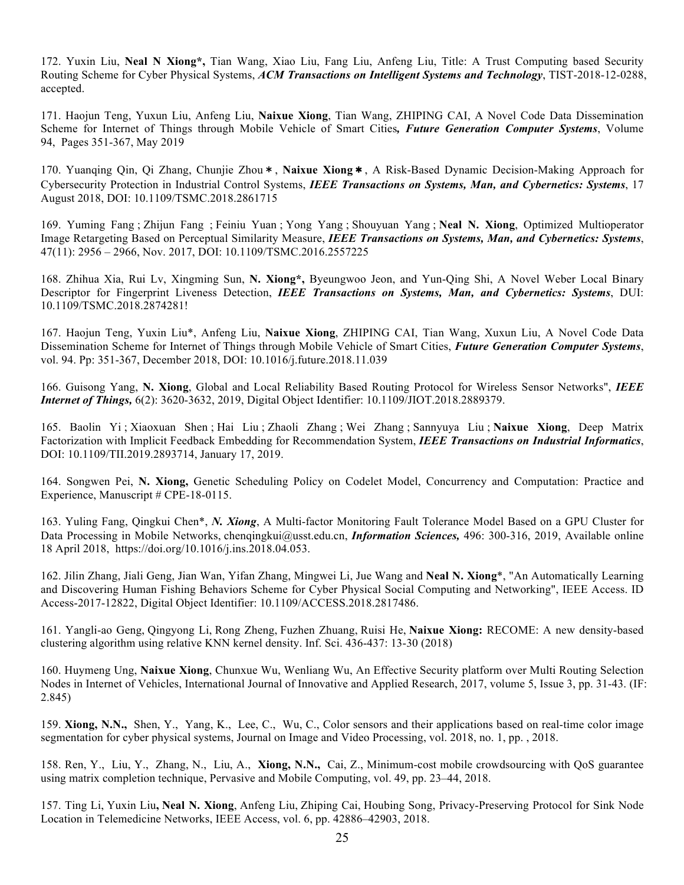172. Yuxin Liu, **Neal N Xiong\*,** Tian Wang, Xiao Liu, Fang Liu, Anfeng Liu, Title: A Trust Computing based Security Routing Scheme for Cyber Physical Systems, *ACM Transactions on Intelligent Systems and Technology*, TIST-2018-12-0288, accepted.

171. Haojun Teng, Yuxun Liu, Anfeng Liu, **Naixue Xiong**, Tian Wang, ZHIPING CAI, A Novel Code Data Dissemination Scheme for Internet of Things through Mobile Vehicle of Smart Cities*, Future Generation Computer Systems*, Volume 94, Pages 351-367, May 2019

170. Yuanqing Qin, Qi Zhang, Chunjie Zhou\*, **Naixue Xiong**\*, A Risk-Based Dynamic Decision-Making Approach for Cybersecurity Protection in Industrial Control Systems, *IEEE Transactions on Systems, Man, and Cybernetics: Systems*, 17 August 2018, DOI: 10.1109/TSMC.2018.2861715

169. Yuming Fang ; Zhijun Fang ; Feiniu Yuan ; Yong Yang ; Shouyuan Yang ; **Neal N. Xiong**, Optimized Multioperator Image Retargeting Based on Perceptual Similarity Measure, *IEEE Transactions on Systems, Man, and Cybernetics: Systems*, 47(11): 2956 – 2966, Nov. 2017, DOI: 10.1109/TSMC.2016.2557225

168. Zhihua Xia, Rui Lv, Xingming Sun, **N. Xiong\*,** Byeungwoo Jeon, and Yun-Qing Shi, A Novel Weber Local Binary Descriptor for Fingerprint Liveness Detection, *IEEE Transactions on Systems, Man, and Cybernetics: Systems*, DUI: 10.1109/TSMC.2018.2874281!

167. Haojun Teng, Yuxin Liu\*, Anfeng Liu, **Naixue Xiong**, ZHIPING CAI, Tian Wang, Xuxun Liu, A Novel Code Data Dissemination Scheme for Internet of Things through Mobile Vehicle of Smart Cities, *Future Generation Computer Systems*, vol. 94. Pp: 351-367, December 2018, DOI: 10.1016/j.future.2018.11.039

166. Guisong Yang, **N. Xiong**, Global and Local Reliability Based Routing Protocol for Wireless Sensor Networks", *IEEE Internet of Things,* 6(2): 3620-3632, 2019, Digital Object Identifier: 10.1109/JIOT.2018.2889379.

165. Baolin Yi ; Xiaoxuan Shen ; Hai Liu ; Zhaoli Zhang ; Wei Zhang ; Sannyuya Liu ; **Naixue Xiong**, Deep Matrix Factorization with Implicit Feedback Embedding for Recommendation System, *IEEE Transactions on Industrial Informatics*, DOI: 10.1109/TII.2019.2893714, January 17, 2019.

164. Songwen Pei, **N. Xiong,** Genetic Scheduling Policy on Codelet Model, Concurrency and Computation: Practice and Experience, Manuscript # CPE-18-0115.

163. Yuling Fang, Qingkui Chen\*, *N. Xiong*, A Multi-factor Monitoring Fault Tolerance Model Based on a GPU Cluster for Data Processing in Mobile Networks, chenqingkui@usst.edu.cn, *Information Sciences,* 496: 300-316, 2019, Available online 18 April 2018, https://doi.org/10.1016/j.ins.2018.04.053.

162. Jilin Zhang, Jiali Geng, Jian Wan, Yifan Zhang, Mingwei Li, Jue Wang and **Neal N. Xiong**\*, "An Automatically Learning and Discovering Human Fishing Behaviors Scheme for Cyber Physical Social Computing and Networking", IEEE Access. ID Access-2017-12822, Digital Object Identifier: 10.1109/ACCESS.2018.2817486.

161. Yangli-ao Geng, Qingyong Li, Rong Zheng, Fuzhen Zhuang, Ruisi He, **Naixue Xiong:** RECOME: A new density-based clustering algorithm using relative KNN kernel density. Inf. Sci. 436-437: 13-30 (2018)

160. Huymeng Ung, **Naixue Xiong**, Chunxue Wu, Wenliang Wu, An Effective Security platform over Multi Routing Selection Nodes in Internet of Vehicles, International Journal of Innovative and Applied Research, 2017, volume 5, Issue 3, pp. 31-43. (IF: 2.845)

159. **Xiong, N.N.,** Shen, Y., Yang, K., Lee, C., Wu, C., Color sensors and their applications based on real-time color image segmentation for cyber physical systems, Journal on Image and Video Processing, vol. 2018, no. 1, pp. , 2018.

158. Ren, Y., Liu, Y., Zhang, N., Liu, A., **Xiong, N.N.,** Cai, Z., Minimum-cost mobile crowdsourcing with QoS guarantee using matrix completion technique, Pervasive and Mobile Computing, vol. 49, pp. 23–44, 2018.

157. Ting Li, Yuxin Liu**, Neal N. Xiong**, Anfeng Liu, Zhiping Cai, Houbing Song, Privacy-Preserving Protocol for Sink Node Location in Telemedicine Networks, IEEE Access, vol. 6, pp. 42886–42903, 2018.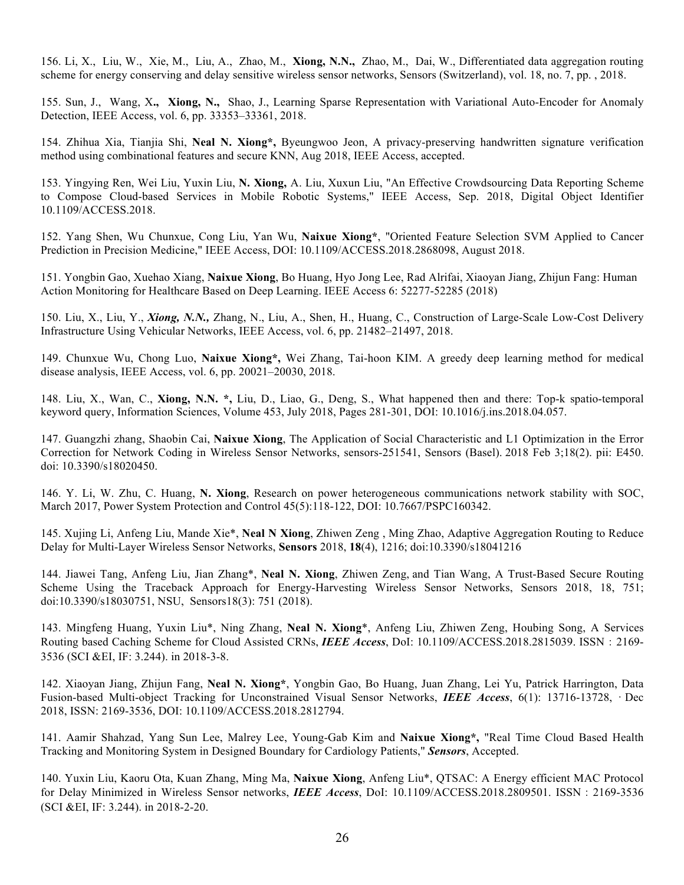156. Li, X., Liu, W., Xie, M., Liu, A., Zhao, M., **Xiong, N.N.,** Zhao, M., Dai, W., Differentiated data aggregation routing scheme for energy conserving and delay sensitive wireless sensor networks, Sensors (Switzerland), vol. 18, no. 7, pp. , 2018.

155. Sun, J., Wang, X**., Xiong, N.,** Shao, J., Learning Sparse Representation with Variational Auto-Encoder for Anomaly Detection, IEEE Access, vol. 6, pp. 33353–33361, 2018.

154. Zhihua Xia, Tianjia Shi, **Neal N. Xiong\*,** Byeungwoo Jeon, A privacy-preserving handwritten signature verification method using combinational features and secure KNN, Aug 2018, IEEE Access, accepted.

153. Yingying Ren, Wei Liu, Yuxin Liu, **N. Xiong,** A. Liu, Xuxun Liu, "An Effective Crowdsourcing Data Reporting Scheme to Compose Cloud-based Services in Mobile Robotic Systems," IEEE Access, Sep. 2018, Digital Object Identifier 10.1109/ACCESS.2018.

152. Yang Shen, Wu Chunxue, Cong Liu, Yan Wu, **Naixue Xiong\***, "Oriented Feature Selection SVM Applied to Cancer Prediction in Precision Medicine," IEEE Access, DOI: 10.1109/ACCESS.2018.2868098, August 2018.

151. Yongbin Gao, Xuehao Xiang, **Naixue Xiong**, Bo Huang, Hyo Jong Lee, Rad Alrifai, Xiaoyan Jiang, Zhijun Fang: Human Action Monitoring for Healthcare Based on Deep Learning. IEEE Access 6: 52277-52285 (2018)

150. Liu, X., Liu, Y., *Xiong, N.N.,* Zhang, N., Liu, A., Shen, H., Huang, C., Construction of Large-Scale Low-Cost Delivery Infrastructure Using Vehicular Networks, IEEE Access, vol. 6, pp. 21482–21497, 2018.

149. Chunxue Wu, Chong Luo, **Naixue Xiong\*,** Wei Zhang, Tai-hoon KIM. A greedy deep learning method for medical disease analysis, IEEE Access, vol. 6, pp. 20021–20030, 2018.

148. Liu, X., Wan, C., **Xiong, N.N. \*,** Liu, D., Liao, G., Deng, S., What happened then and there: Top-k spatio-temporal keyword query, Information Sciences, Volume 453, July 2018, Pages 281-301, DOI: 10.1016/j.ins.2018.04.057.

147. Guangzhi zhang, Shaobin Cai, **Naixue Xiong**, The Application of Social Characteristic and L1 Optimization in the Error Correction for Network Coding in Wireless Sensor Networks, sensors-251541, Sensors (Basel). 2018 Feb 3;18(2). pii: E450. doi: 10.3390/s18020450.

146. Y. Li, W. Zhu, C. Huang, **N. Xiong**, Research on power heterogeneous communications network stability with SOC, March 2017, Power System Protection and Control 45(5):118-122, DOI: 10.7667/PSPC160342.

145. Xujing Li, Anfeng Liu, Mande Xie\*, **Neal N Xiong**, Zhiwen Zeng , Ming Zhao, Adaptive Aggregation Routing to Reduce Delay for Multi-Layer Wireless Sensor Networks, **Sensors** 2018, **18**(4), 1216; doi:10.3390/s18041216

144. Jiawei Tang, Anfeng Liu, Jian Zhang\*, **Neal N. Xiong**, Zhiwen Zeng, and Tian Wang, A Trust-Based Secure Routing Scheme Using the Traceback Approach for Energy-Harvesting Wireless Sensor Networks, Sensors 2018, 18, 751; doi:10.3390/s18030751, NSU, Sensors18(3): 751 (2018).

143. Mingfeng Huang, Yuxin Liu\*, Ning Zhang, **Neal N. Xiong**\*, Anfeng Liu, Zhiwen Zeng, Houbing Song, A Services Routing based Caching Scheme for Cloud Assisted CRNs, *IEEE Access*, DoI: 10.1109/ACCESS.2018.2815039. ISSN:2169- 3536 (SCI &EI, IF: 3.244). in 2018-3-8.

142. Xiaoyan Jiang, Zhijun Fang, **Neal N. Xiong\***, Yongbin Gao, Bo Huang, Juan Zhang, Lei Yu, Patrick Harrington, Data Fusion-based Multi-object Tracking for Unconstrained Visual Sensor Networks, *IEEE Access*, 6(1): 13716-13728, · Dec 2018, ISSN: 2169-3536, DOI: 10.1109/ACCESS.2018.2812794.

141. Aamir Shahzad, Yang Sun Lee, Malrey Lee, Young-Gab Kim and **Naixue Xiong\*,** "Real Time Cloud Based Health Tracking and Monitoring System in Designed Boundary for Cardiology Patients," *Sensors*, Accepted.

140. Yuxin Liu, Kaoru Ota, Kuan Zhang, Ming Ma, **Naixue Xiong**, Anfeng Liu\*, QTSAC: A Energy efficient MAC Protocol for Delay Minimized in Wireless Sensor networks, *IEEE Access*, DoI: 10.1109/ACCESS.2018.2809501. ISSN:2169-3536 (SCI &EI, IF: 3.244). in 2018-2-20.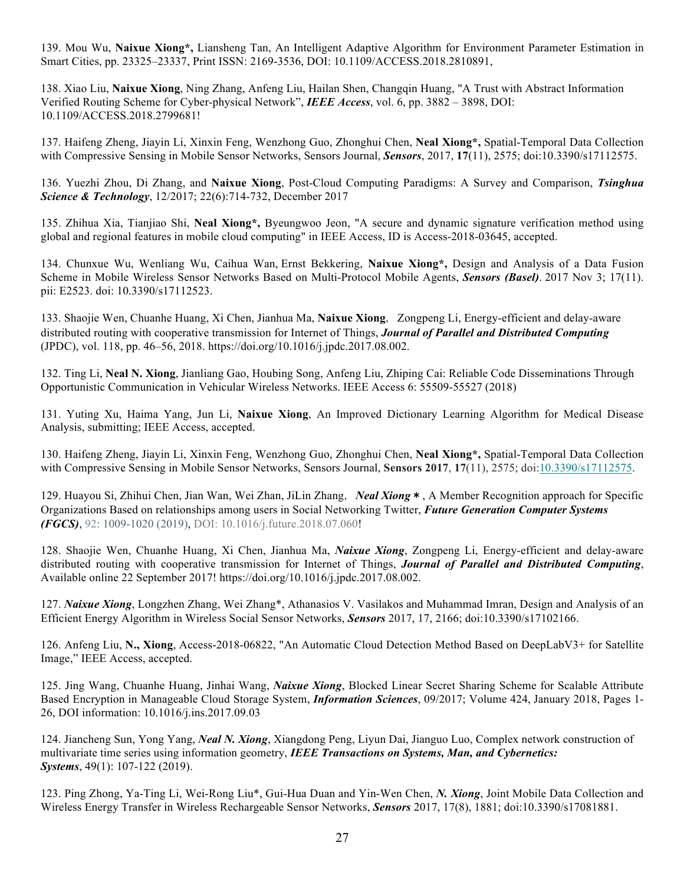139. Mou Wu, **Naixue Xiong\*,** Liansheng Tan, An Intelligent Adaptive Algorithm for Environment Parameter Estimation in Smart Cities, pp. 23325–23337, Print ISSN: 2169-3536, DOI: 10.1109/ACCESS.2018.2810891,

138. Xiao Liu, **Naixue Xiong**, Ning Zhang, Anfeng Liu, Hailan Shen, Changqin Huang, "A Trust with Abstract Information Verified Routing Scheme for Cyber-physical Network", *IEEE Access*, vol. 6, pp. 3882 – 3898, DOI: 10.1109/ACCESS.2018.2799681!

137. Haifeng Zheng, Jiayin Li, Xinxin Feng, Wenzhong Guo, Zhonghui Chen, **Neal Xiong\*,** Spatial-Temporal Data Collection with Compressive Sensing in Mobile Sensor Networks, Sensors Journal, *Sensors*, 2017, **17**(11), 2575; doi:10.3390/s17112575.

136. Yuezhi Zhou, Di Zhang, and **Naixue Xiong**, Post-Cloud Computing Paradigms: A Survey and Comparison, *Tsinghua Science & Technology*, 12/2017; 22(6):714-732, December 2017

135. Zhihua Xia, Tianjiao Shi, **Neal Xiong\*,** Byeungwoo Jeon, "A secure and dynamic signature verification method using global and regional features in mobile cloud computing" in IEEE Access, ID is Access-2018-03645, accepted.

134. Chunxue Wu, Wenliang Wu, Caihua Wan, Ernst Bekkering, **Naixue Xiong\*,** Design and Analysis of a Data Fusion Scheme in Mobile Wireless Sensor Networks Based on Multi-Protocol Mobile Agents, *Sensors (Basel)*. 2017 Nov 3; 17(11). pii: E2523. doi: 10.3390/s17112523.

133. Shaojie Wen, Chuanhe Huang, Xi Chen, Jianhua Ma, Naixue Xiong, Zongpeng Li, Energy-efficient and delay-aware distributed routing with cooperative transmission for Internet of Things, *Journal of Parallel and Distributed Computing* (JPDC), vol. 118, pp. 46–56, 2018. https://doi.org/10.1016/j.jpdc.2017.08.002.

132. Ting Li, **Neal N. Xiong**, Jianliang Gao, Houbing Song, Anfeng Liu, Zhiping Cai: Reliable Code Disseminations Through Opportunistic Communication in Vehicular Wireless Networks. IEEE Access 6: 55509-55527 (2018)

131. Yuting Xu, Haima Yang, Jun Li, **Naixue Xiong**, An Improved Dictionary Learning Algorithm for Medical Disease Analysis, submitting; IEEE Access, accepted.

130. Haifeng Zheng, Jiayin Li, Xinxin Feng, Wenzhong Guo, Zhonghui Chen, **Neal Xiong\*,** Spatial-Temporal Data Collection with Compressive Sensing in Mobile Sensor Networks, Sensors Journal, **Sensors 2017**, **17**(11), 2575; doi:10.3390/s17112575.

129. Huayou Si, Zhihui Chen, Jian Wan, Wei Zhan, JiLin Zhang,*Neal Xiong*\*, A Member Recognition approach for Specific Organizations Based on relationships among users in Social Networking Twitter, *Future Generation Computer Systems (FGCS)*, 92: 1009-1020 (2019), DOI: 10.1016/j.future.2018.07.060!

128. Shaojie Wen, Chuanhe Huang, Xi Chen, Jianhua Ma, *Naixue Xiong*, Zongpeng Li, Energy-efficient and delay-aware distributed routing with cooperative transmission for Internet of Things, *Journal of Parallel and Distributed Computing*, Available online 22 September 2017! https://doi.org/10.1016/j.jpdc.2017.08.002.

127. *Naixue Xiong*, Longzhen Zhang, Wei Zhang\*, Athanasios V. Vasilakos and Muhammad Imran, Design and Analysis of an Efficient Energy Algorithm in Wireless Social Sensor Networks, *Sensors* 2017, 17, 2166; doi:10.3390/s17102166.

126. Anfeng Liu, **N., Xiong**, Access-2018-06822, "An Automatic Cloud Detection Method Based on DeepLabV3+ for Satellite Image," IEEE Access, accepted.

125. Jing Wang, Chuanhe Huang, Jinhai Wang, *Naixue Xiong*, Blocked Linear Secret Sharing Scheme for Scalable Attribute Based Encryption in Manageable Cloud Storage System, *Information Sciences*, 09/2017; Volume 424, January 2018, Pages 1- 26, DOI information: 10.1016/j.ins.2017.09.03

124. Jiancheng Sun, Yong Yang, *Neal N. Xiong*, Xiangdong Peng, Liyun Dai, Jianguo Luo, Complex network construction of multivariate time series using information geometry, *IEEE Transactions on Systems, Man, and Cybernetics: Systems*, 49(1): 107-122 (2019).

123. Ping Zhong, Ya-Ting Li, Wei-Rong Liu\*, Gui-Hua Duan and Yin-Wen Chen, *N. Xiong*, Joint Mobile Data Collection and Wireless Energy Transfer in Wireless Rechargeable Sensor Networks, *Sensors* 2017, 17(8), 1881; doi:10.3390/s17081881.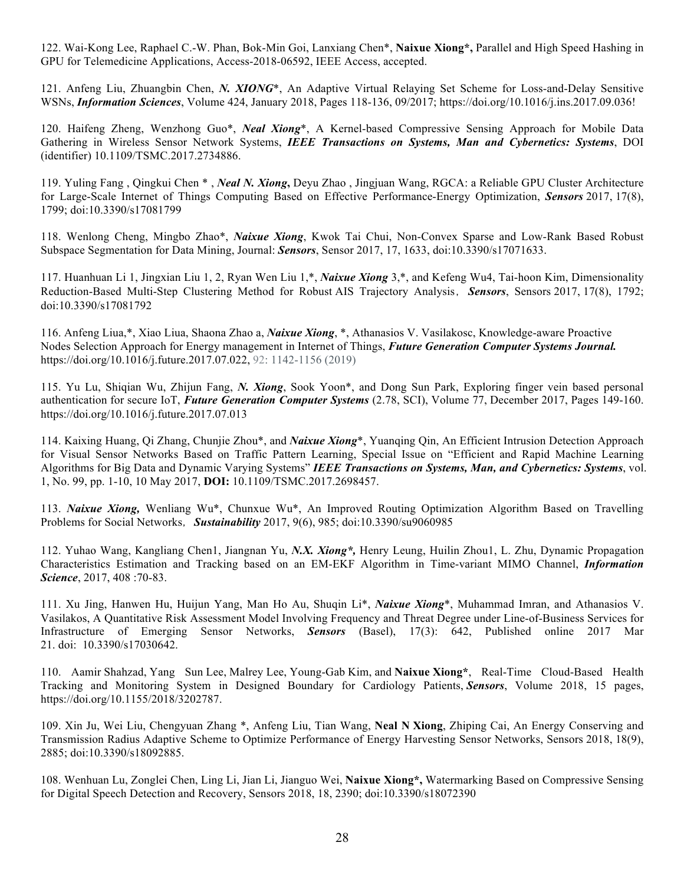122. Wai-Kong Lee, Raphael C.-W. Phan, Bok-Min Goi, Lanxiang Chen\*, **Naixue Xiong\*,** Parallel and High Speed Hashing in GPU for Telemedicine Applications, Access-2018-06592, IEEE Access, accepted.

121. Anfeng Liu, Zhuangbin Chen, *N. XIONG*\*, An Adaptive Virtual Relaying Set Scheme for Loss-and-Delay Sensitive WSNs, *Information Sciences*, Volume 424, January 2018, Pages 118-136, 09/2017; https://doi.org/10.1016/j.ins.2017.09.036!

120. Haifeng Zheng, Wenzhong Guo\*, *Neal Xiong*\*, A Kernel-based Compressive Sensing Approach for Mobile Data Gathering in Wireless Sensor Network Systems, *IEEE Transactions on Systems, Man and Cybernetics: Systems*, DOI (identifier) 10.1109/TSMC.2017.2734886.

119. Yuling Fang , Qingkui Chen \* , *Neal N. Xiong***,** Deyu Zhao , Jingjuan Wang, RGCA: a Reliable GPU Cluster Architecture for Large-Scale Internet of Things Computing Based on Effective Performance-Energy Optimization, *Sensors* 2017, 17(8), 1799; doi:10.3390/s17081799

118. Wenlong Cheng, Mingbo Zhao\*, *Naixue Xiong*, Kwok Tai Chui, Non-Convex Sparse and Low-Rank Based Robust Subspace Segmentation for Data Mining, Journal: *Sensors*, Sensor 2017, 17, 1633, doi:10.3390/s17071633.

117. Huanhuan Li 1, Jingxian Liu 1, 2, Ryan Wen Liu 1,\*, *Naixue Xiong* 3,\*, and Kefeng Wu4, Tai-hoon Kim, Dimensionality Reduction-Based Multi-Step Clustering Method for Robust AIS Trajectory Analysis,*Sensors*, Sensors 2017, 17(8), 1792; doi:10.3390/s17081792

116. Anfeng Liua,\*, Xiao Liua, Shaona Zhao a, *Naixue Xiong*, \*, Athanasios V. Vasilakosc, Knowledge-aware Proactive Nodes Selection Approach for Energy management in Internet of Things, *Future Generation Computer Systems Journal.* https://doi.org/10.1016/j.future.2017.07.022, 92: 1142-1156 (2019)

115. Yu Lu, Shiqian Wu, Zhijun Fang, *N. Xiong*, Sook Yoon\*, and Dong Sun Park, Exploring finger vein based personal authentication for secure IoT, *Future Generation Computer Systems* (2.78, SCI), Volume 77, December 2017, Pages 149-160. https://doi.org/10.1016/j.future.2017.07.013

114. Kaixing Huang, Qi Zhang, Chunjie Zhou\*, and *Naixue Xiong*\*, Yuanqing Qin, An Efficient Intrusion Detection Approach for Visual Sensor Networks Based on Traffic Pattern Learning, Special Issue on "Efficient and Rapid Machine Learning Algorithms for Big Data and Dynamic Varying Systems" *IEEE Transactions on Systems, Man, and Cybernetics: Systems*, vol. 1, No. 99, pp. 1-10, 10 May 2017, **DOI:** 10.1109/TSMC.2017.2698457.

113. *Naixue Xiong,* Wenliang Wu\*, Chunxue Wu\*, An Improved Routing Optimization Algorithm Based on Travelling Problems for Social Networks,*Sustainability* 2017, 9(6), 985; doi:10.3390/su9060985

112. Yuhao Wang, Kangliang Chen1, Jiangnan Yu, *N.X. Xiong\*,* Henry Leung, Huilin Zhou1, L. Zhu, Dynamic Propagation Characteristics Estimation and Tracking based on an EM-EKF Algorithm in Time-variant MIMO Channel, *Information Science*, 2017, 408 :70-83.

111. Xu Jing, Hanwen Hu, Huijun Yang, Man Ho Au, Shuqin Li\*, *Naixue Xiong*\*, Muhammad Imran, and Athanasios V. Vasilakos, A Quantitative Risk Assessment Model Involving Frequency and Threat Degree under Line-of-Business Services for Infrastructure of Emerging Sensor Networks, *Sensors* (Basel), 17(3): 642, Published online 2017 Mar 21. doi: 10.3390/s17030642.

110. Aamir Shahzad, Yang Sun Lee, Malrey Lee, Young-Gab Kim, and **Naixue Xiong\***, Real-Time Cloud-Based Health Tracking and Monitoring System in Designed Boundary for Cardiology Patients, *Sensors*, Volume 2018, 15 pages, https://doi.org/10.1155/2018/3202787.

109. Xin Ju, Wei Liu, Chengyuan Zhang \*, Anfeng Liu, Tian Wang, **Neal N Xiong**, Zhiping Cai, An Energy Conserving and Transmission Radius Adaptive Scheme to Optimize Performance of Energy Harvesting Sensor Networks, Sensors 2018, 18(9), 2885; doi:10.3390/s18092885.

108. Wenhuan Lu, Zonglei Chen, Ling Li, Jian Li, Jianguo Wei, **Naixue Xiong\*,** Watermarking Based on Compressive Sensing for Digital Speech Detection and Recovery, Sensors 2018, 18, 2390; doi:10.3390/s18072390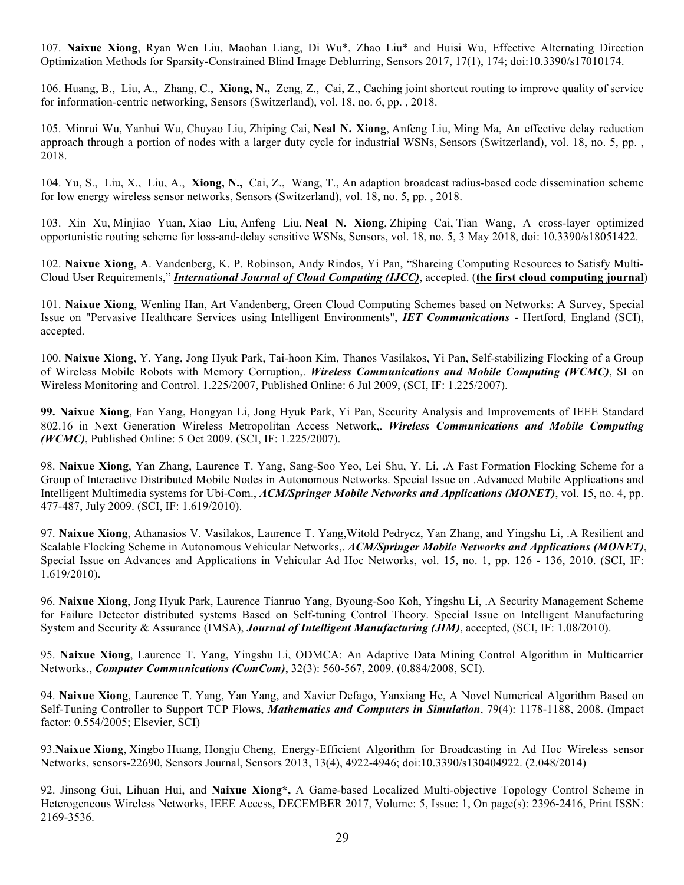107. **Naixue Xiong**, Ryan Wen Liu, Maohan Liang, Di Wu\*, Zhao Liu\* and Huisi Wu, Effective Alternating Direction Optimization Methods for Sparsity-Constrained Blind Image Deblurring, Sensors 2017, 17(1), 174; doi:10.3390/s17010174.

106. Huang, B., Liu, A., Zhang, C., **Xiong, N.,** Zeng, Z., Cai, Z., Caching joint shortcut routing to improve quality of service for information-centric networking, Sensors (Switzerland), vol. 18, no. 6, pp. , 2018.

105. Minrui Wu, Yanhui Wu, Chuyao Liu, Zhiping Cai, **Neal N. Xiong**, Anfeng Liu, Ming Ma, An effective delay reduction approach through a portion of nodes with a larger duty cycle for industrial WSNs, Sensors (Switzerland), vol. 18, no. 5, pp. , 2018.

104. Yu, S., Liu, X., Liu, A., **Xiong, N.,** Cai, Z., Wang, T., An adaption broadcast radius-based code dissemination scheme for low energy wireless sensor networks, Sensors (Switzerland), vol. 18, no. 5, pp. , 2018.

103. Xin Xu, Minjiao Yuan, Xiao Liu, Anfeng Liu, **Neal N. Xiong**, Zhiping Cai, Tian Wang, A cross-layer optimized opportunistic routing scheme for loss-and-delay sensitive WSNs, Sensors, vol. 18, no. 5, 3 May 2018, doi: 10.3390/s18051422.

102. **Naixue Xiong**, A. Vandenberg, K. P. Robinson, Andy Rindos, Yi Pan, "Shareing Computing Resources to Satisfy Multi-Cloud User Requirements," *International Journal of Cloud Computing (IJCC)*, accepted. (**the first cloud computing journal**)

101. **Naixue Xiong**, Wenling Han, Art Vandenberg, Green Cloud Computing Schemes based on Networks: A Survey, Special Issue on "Pervasive Healthcare Services using Intelligent Environments", *IET Communications* - Hertford, England (SCI), accepted.

100. **Naixue Xiong**, Y. Yang, Jong Hyuk Park, Tai-hoon Kim, Thanos Vasilakos, Yi Pan, Self-stabilizing Flocking of a Group of Wireless Mobile Robots with Memory Corruption,. *Wireless Communications and Mobile Computing (WCMC)*, SI on Wireless Monitoring and Control. 1.225/2007, Published Online: 6 Jul 2009, (SCI, IF: 1.225/2007).

**99. Naixue Xiong**, Fan Yang, Hongyan Li, Jong Hyuk Park, Yi Pan, Security Analysis and Improvements of IEEE Standard 802.16 in Next Generation Wireless Metropolitan Access Network,. *Wireless Communications and Mobile Computing (WCMC)*, Published Online: 5 Oct 2009. (SCI, IF: 1.225/2007).

98. **Naixue Xiong**, Yan Zhang, Laurence T. Yang, Sang-Soo Yeo, Lei Shu, Y. Li, .A Fast Formation Flocking Scheme for a Group of Interactive Distributed Mobile Nodes in Autonomous Networks. Special Issue on .Advanced Mobile Applications and Intelligent Multimedia systems for Ubi-Com., *ACM/Springer Mobile Networks and Applications (MONET)*, vol. 15, no. 4, pp. 477-487, July 2009. (SCI, IF: 1.619/2010).

97. **Naixue Xiong**, Athanasios V. Vasilakos, Laurence T. Yang,Witold Pedrycz, Yan Zhang, and Yingshu Li, .A Resilient and Scalable Flocking Scheme in Autonomous Vehicular Networks,. *ACM/Springer Mobile Networks and Applications (MONET)*, Special Issue on Advances and Applications in Vehicular Ad Hoc Networks, vol. 15, no. 1, pp. 126 - 136, 2010. (SCI, IF: 1.619/2010).

96. **Naixue Xiong**, Jong Hyuk Park, Laurence Tianruo Yang, Byoung-Soo Koh, Yingshu Li, .A Security Management Scheme for Failure Detector distributed systems Based on Self-tuning Control Theory. Special Issue on Intelligent Manufacturing System and Security & Assurance (IMSA), *Journal of Intelligent Manufacturing (JIM)*, accepted, (SCI, IF: 1.08/2010).

95. **Naixue Xiong**, Laurence T. Yang, Yingshu Li, ODMCA: An Adaptive Data Mining Control Algorithm in Multicarrier Networks., *Computer Communications (ComCom)*, 32(3): 560-567, 2009. (0.884/2008, SCI).

94. **Naixue Xiong**, Laurence T. Yang, Yan Yang, and Xavier Defago, Yanxiang He, A Novel Numerical Algorithm Based on Self-Tuning Controller to Support TCP Flows, *Mathematics and Computers in Simulation*, 79(4): 1178-1188, 2008. (Impact factor: 0.554/2005; Elsevier, SCI)

93.**Naixue Xiong**, Xingbo Huang, Hongju Cheng, Energy-Efficient Algorithm for Broadcasting in Ad Hoc Wireless sensor Networks, sensors-22690, Sensors Journal, Sensors 2013, 13(4), 4922-4946; doi:10.3390/s130404922. (2.048/2014)

92. Jinsong Gui, Lihuan Hui, and **Naixue Xiong\*,** A Game-based Localized Multi-objective Topology Control Scheme in Heterogeneous Wireless Networks, IEEE Access, DECEMBER 2017, Volume: 5, Issue: 1, On page(s): 2396-2416, Print ISSN: 2169-3536.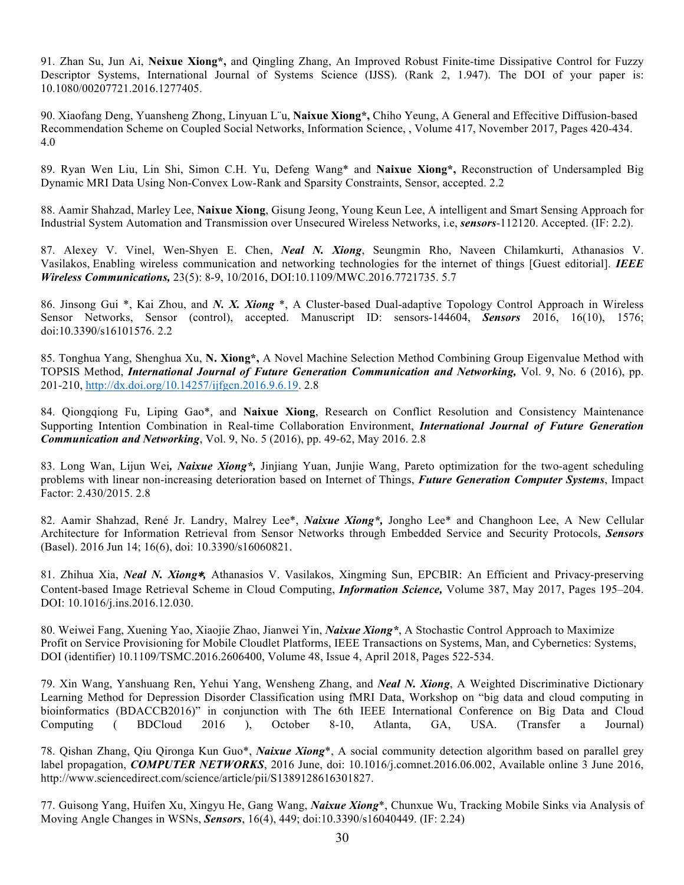91. Zhan Su, Jun Ai, **Neixue Xiong\*,** and Qingling Zhang, An Improved Robust Finite-time Dissipative Control for Fuzzy Descriptor Systems, International Journal of Systems Science (IJSS). (Rank 2, 1.947). The DOI of your paper is: 10.1080/00207721.2016.1277405.

90. Xiaofang Deng, Yuansheng Zhong, Linyuan L¨u, **Naixue Xiong\*,** Chiho Yeung, A General and Effecitive Diffusion-based Recommendation Scheme on Coupled Social Networks, Information Science, , Volume 417, November 2017, Pages 420-434. 4.0

89. Ryan Wen Liu, Lin Shi, Simon C.H. Yu, Defeng Wang\* and **Naixue Xiong\*,** Reconstruction of Undersampled Big Dynamic MRI Data Using Non-Convex Low-Rank and Sparsity Constraints, Sensor, accepted. 2.2

88. Aamir Shahzad, Marley Lee, **Naixue Xiong**, Gisung Jeong, Young Keun Lee, A intelligent and Smart Sensing Approach for Industrial System Automation and Transmission over Unsecured Wireless Networks, i.e, *sensors*-112120. Accepted. (IF: 2.2).

87. Alexey V. Vinel, Wen-Shyen E. Chen, *Neal N. Xiong*, Seungmin Rho, Naveen Chilamkurti, Athanasios V. Vasilakos, Enabling wireless communication and networking technologies for the internet of things [Guest editorial]. *IEEE Wireless Communications,* 23(5): 8-9, 10/2016, DOI:10.1109/MWC.2016.7721735. 5.7

86. Jinsong Gui \*, Kai Zhou, and *N. X. Xiong* \*, A Cluster-based Dual-adaptive Topology Control Approach in Wireless Sensor Networks, Sensor (control), accepted. Manuscript ID: sensors-144604, *Sensors* 2016, 16(10), 1576; doi:10.3390/s16101576. 2.2

85. Tonghua Yang, Shenghua Xu, **N. Xiong\*,** A Novel Machine Selection Method Combining Group Eigenvalue Method with TOPSIS Method, *International Journal of Future Generation Communication and Networking,* Vol. 9, No. 6 (2016), pp. 201-210, http://dx.doi.org/10.14257/ijfgcn.2016.9.6.19. 2.8

84. Qiongqiong Fu, Liping Gao\*, and **Naixue Xiong**, Research on Conflict Resolution and Consistency Maintenance Supporting Intention Combination in Real-time Collaboration Environment, *International Journal of Future Generation Communication and Networking*, Vol. 9, No. 5 (2016), pp. 49-62, May 2016. 2.8

83. Long Wan, Lijun Wei*, Naixue Xiong\*,* Jinjiang Yuan, Junjie Wang, Pareto optimization for the two-agent scheduling problems with linear non-increasing deterioration based on Internet of Things, *Future Generation Computer Systems*, Impact Factor: 2.430/2015. 2.8

82. Aamir Shahzad, René Jr. Landry, Malrey Lee\*, *Naixue Xiong\*,* Jongho Lee\* and Changhoon Lee, A New Cellular Architecture for Information Retrieval from Sensor Networks through Embedded Service and Security Protocols, *Sensors* (Basel). 2016 Jun 14; 16(6), doi: 10.3390/s16060821.

81. Zhihua Xia, *Neal N. Xiong*∗*,* Athanasios V. Vasilakos, Xingming Sun, EPCBIR: An Efficient and Privacy-preserving Content-based Image Retrieval Scheme in Cloud Computing, *Information Science,* Volume 387, May 2017, Pages 195–204. DOI: 10.1016/j.ins.2016.12.030.

80. Weiwei Fang, Xuening Yao, Xiaojie Zhao, Jianwei Yin, *Naixue Xiong\**, A Stochastic Control Approach to Maximize Profit on Service Provisioning for Mobile Cloudlet Platforms, IEEE Transactions on Systems, Man, and Cybernetics: Systems, DOI (identifier) 10.1109/TSMC.2016.2606400, Volume 48, Issue 4, April 2018, Pages 522-534.

79. Xin Wang, Yanshuang Ren, Yehui Yang, Wensheng Zhang, and *Neal N. Xiong*, A Weighted Discriminative Dictionary Learning Method for Depression Disorder Classification using fMRI Data, Workshop on "big data and cloud computing in bioinformatics (BDACCB2016)" in conjunction with The 6th IEEE International Conference on Big Data and Cloud Computing ( BDCloud 2016 ), October 8-10, Atlanta, GA, USA. (Transfer a Journal)

78. Qishan Zhang, Qiu Qironga Kun Guo\*, *Naixue Xiong*\*, A social community detection algorithm based on parallel grey label propagation, *COMPUTER NETWORKS*, 2016 June, doi: 10.1016/j.comnet.2016.06.002, Available online 3 June 2016, http://www.sciencedirect.com/science/article/pii/S1389128616301827.

77. Guisong Yang, Huifen Xu, Xingyu He, Gang Wang, *Naixue Xiong*\*, Chunxue Wu, Tracking Mobile Sinks via Analysis of Moving Angle Changes in WSNs, *Sensors*, 16(4), 449; doi:10.3390/s16040449. (IF: 2.24)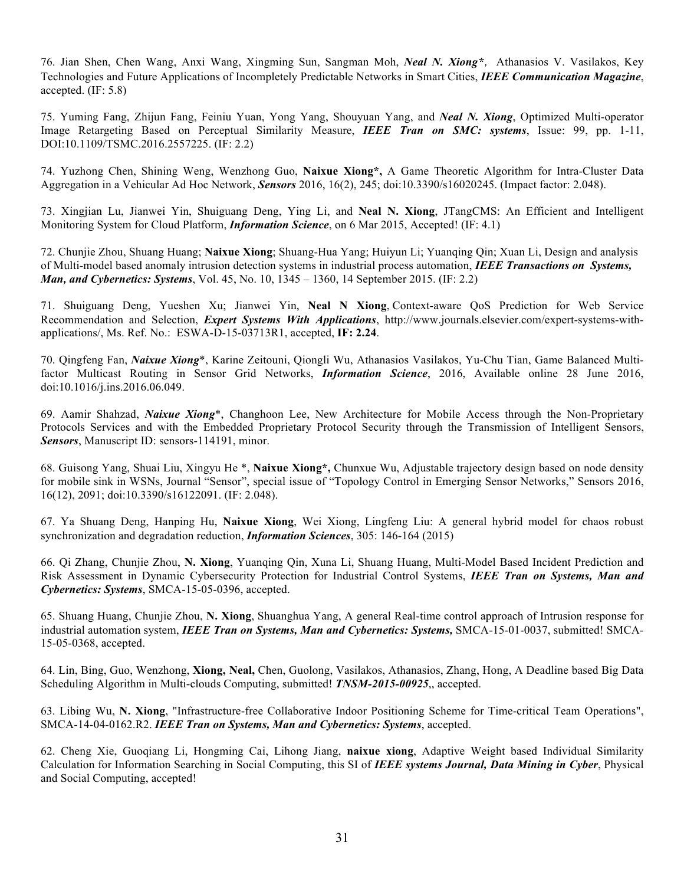76. Jian Shen, Chen Wang, Anxi Wang, Xingming Sun, Sangman Moh, *Neal N. Xiong\**,Athanasios V. Vasilakos, Key Technologies and Future Applications of Incompletely Predictable Networks in Smart Cities, *IEEE Communication Magazine*, accepted. (IF: 5.8)

75. Yuming Fang, Zhijun Fang, Feiniu Yuan, Yong Yang, Shouyuan Yang, and *Neal N. Xiong*, Optimized Multi-operator Image Retargeting Based on Perceptual Similarity Measure, *IEEE Tran on SMC: systems*, Issue: 99, pp. 1-11, DOI:10.1109/TSMC.2016.2557225. (IF: 2.2)

74. Yuzhong Chen, Shining Weng, Wenzhong Guo, **Naixue Xiong\*,** A Game Theoretic Algorithm for Intra-Cluster Data Aggregation in a Vehicular Ad Hoc Network, *Sensors* 2016, 16(2), 245; doi:10.3390/s16020245. (Impact factor: 2.048).

73. Xingjian Lu, Jianwei Yin, Shuiguang Deng, Ying Li, and **Neal N. Xiong**, JTangCMS: An Efficient and Intelligent Monitoring System for Cloud Platform, *Information Science*, on 6 Mar 2015, Accepted! (IF: 4.1)

72. Chunjie Zhou, Shuang Huang; **Naixue Xiong**; Shuang-Hua Yang; Huiyun Li; Yuanqing Qin; Xuan Li, Design and analysis of Multi-model based anomaly intrusion detection systems in industrial process automation, *IEEE Transactions on Systems, Man, and Cybernetics: Systems*, Vol. 45, No. 10, 1345 – 1360, 14 September 2015. (IF: 2.2)

71. Shuiguang Deng, Yueshen Xu; Jianwei Yin, **Neal N Xiong**, Context-aware QoS Prediction for Web Service Recommendation and Selection, *Expert Systems With Applications*, http://www.journals.elsevier.com/expert-systems-withapplications/, Ms. Ref. No.: ESWA-D-15-03713R1, accepted, **IF: 2.24**.

70. Qingfeng Fan, *Naixue Xiong*\*, Karine Zeitouni, Qiongli Wu, Athanasios Vasilakos, Yu-Chu Tian, Game Balanced Multifactor Multicast Routing in Sensor Grid Networks, *Information Science*, 2016, Available online 28 June 2016, doi:10.1016/j.ins.2016.06.049.

69. Aamir Shahzad, *Naixue Xiong*\*, Changhoon Lee, New Architecture for Mobile Access through the Non-Proprietary Protocols Services and with the Embedded Proprietary Protocol Security through the Transmission of Intelligent Sensors, *Sensors*, Manuscript ID: sensors-114191, minor.

68. Guisong Yang, Shuai Liu, Xingyu He \*, **Naixue Xiong\*,** Chunxue Wu, Adjustable trajectory design based on node density for mobile sink in WSNs, Journal "Sensor", special issue of "Topology Control in Emerging Sensor Networks," Sensors 2016, 16(12), 2091; doi:10.3390/s16122091. (IF: 2.048).

67. Ya Shuang Deng, Hanping Hu, **Naixue Xiong**, Wei Xiong, Lingfeng Liu: A general hybrid model for chaos robust synchronization and degradation reduction, *Information Sciences*, 305: 146-164 (2015)

66. Qi Zhang, Chunjie Zhou, **N. Xiong**, Yuanqing Qin, Xuna Li, Shuang Huang, Multi-Model Based Incident Prediction and Risk Assessment in Dynamic Cybersecurity Protection for Industrial Control Systems, *IEEE Tran on Systems, Man and Cybernetics: Systems*, SMCA-15-05-0396, accepted.

65. Shuang Huang, Chunjie Zhou, **N. Xiong**, Shuanghua Yang, A general Real-time control approach of Intrusion response for industrial automation system, *IEEE Tran on Systems, Man and Cybernetics: Systems,* SMCA-15-01-0037, submitted! SMCA-15-05-0368, accepted.

64. Lin, Bing, Guo, Wenzhong, **Xiong, Neal,** Chen, Guolong, Vasilakos, Athanasios, Zhang, Hong, A Deadline based Big Data Scheduling Algorithm in Multi-clouds Computing, submitted! *TNSM-2015-00925*,, accepted.

63. Libing Wu, **N. Xiong**, "Infrastructure-free Collaborative Indoor Positioning Scheme for Time-critical Team Operations", SMCA-14-04-0162.R2. *IEEE Tran on Systems, Man and Cybernetics: Systems*, accepted.

62. Cheng Xie, Guoqiang Li, Hongming Cai, Lihong Jiang, **naixue xiong**, Adaptive Weight based Individual Similarity Calculation for Information Searching in Social Computing, this SI of *IEEE systems Journal, Data Mining in Cyber*, Physical and Social Computing, accepted!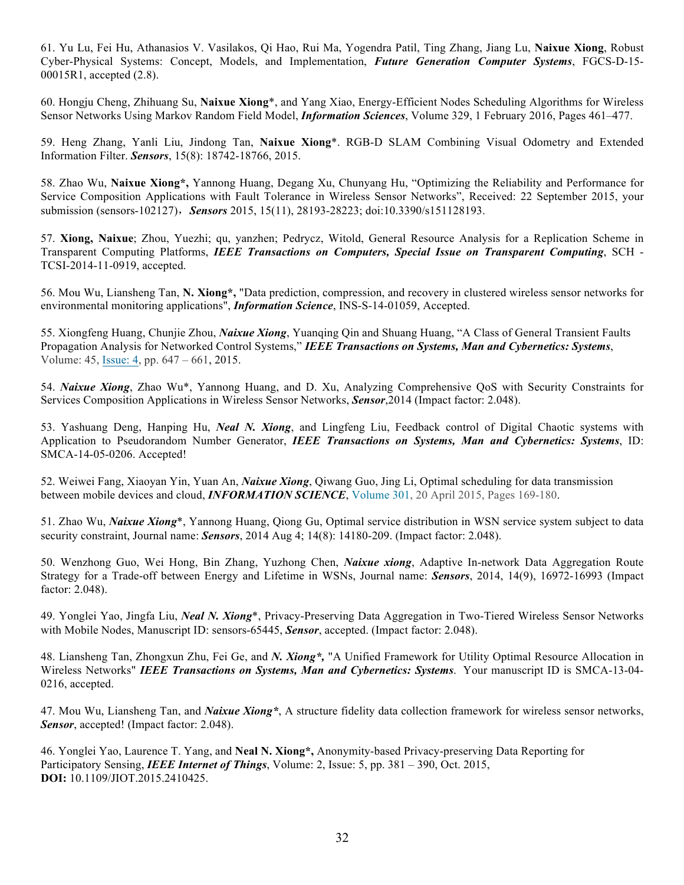61. Yu Lu, Fei Hu, Athanasios V. Vasilakos, Qi Hao, Rui Ma, Yogendra Patil, Ting Zhang, Jiang Lu, **Naixue Xiong**, Robust Cyber-Physical Systems: Concept, Models, and Implementation, *Future Generation Computer Systems*, FGCS-D-15- 00015R1, accepted (2.8).

60. Hongju Cheng, Zhihuang Su, **Naixue Xiong**\*, and Yang Xiao, Energy-Efficient Nodes Scheduling Algorithms for Wireless Sensor Networks Using Markov Random Field Model, *Information Sciences*, Volume 329, 1 February 2016, Pages 461–477.

59. Heng Zhang, Yanli Liu, Jindong Tan, **Naixue Xiong**\*. RGB-D SLAM Combining Visual Odometry and Extended Information Filter. *Sensors*, 15(8): 18742-18766, 2015.

58. Zhao Wu, **Naixue Xiong\*,** Yannong Huang, Degang Xu, Chunyang Hu, "Optimizing the Reliability and Performance for Service Composition Applications with Fault Tolerance in Wireless Sensor Networks", Received: 22 September 2015, your submission (sensors-102127),*Sensors* 2015, 15(11), 28193-28223; doi:10.3390/s151128193.

57. **Xiong, Naixue**; Zhou, Yuezhi; qu, yanzhen; Pedrycz, Witold, General Resource Analysis for a Replication Scheme in Transparent Computing Platforms, *IEEE Transactions on Computers, Special Issue on Transparent Computing*, SCH - TCSI-2014-11-0919, accepted.

56. Mou Wu, Liansheng Tan, **N. Xiong\*,** "Data prediction, compression, and recovery in clustered wireless sensor networks for environmental monitoring applications", *Information Science*, INS-S-14-01059, Accepted.

55. Xiongfeng Huang, Chunjie Zhou, *Naixue Xiong*, Yuanqing Qin and Shuang Huang, "A Class of General Transient Faults Propagation Analysis for Networked Control Systems," *IEEE Transactions on Systems, Man and Cybernetics: Systems*, Volume: 45, Issue: 4, pp. 647 – 661, 2015.

54. *Naixue Xiong*, Zhao Wu\*, Yannong Huang, and D. Xu, Analyzing Comprehensive QoS with Security Constraints for Services Composition Applications in Wireless Sensor Networks, *Sensor*,2014 (Impact factor: 2.048).

53. Yashuang Deng, Hanping Hu, *Neal N. Xiong*, and Lingfeng Liu, Feedback control of Digital Chaotic systems with Application to Pseudorandom Number Generator, *IEEE Transactions on Systems, Man and Cybernetics: Systems*, ID: SMCA-14-05-0206. Accepted!

52. Weiwei Fang, Xiaoyan Yin, Yuan An, *Naixue Xiong*, Qiwang Guo, Jing Li, Optimal scheduling for data transmission between mobile devices and cloud, *INFORMATION SCIENCE*, Volume 301, 20 April 2015, Pages 169-180.

51. Zhao Wu, *Naixue Xiong*\*, Yannong Huang, Qiong Gu, Optimal service distribution in WSN service system subject to data security constraint, Journal name: *Sensors*, 2014 Aug 4; 14(8): 14180-209. (Impact factor: 2.048).

50. Wenzhong Guo, Wei Hong, Bin Zhang, Yuzhong Chen, *Naixue xiong*, Adaptive In-network Data Aggregation Route Strategy for a Trade-off between Energy and Lifetime in WSNs, Journal name: *Sensors*, 2014, 14(9), 16972-16993 (Impact factor: 2.048).

49. Yonglei Yao, Jingfa Liu, *Neal N. Xiong*\*, Privacy-Preserving Data Aggregation in Two-Tiered Wireless Sensor Networks with Mobile Nodes, Manuscript ID: sensors-65445, *Sensor*, accepted. (Impact factor: 2.048).

48. Liansheng Tan, Zhongxun Zhu, Fei Ge, and *N. Xiong\*,* "A Unified Framework for Utility Optimal Resource Allocation in Wireless Networks" *IEEE Transactions on Systems, Man and Cybernetics: Systems*. Your manuscript ID is SMCA-13-04- 0216, accepted.

47. Mou Wu, Liansheng Tan, and *Naixue Xiong\**, A structure fidelity data collection framework for wireless sensor networks, *Sensor*, accepted! (Impact factor: 2.048).

46. Yonglei Yao, Laurence T. Yang, and **Neal N. Xiong\*,** Anonymity-based Privacy-preserving Data Reporting for Participatory Sensing, *IEEE Internet of Things*, Volume: 2, Issue: 5, pp. 381 – 390, Oct. 2015, **DOI:** 10.1109/JIOT.2015.2410425.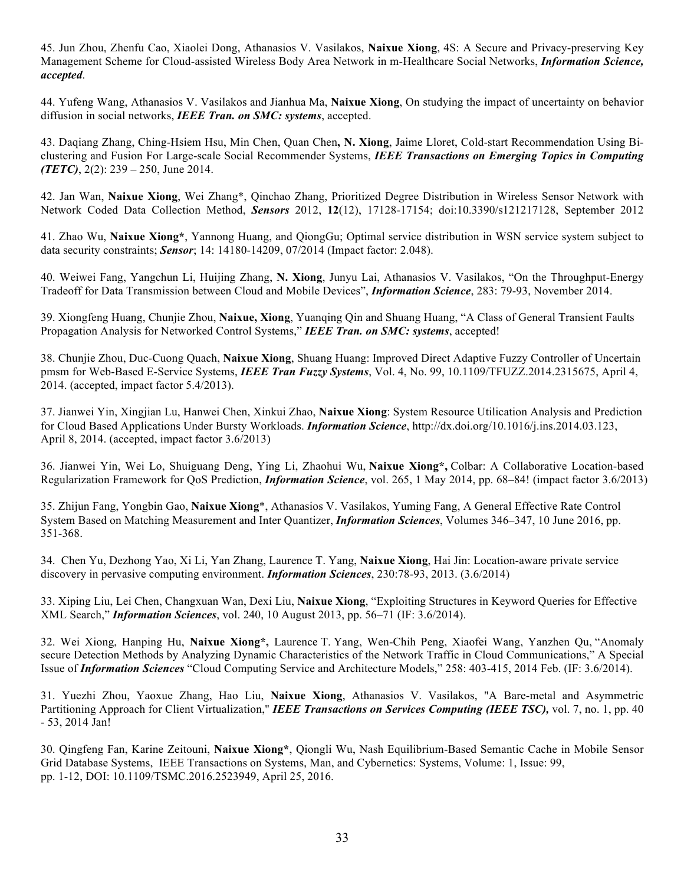45. Jun Zhou, Zhenfu Cao, Xiaolei Dong, Athanasios V. Vasilakos, **Naixue Xiong**, 4S: A Secure and Privacy-preserving Key Management Scheme for Cloud-assisted Wireless Body Area Network in m-Healthcare Social Networks, *Information Science, accepted*.

44. Yufeng Wang, Athanasios V. Vasilakos and Jianhua Ma, **Naixue Xiong**, On studying the impact of uncertainty on behavior diffusion in social networks, *IEEE Tran. on SMC: systems*, accepted.

43. Daqiang Zhang, Ching-Hsiem Hsu, Min Chen, Quan Chen**, N. Xiong**, Jaime Lloret, Cold-start Recommendation Using Biclustering and Fusion For Large-scale Social Recommender Systems, *IEEE Transactions on Emerging Topics in Computing (TETC)*, 2(2): 239 – 250, June 2014.

42. Jan Wan, **Naixue Xiong**, Wei Zhang\*, Qinchao Zhang, Prioritized Degree Distribution in Wireless Sensor Network with Network Coded Data Collection Method, *Sensors* 2012, **12**(12), 17128-17154; doi:10.3390/s121217128, September 2012

41. Zhao Wu, **Naixue Xiong\***, Yannong Huang, and QiongGu; Optimal service distribution in WSN service system subject to data security constraints; *Sensor*; 14: 14180-14209, 07/2014 (Impact factor: 2.048).

40. Weiwei Fang, Yangchun Li, Huijing Zhang, **N. Xiong**, Junyu Lai, Athanasios V. Vasilakos, "On the Throughput-Energy Tradeoff for Data Transmission between Cloud and Mobile Devices", *Information Science*, 283: 79-93, November 2014.

39. Xiongfeng Huang, Chunjie Zhou, **Naixue, Xiong**, Yuanqing Qin and Shuang Huang, "A Class of General Transient Faults Propagation Analysis for Networked Control Systems," *IEEE Tran. on SMC: systems*, accepted!

38. Chunjie Zhou, Duc-Cuong Quach, **Naixue Xiong**, Shuang Huang: Improved Direct Adaptive Fuzzy Controller of Uncertain pmsm for Web-Based E-Service Systems, *IEEE Tran Fuzzy Systems*, Vol. 4, No. 99, 10.1109/TFUZZ.2014.2315675, April 4, 2014. (accepted, impact factor 5.4/2013).

37. Jianwei Yin, Xingjian Lu, Hanwei Chen, Xinkui Zhao, **Naixue Xiong**: System Resource Utilication Analysis and Prediction for Cloud Based Applications Under Bursty Workloads. *Information Science*, http://dx.doi.org/10.1016/j.ins.2014.03.123, April 8, 2014. (accepted, impact factor 3.6/2013)

36. Jianwei Yin, Wei Lo, Shuiguang Deng, Ying Li, Zhaohui Wu, **Naixue Xiong\*,** Colbar: A Collaborative Location-based Regularization Framework for QoS Prediction, *Information Science*, vol. 265, 1 May 2014, pp. 68–84! (impact factor 3.6/2013)

35. Zhijun Fang, Yongbin Gao, **Naixue Xiong**\*, Athanasios V. Vasilakos, Yuming Fang, A General Effective Rate Control System Based on Matching Measurement and Inter Quantizer, *Information Sciences*, Volumes 346–347, 10 June 2016, pp. 351-368.

34. Chen Yu, Dezhong Yao, Xi Li, Yan Zhang, Laurence T. Yang, **Naixue Xiong**, Hai Jin: Location-aware private service discovery in pervasive computing environment. *Information Sciences*, 230:78-93, 2013. (3.6/2014)

33. Xiping Liu, Lei Chen, Changxuan Wan, Dexi Liu, **Naixue Xiong**, "Exploiting Structures in Keyword Queries for Effective XML Search," *Information Sciences*, vol. 240, 10 August 2013, pp. 56–71 (IF: 3.6/2014).

32. Wei Xiong, Hanping Hu, **Naixue Xiong\*,** Laurence T. Yang, Wen-Chih Peng, Xiaofei Wang, Yanzhen Qu, "Anomaly secure Detection Methods by Analyzing Dynamic Characteristics of the Network Traffic in Cloud Communications," A Special Issue of *Information Sciences* "Cloud Computing Service and Architecture Models," 258: 403-415, 2014 Feb. (IF: 3.6/2014).

31. Yuezhi Zhou, Yaoxue Zhang, Hao Liu, **Naixue Xiong**, Athanasios V. Vasilakos, "A Bare-metal and Asymmetric Partitioning Approach for Client Virtualization," *IEEE Transactions on Services Computing (IEEE TSC),* vol. 7, no. 1, pp. 40 - 53, 2014 Jan!

30. Qingfeng Fan, Karine Zeitouni, **Naixue Xiong\***, Qiongli Wu, Nash Equilibrium-Based Semantic Cache in Mobile Sensor Grid Database Systems, IEEE Transactions on Systems, Man, and Cybernetics: Systems, Volume: 1, Issue: 99, pp. 1-12, DOI: 10.1109/TSMC.2016.2523949, April 25, 2016.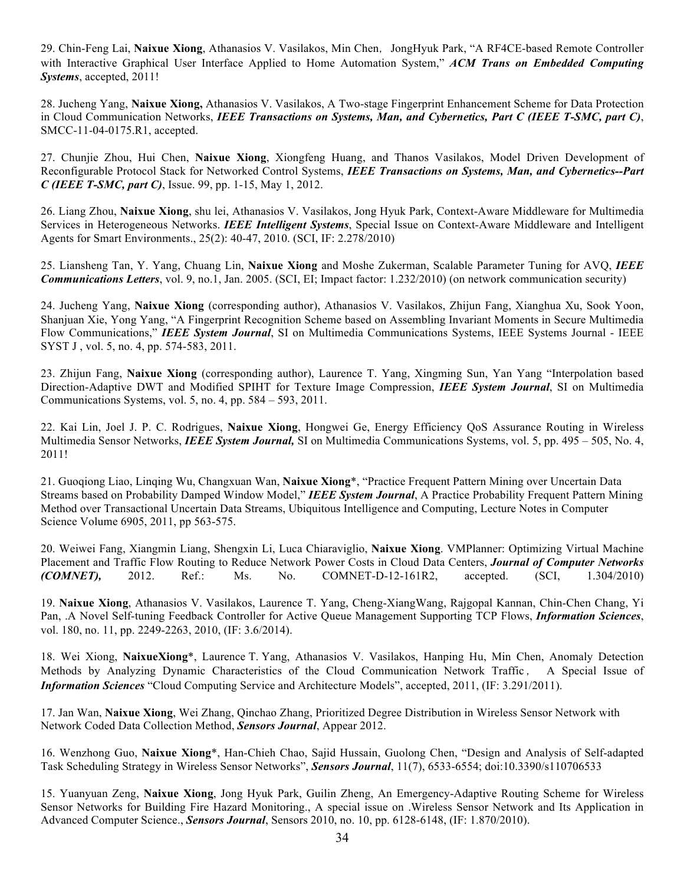29. Chin-Feng Lai, Naixue Xiong, Athanasios V. Vasilakos, Min Chen, JongHyuk Park, "A RF4CE-based Remote Controller with Interactive Graphical User Interface Applied to Home Automation System," *ACM Trans on Embedded Computing Systems*, accepted, 2011!

28. Jucheng Yang, **Naixue Xiong,** Athanasios V. Vasilakos, A Two-stage Fingerprint Enhancement Scheme for Data Protection in Cloud Communication Networks, *IEEE Transactions on Systems, Man, and Cybernetics, Part C (IEEE T-SMC, part C)*, SMCC-11-04-0175.R1, accepted.

27. Chunjie Zhou, Hui Chen, **Naixue Xiong**, Xiongfeng Huang, and Thanos Vasilakos, Model Driven Development of Reconfigurable Protocol Stack for Networked Control Systems, *IEEE Transactions on Systems, Man, and Cybernetics--Part C (IEEE T-SMC, part C)*, Issue. 99, pp. 1-15, May 1, 2012.

26. Liang Zhou, **Naixue Xiong**, shu lei, Athanasios V. Vasilakos, Jong Hyuk Park, Context-Aware Middleware for Multimedia Services in Heterogeneous Networks. *IEEE Intelligent Systems*, Special Issue on Context-Aware Middleware and Intelligent Agents for Smart Environments., 25(2): 40-47, 2010. (SCI, IF: 2.278/2010)

25. Liansheng Tan, Y. Yang, Chuang Lin, **Naixue Xiong** and Moshe Zukerman, Scalable Parameter Tuning for AVQ, *IEEE Communications Letters*, vol. 9, no.1, Jan. 2005. (SCI, EI; Impact factor: 1.232/2010) (on network communication security)

24. Jucheng Yang, **Naixue Xiong** (corresponding author), Athanasios V. Vasilakos, Zhijun Fang, Xianghua Xu, Sook Yoon, Shanjuan Xie, Yong Yang, "A Fingerprint Recognition Scheme based on Assembling Invariant Moments in Secure Multimedia Flow Communications," *IEEE System Journal*, SI on Multimedia Communications Systems, IEEE Systems Journal - IEEE SYST J , vol. 5, no. 4, pp. 574-583, 2011.

23. Zhijun Fang, **Naixue Xiong** (corresponding author), Laurence T. Yang, Xingming Sun, Yan Yang "Interpolation based Direction-Adaptive DWT and Modified SPIHT for Texture Image Compression, *IEEE System Journal*, SI on Multimedia Communications Systems, vol. 5, no. 4, pp. 584 – 593, 2011.

22. Kai Lin, Joel J. P. C. Rodrigues, **Naixue Xiong**, Hongwei Ge, Energy Efficiency QoS Assurance Routing in Wireless Multimedia Sensor Networks, *IEEE System Journal,* SI on Multimedia Communications Systems, vol. 5, pp. 495 – 505, No. 4, 2011!

21. Guoqiong Liao, Linqing Wu, Changxuan Wan, **Naixue Xiong**\*, "Practice Frequent Pattern Mining over Uncertain Data Streams based on Probability Damped Window Model," *IEEE System Journal*, A Practice Probability Frequent Pattern Mining Method over Transactional Uncertain Data Streams, Ubiquitous Intelligence and Computing, Lecture Notes in Computer Science Volume 6905, 2011, pp 563-575.

20. Weiwei Fang, Xiangmin Liang, Shengxin Li, Luca Chiaraviglio, **Naixue Xiong**. VMPlanner: Optimizing Virtual Machine Placement and Traffic Flow Routing to Reduce Network Power Costs in Cloud Data Centers, *Journal of Computer Networks (COMNET),* 2012. Ref.: Ms. No. COMNET-D-12-161R2, accepted. (SCI, 1.304/2010)

19. **Naixue Xiong**, Athanasios V. Vasilakos, Laurence T. Yang, Cheng-XiangWang, Rajgopal Kannan, Chin-Chen Chang, Yi Pan, .A Novel Self-tuning Feedback Controller for Active Queue Management Supporting TCP Flows, *Information Sciences*, vol. 180, no. 11, pp. 2249-2263, 2010, (IF: 3.6/2014).

18. Wei Xiong, **NaixueXiong**\*, Laurence T. Yang, Athanasios V. Vasilakos, Hanping Hu, Min Chen, Anomaly Detection Methods by Analyzing Dynamic Characteristics of the Cloud Communication Network Traffic , A Special Issue of *Information Sciences* "Cloud Computing Service and Architecture Models", accepted, 2011, (IF: 3.291/2011).

17. Jan Wan, **Naixue Xiong**, Wei Zhang, Qinchao Zhang, Prioritized Degree Distribution in Wireless Sensor Network with Network Coded Data Collection Method, *Sensors Journal*, Appear 2012.

16. Wenzhong Guo, **Naixue Xiong**\*, Han-Chieh Chao, Sajid Hussain, Guolong Chen, "Design and Analysis of Self-adapted Task Scheduling Strategy in Wireless Sensor Networks", *Sensors Journal*, 11(7), 6533-6554; doi:10.3390/s110706533

15. Yuanyuan Zeng, **Naixue Xiong**, Jong Hyuk Park, Guilin Zheng, An Emergency-Adaptive Routing Scheme for Wireless Sensor Networks for Building Fire Hazard Monitoring., A special issue on .Wireless Sensor Network and Its Application in Advanced Computer Science., *Sensors Journal*, Sensors 2010, no. 10, pp. 6128-6148, (IF: 1.870/2010).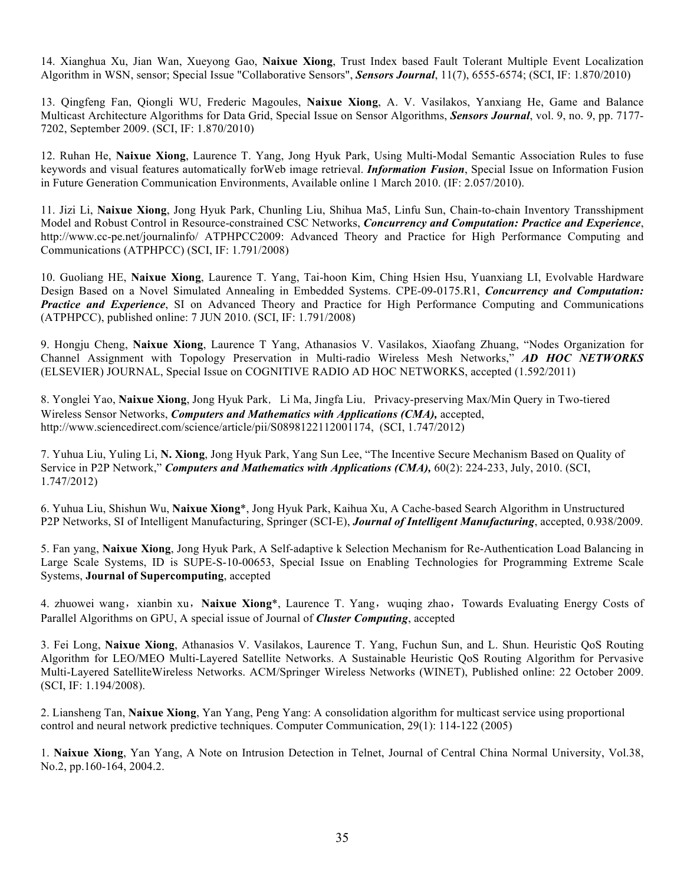14. Xianghua Xu, Jian Wan, Xueyong Gao, **Naixue Xiong**, Trust Index based Fault Tolerant Multiple Event Localization Algorithm in WSN, sensor; Special Issue "Collaborative Sensors", *Sensors Journal*, 11(7), 6555-6574; (SCI, IF: 1.870/2010)

13. Qingfeng Fan, Qiongli WU, Frederic Magoules, **Naixue Xiong**, A. V. Vasilakos, Yanxiang He, Game and Balance Multicast Architecture Algorithms for Data Grid, Special Issue on Sensor Algorithms, *Sensors Journal*, vol. 9, no. 9, pp. 7177- 7202, September 2009. (SCI, IF: 1.870/2010)

12. Ruhan He, **Naixue Xiong**, Laurence T. Yang, Jong Hyuk Park, Using Multi-Modal Semantic Association Rules to fuse keywords and visual features automatically forWeb image retrieval. *Information Fusion*, Special Issue on Information Fusion in Future Generation Communication Environments, Available online 1 March 2010. (IF: 2.057/2010).

11. Jizi Li, **Naixue Xiong**, Jong Hyuk Park, Chunling Liu, Shihua Ma5, Linfu Sun, Chain-to-chain Inventory Transshipment Model and Robust Control in Resource-constrained CSC Networks, *Concurrency and Computation: Practice and Experience*, http://www.cc-pe.net/journalinfo/ ATPHPCC2009: Advanced Theory and Practice for High Performance Computing and Communications (ATPHPCC) (SCI, IF: 1.791/2008)

10. Guoliang HE, **Naixue Xiong**, Laurence T. Yang, Tai-hoon Kim, Ching Hsien Hsu, Yuanxiang LI, Evolvable Hardware Design Based on a Novel Simulated Annealing in Embedded Systems. CPE-09-0175.R1, *Concurrency and Computation: Practice and Experience*, SI on Advanced Theory and Practice for High Performance Computing and Communications (ATPHPCC), published online: 7 JUN 2010. (SCI, IF: 1.791/2008)

9. Hongju Cheng, **Naixue Xiong**, Laurence T Yang, Athanasios V. Vasilakos, Xiaofang Zhuang, "Nodes Organization for Channel Assignment with Topology Preservation in Multi-radio Wireless Mesh Networks," *AD HOC NETWORKS* (ELSEVIER) JOURNAL, Special Issue on COGNITIVE RADIO AD HOC NETWORKS, accepted (1.592/2011)

8. Yonglei Yao, Naixue Xiong, Jong Hyuk Park, Li Ma, Jingfa Liu, Privacy-preserving Max/Min Query in Two-tiered Wireless Sensor Networks, *Computers and Mathematics with Applications (CMA),* accepted, http://www.sciencedirect.com/science/article/pii/S0898122112001174, (SCI, 1.747/2012)

7. Yuhua Liu, Yuling Li, **N. Xiong**, Jong Hyuk Park, Yang Sun Lee, "The Incentive Secure Mechanism Based on Quality of Service in P2P Network," *Computers and Mathematics with Applications (CMA),* 60(2): 224-233, July, 2010. (SCI, 1.747/2012)

6. Yuhua Liu, Shishun Wu, **Naixue Xiong**\*, Jong Hyuk Park, Kaihua Xu, A Cache-based Search Algorithm in Unstructured P2P Networks, SI of Intelligent Manufacturing, Springer (SCI-E), *Journal of Intelligent Manufacturing*, accepted, 0.938/2009.

5. Fan yang, **Naixue Xiong**, Jong Hyuk Park, A Self-adaptive k Selection Mechanism for Re-Authentication Load Balancing in Large Scale Systems, ID is SUPE-S-10-00653, Special Issue on Enabling Technologies for Programming Extreme Scale Systems, **Journal of Supercomputing**, accepted

4. zhuowei wang, xianbin xu, Naixue Xiong<sup>\*</sup>, Laurence T. Yang, wuqing zhao, Towards Evaluating Energy Costs of Parallel Algorithms on GPU, A special issue of Journal of *Cluster Computing*, accepted

3. Fei Long, **Naixue Xiong**, Athanasios V. Vasilakos, Laurence T. Yang, Fuchun Sun, and L. Shun. Heuristic QoS Routing Algorithm for LEO/MEO Multi-Layered Satellite Networks. A Sustainable Heuristic QoS Routing Algorithm for Pervasive Multi-Layered SatelliteWireless Networks. ACM/Springer Wireless Networks (WINET), Published online: 22 October 2009. (SCI, IF: 1.194/2008).

2. Liansheng Tan, **Naixue Xiong**, Yan Yang, Peng Yang: A consolidation algorithm for multicast service using proportional control and neural network predictive techniques. Computer Communication, 29(1): 114-122 (2005)

1. **Naixue Xiong**, Yan Yang, A Note on Intrusion Detection in Telnet, Journal of Central China Normal University, Vol.38, No.2, pp.160-164, 2004.2.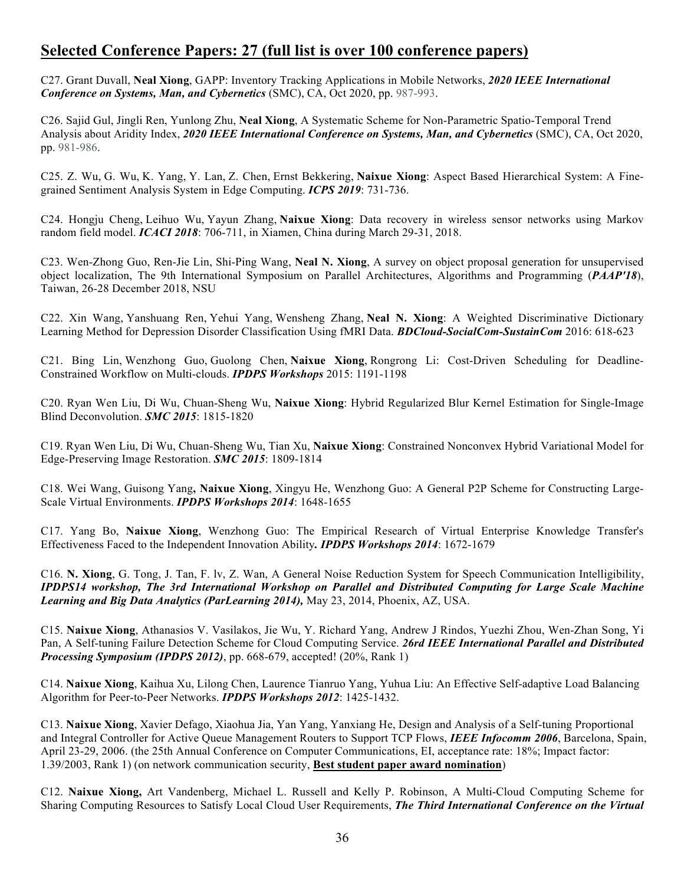# **Selected Conference Papers: 27 (full list is over 100 conference papers)**

C27. Grant Duvall, **Neal Xiong**, GAPP: Inventory Tracking Applications in Mobile Networks, *2020 IEEE International Conference on Systems, Man, and Cybernetics* (SMC), CA, Oct 2020, pp. 987-993.

C26. Sajid Gul, Jingli Ren, Yunlong Zhu, **Neal Xiong**, A Systematic Scheme for Non-Parametric Spatio-Temporal Trend Analysis about Aridity Index, *2020 IEEE International Conference on Systems, Man, and Cybernetics* (SMC), CA, Oct 2020, pp. 981-986.

C25. Z. Wu, G. Wu, K. Yang, Y. Lan, Z. Chen, Ernst Bekkering, **Naixue Xiong**: Aspect Based Hierarchical System: A Finegrained Sentiment Analysis System in Edge Computing. *ICPS 2019*: 731-736.

C24. Hongju Cheng, Leihuo Wu, Yayun Zhang, **Naixue Xiong**: Data recovery in wireless sensor networks using Markov random field model. *ICACI 2018*: 706-711, in Xiamen, China during March 29-31, 2018.

C23. Wen-Zhong Guo, Ren-Jie Lin, Shi-Ping Wang, **Neal N. Xiong**, A survey on object proposal generation for unsupervised object localization, The 9th International Symposium on Parallel Architectures, Algorithms and Programming (*PAAP'18*), Taiwan, 26-28 December 2018, NSU

C22. Xin Wang, Yanshuang Ren, Yehui Yang, Wensheng Zhang, **Neal N. Xiong**: A Weighted Discriminative Dictionary Learning Method for Depression Disorder Classification Using fMRI Data. *BDCloud-SocialCom-SustainCom* 2016: 618-623

C21. Bing Lin, Wenzhong Guo, Guolong Chen, **Naixue Xiong**, Rongrong Li: Cost-Driven Scheduling for Deadline-Constrained Workflow on Multi-clouds. *IPDPS Workshops* 2015: 1191-1198

C20. Ryan Wen Liu, Di Wu, Chuan-Sheng Wu, **Naixue Xiong**: Hybrid Regularized Blur Kernel Estimation for Single-Image Blind Deconvolution. *SMC 2015*: 1815-1820

C19. Ryan Wen Liu, Di Wu, Chuan-Sheng Wu, Tian Xu, **Naixue Xiong**: Constrained Nonconvex Hybrid Variational Model for Edge-Preserving Image Restoration. *SMC 2015*: 1809-1814

C18. Wei Wang, Guisong Yang**, Naixue Xiong**, Xingyu He, Wenzhong Guo: A General P2P Scheme for Constructing Large-Scale Virtual Environments. *IPDPS Workshops 2014*: 1648-1655

C17. Yang Bo, **Naixue Xiong**, Wenzhong Guo: The Empirical Research of Virtual Enterprise Knowledge Transfer's Effectiveness Faced to the Independent Innovation Ability*. IPDPS Workshops 2014*: 1672-1679

C16. **N. Xiong**, G. Tong, J. Tan, F. lv, Z. Wan, A General Noise Reduction System for Speech Communication Intelligibility, *IPDPS14 workshop, The 3rd International Workshop on Parallel and Distributed Computing for Large Scale Machine Learning and Big Data Analytics (ParLearning 2014),* May 23, 2014, Phoenix, AZ, USA.

C15. **Naixue Xiong**, Athanasios V. Vasilakos, Jie Wu, Y. Richard Yang, Andrew J Rindos, Yuezhi Zhou, Wen-Zhan Song, Yi Pan, A Self-tuning Failure Detection Scheme for Cloud Computing Service. *26rd IEEE International Parallel and Distributed Processing Symposium (IPDPS 2012)*, pp. 668-679, accepted! (20%, Rank 1)

C14. **Naixue Xiong**, Kaihua Xu, Lilong Chen, Laurence Tianruo Yang, Yuhua Liu: An Effective Self-adaptive Load Balancing Algorithm for Peer-to-Peer Networks. *IPDPS Workshops 2012*: 1425-1432.

C13. **Naixue Xiong**, Xavier Defago, Xiaohua Jia, Yan Yang, Yanxiang He, Design and Analysis of a Self-tuning Proportional and Integral Controller for Active Queue Management Routers to Support TCP Flows, *IEEE Infocomm 2006*, Barcelona, Spain, April 23-29, 2006. (the 25th Annual Conference on Computer Communications, EI, acceptance rate: 18%; Impact factor: 1.39/2003, Rank 1) (on network communication security, **Best student paper award nomination**)

C12. **Naixue Xiong,** Art Vandenberg, Michael L. Russell and Kelly P. Robinson, A Multi-Cloud Computing Scheme for Sharing Computing Resources to Satisfy Local Cloud User Requirements, *The Third International Conference on the Virtual*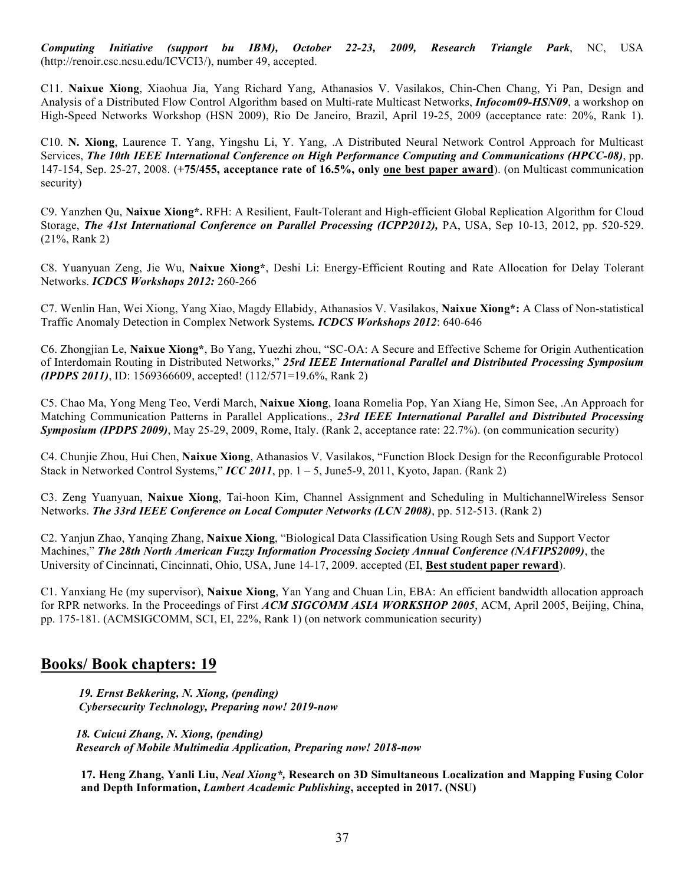*Computing Initiative (support bu IBM), October 22-23, 2009, Research Triangle Park*, NC, USA (http://renoir.csc.ncsu.edu/ICVCI3/), number 49, accepted.

C11. **Naixue Xiong**, Xiaohua Jia, Yang Richard Yang, Athanasios V. Vasilakos, Chin-Chen Chang, Yi Pan, Design and Analysis of a Distributed Flow Control Algorithm based on Multi-rate Multicast Networks, *Infocom09-HSN09*, a workshop on High-Speed Networks Workshop (HSN 2009), Rio De Janeiro, Brazil, April 19-25, 2009 (acceptance rate: 20%, Rank 1).

C10. **N. Xiong**, Laurence T. Yang, Yingshu Li, Y. Yang, .A Distributed Neural Network Control Approach for Multicast Services, *The 10th IEEE International Conference on High Performance Computing and Communications (HPCC-08)*, pp. 147-154, Sep. 25-27, 2008. (**+75/455, acceptance rate of 16.5%, only one best paper award**). (on Multicast communication security)

C9. Yanzhen Qu, **Naixue Xiong\*.** RFH: A Resilient, Fault-Tolerant and High-efficient Global Replication Algorithm for Cloud Storage, *The 41st International Conference on Parallel Processing (ICPP2012),* PA, USA, Sep 10-13, 2012, pp. 520-529. (21%, Rank 2)

C8. Yuanyuan Zeng, Jie Wu, **Naixue Xiong\***, Deshi Li: Energy-Efficient Routing and Rate Allocation for Delay Tolerant Networks. *ICDCS Workshops 2012:* 260-266

C7. Wenlin Han, Wei Xiong, Yang Xiao, Magdy Ellabidy, Athanasios V. Vasilakos, **Naixue Xiong\*:** A Class of Non-statistical Traffic Anomaly Detection in Complex Network Systems*. ICDCS Workshops 2012*: 640-646

C6. Zhongjian Le, **Naixue Xiong\***, Bo Yang, Yuezhi zhou, "SC-OA: A Secure and Effective Scheme for Origin Authentication of Interdomain Routing in Distributed Networks," *25rd IEEE International Parallel and Distributed Processing Symposium (IPDPS 2011)*, ID: 1569366609, accepted! (112/571=19.6%, Rank 2)

C5. Chao Ma, Yong Meng Teo, Verdi March, **Naixue Xiong**, Ioana Romelia Pop, Yan Xiang He, Simon See, .An Approach for Matching Communication Patterns in Parallel Applications., *23rd IEEE International Parallel and Distributed Processing Symposium (IPDPS 2009)*, May 25-29, 2009, Rome, Italy. (Rank 2, acceptance rate: 22.7%). (on communication security)

C4. Chunjie Zhou, Hui Chen, **Naixue Xiong**, Athanasios V. Vasilakos, "Function Block Design for the Reconfigurable Protocol Stack in Networked Control Systems," *ICC 2011*, pp. 1 – 5, June5-9, 2011, Kyoto, Japan. (Rank 2)

C3. Zeng Yuanyuan, **Naixue Xiong**, Tai-hoon Kim, Channel Assignment and Scheduling in MultichannelWireless Sensor Networks. *The 33rd IEEE Conference on Local Computer Networks (LCN 2008)*, pp. 512-513. (Rank 2)

C2. Yanjun Zhao, Yanqing Zhang, **Naixue Xiong**, "Biological Data Classification Using Rough Sets and Support Vector Machines," *The 28th North American Fuzzy Information Processing Society Annual Conference (NAFIPS2009)*, the University of Cincinnati, Cincinnati, Ohio, USA, June 14-17, 2009. accepted (EI, **Best student paper reward**).

C1. Yanxiang He (my supervisor), **Naixue Xiong**, Yan Yang and Chuan Lin, EBA: An efficient bandwidth allocation approach for RPR networks. In the Proceedings of First *ACM SIGCOMM ASIA WORKSHOP 2005*, ACM, April 2005, Beijing, China, pp. 175-181. (ACMSIGCOMM, SCI, EI, 22%, Rank 1) (on network communication security)

# **Books/ Book chapters: 19**

 *19. Ernst Bekkering, N. Xiong, (pending) Cybersecurity Technology, Preparing now! 2019-now*

 *18. Cuicui Zhang, N. Xiong, (pending) Research of Mobile Multimedia Application, Preparing now! 2018-now*

**17. Heng Zhang, Yanli Liu,** *Neal Xiong\*,* **Research on 3D Simultaneous Localization and Mapping Fusing Color and Depth Information,** *Lambert Academic Publishing***, accepted in 2017. (NSU)**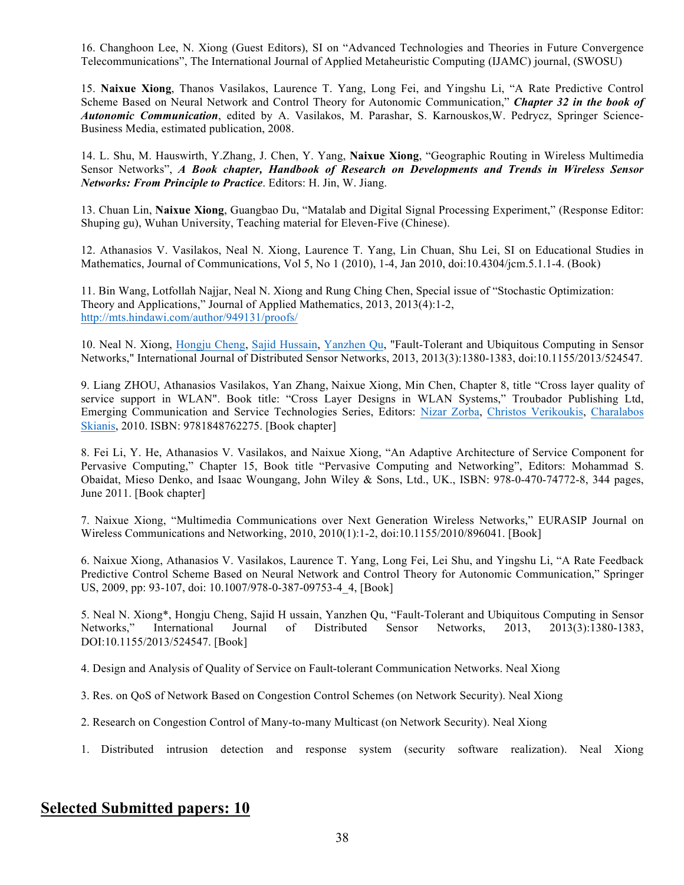16. Changhoon Lee, N. Xiong (Guest Editors), SI on "Advanced Technologies and Theories in Future Convergence Telecommunications", The International Journal of Applied Metaheuristic Computing (IJAMC) journal, (SWOSU)

15. **Naixue Xiong**, Thanos Vasilakos, Laurence T. Yang, Long Fei, and Yingshu Li, "A Rate Predictive Control Scheme Based on Neural Network and Control Theory for Autonomic Communication," *Chapter 32 in the book of Autonomic Communication*, edited by A. Vasilakos, M. Parashar, S. Karnouskos,W. Pedrycz, Springer Science-Business Media, estimated publication, 2008.

14. L. Shu, M. Hauswirth, Y.Zhang, J. Chen, Y. Yang, **Naixue Xiong**, "Geographic Routing in Wireless Multimedia Sensor Networks", *A Book chapter, Handbook of Research on Developments and Trends in Wireless Sensor Networks: From Principle to Practice*. Editors: H. Jin, W. Jiang.

13. Chuan Lin, **Naixue Xiong**, Guangbao Du, "Matalab and Digital Signal Processing Experiment," (Response Editor: Shuping gu), Wuhan University, Teaching material for Eleven-Five (Chinese).

12. Athanasios V. Vasilakos, Neal N. Xiong, Laurence T. Yang, Lin Chuan, Shu Lei, SI on Educational Studies in Mathematics, Journal of Communications, Vol 5, No 1 (2010), 1-4, Jan 2010, doi:10.4304/jcm.5.1.1-4. (Book)

11. Bin Wang, Lotfollah Najjar, Neal N. Xiong and Rung Ching Chen, Special issue of "Stochastic Optimization: Theory and Applications," Journal of Applied Mathematics, 2013, 2013(4):1-2, http://mts.hindawi.com/author/949131/proofs/

10. Neal N. Xiong, Hongju Cheng, Sajid Hussain, Yanzhen Qu, "Fault-Tolerant and Ubiquitous Computing in Sensor Networks," International Journal of Distributed Sensor Networks, 2013, 2013(3):1380-1383, doi:10.1155/2013/524547.

9. Liang ZHOU, Athanasios Vasilakos, Yan Zhang, Naixue Xiong, Min Chen, Chapter 8, title "Cross layer quality of service support in WLAN". Book title: "Cross Layer Designs in WLAN Systems," Troubador Publishing Ltd, Emerging Communication and Service Technologies Series, Editors: Nizar Zorba, Christos Verikoukis, Charalabos Skianis, 2010. ISBN: 9781848762275. [Book chapter]

8. Fei Li, Y. He, Athanasios V. Vasilakos, and Naixue Xiong, "An Adaptive Architecture of Service Component for Pervasive Computing," Chapter 15, Book title "Pervasive Computing and Networking", Editors: Mohammad S. Obaidat, Mieso Denko, and Isaac Woungang, John Wiley & Sons, Ltd., UK., ISBN: 978-0-470-74772-8, 344 pages, June 2011. [Book chapter]

7. Naixue Xiong, "Multimedia Communications over Next Generation Wireless Networks," EURASIP Journal on Wireless Communications and Networking, 2010, 2010(1):1-2, doi:10.1155/2010/896041. [Book]

6. Naixue Xiong, Athanasios V. Vasilakos, Laurence T. Yang, Long Fei, Lei Shu, and Yingshu Li, "A Rate Feedback Predictive Control Scheme Based on Neural Network and Control Theory for Autonomic Communication," Springer US, 2009, pp: 93-107, doi: 10.1007/978-0-387-09753-4\_4, [Book]

5. Neal N. Xiong\*, Hongju Cheng, Sajid H ussain, Yanzhen Qu, "Fault-Tolerant and Ubiquitous Computing in Sensor Networks," International Journal of Distributed Sensor Networks, 2013, 2013(3):1380-1383, DOI:10.1155/2013/524547. [Book]

4. Design and Analysis of Quality of Service on Fault-tolerant Communication Networks. Neal Xiong

3. Res. on QoS of Network Based on Congestion Control Schemes (on Network Security). Neal Xiong

- 2. Research on Congestion Control of Many-to-many Multicast (on Network Security). Neal Xiong
- 1. Distributed intrusion detection and response system (security software realization). Neal Xiong

# **Selected Submitted papers: 10**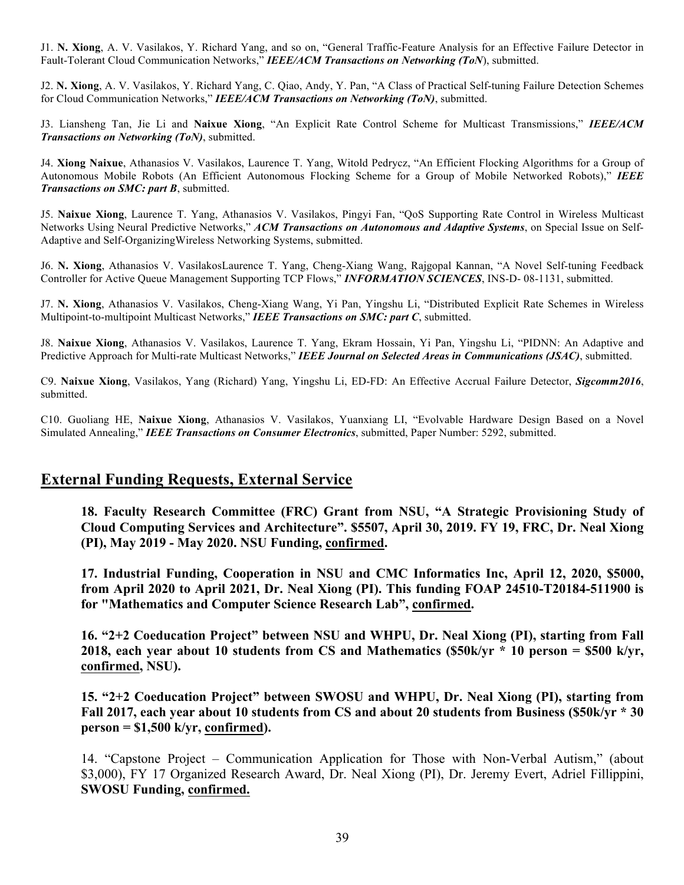J1. **N. Xiong**, A. V. Vasilakos, Y. Richard Yang, and so on, "General Traffic-Feature Analysis for an Effective Failure Detector in Fault-Tolerant Cloud Communication Networks," *IEEE/ACM Transactions on Networking (ToN*), submitted.

J2. **N. Xiong**, A. V. Vasilakos, Y. Richard Yang, C. Qiao, Andy, Y. Pan, "A Class of Practical Self-tuning Failure Detection Schemes for Cloud Communication Networks," *IEEE/ACM Transactions on Networking (ToN)*, submitted.

J3. Liansheng Tan, Jie Li and **Naixue Xiong**, "An Explicit Rate Control Scheme for Multicast Transmissions," *IEEE/ACM Transactions on Networking (ToN)*, submitted.

J4. **Xiong Naixue**, Athanasios V. Vasilakos, Laurence T. Yang, Witold Pedrycz, "An Efficient Flocking Algorithms for a Group of Autonomous Mobile Robots (An Efficient Autonomous Flocking Scheme for a Group of Mobile Networked Robots)," *IEEE Transactions on SMC: part B*, submitted.

J5. **Naixue Xiong**, Laurence T. Yang, Athanasios V. Vasilakos, Pingyi Fan, "QoS Supporting Rate Control in Wireless Multicast Networks Using Neural Predictive Networks," *ACM Transactions on Autonomous and Adaptive Systems*, on Special Issue on Self-Adaptive and Self-OrganizingWireless Networking Systems, submitted.

J6. **N. Xiong**, Athanasios V. VasilakosLaurence T. Yang, Cheng-Xiang Wang, Rajgopal Kannan, "A Novel Self-tuning Feedback Controller for Active Queue Management Supporting TCP Flows," *INFORMATION SCIENCES*, INS-D- 08-1131, submitted.

J7. **N. Xiong**, Athanasios V. Vasilakos, Cheng-Xiang Wang, Yi Pan, Yingshu Li, "Distributed Explicit Rate Schemes in Wireless Multipoint-to-multipoint Multicast Networks," *IEEE Transactions on SMC: part C*, submitted.

J8. **Naixue Xiong**, Athanasios V. Vasilakos, Laurence T. Yang, Ekram Hossain, Yi Pan, Yingshu Li, "PIDNN: An Adaptive and Predictive Approach for Multi-rate Multicast Networks," *IEEE Journal on Selected Areas in Communications (JSAC)*, submitted.

C9. **Naixue Xiong**, Vasilakos, Yang (Richard) Yang, Yingshu Li, ED-FD: An Effective Accrual Failure Detector, *Sigcomm2016*, submitted.

C10. Guoliang HE, **Naixue Xiong**, Athanasios V. Vasilakos, Yuanxiang LI, "Evolvable Hardware Design Based on a Novel Simulated Annealing," *IEEE Transactions on Consumer Electronics*, submitted, Paper Number: 5292, submitted.

# **External Funding Requests, External Service**

**18. Faculty Research Committee (FRC) Grant from NSU, "A Strategic Provisioning Study of Cloud Computing Services and Architecture". \$5507, April 30, 2019. FY 19, FRC, Dr. Neal Xiong (PI), May 2019 - May 2020. NSU Funding, confirmed.**

**17. Industrial Funding, Cooperation in NSU and CMC Informatics Inc, April 12, 2020, \$5000, from April 2020 to April 2021, Dr. Neal Xiong (PI). This funding FOAP 24510-T20184-511900 is for "Mathematics and Computer Science Research Lab", confirmed.**

**16. "2+2 Coeducation Project" between NSU and WHPU, Dr. Neal Xiong (PI), starting from Fall 2018, each year about 10 students from CS and Mathematics (\$50k/yr \* 10 person = \$500 k/yr, confirmed, NSU).**

**15. "2+2 Coeducation Project" between SWOSU and WHPU, Dr. Neal Xiong (PI), starting from Fall 2017, each year about 10 students from CS and about 20 students from Business (\$50k/yr \* 30 person = \$1,500 k/yr, confirmed).**

14. "Capstone Project – Communication Application for Those with Non-Verbal Autism," (about \$3,000), FY 17 Organized Research Award, Dr. Neal Xiong (PI), Dr. Jeremy Evert, Adriel Fillippini, **SWOSU Funding, confirmed.**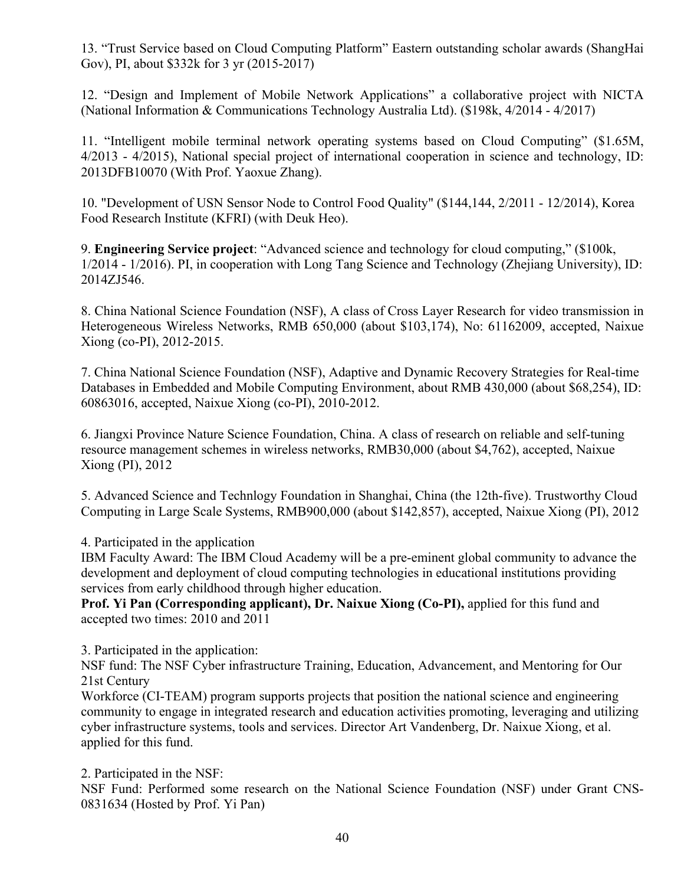13. "Trust Service based on Cloud Computing Platform" Eastern outstanding scholar awards (ShangHai Gov), PI, about \$332k for 3 yr (2015-2017)

12. "Design and Implement of Mobile Network Applications" a collaborative project with NICTA (National Information & Communications Technology Australia Ltd). (\$198k, 4/2014 - 4/2017)

11. "Intelligent mobile terminal network operating systems based on Cloud Computing" (\$1.65M, 4/2013 - 4/2015), National special project of international cooperation in science and technology, ID: 2013DFB10070 (With Prof. Yaoxue Zhang).

10. "Development of USN Sensor Node to Control Food Quality" (\$144,144, 2/2011 - 12/2014), Korea Food Research Institute (KFRI) (with Deuk Heo).

9. **Engineering Service project**: "Advanced science and technology for cloud computing," (\$100k, 1/2014 - 1/2016). PI, in cooperation with Long Tang Science and Technology (Zhejiang University), ID: 2014ZJ546.

8. China National Science Foundation (NSF), A class of Cross Layer Research for video transmission in Heterogeneous Wireless Networks, RMB 650,000 (about \$103,174), No: 61162009, accepted, Naixue Xiong (co-PI), 2012-2015.

7. China National Science Foundation (NSF), Adaptive and Dynamic Recovery Strategies for Real-time Databases in Embedded and Mobile Computing Environment, about RMB 430,000 (about \$68,254), ID: 60863016, accepted, Naixue Xiong (co-PI), 2010-2012.

6. Jiangxi Province Nature Science Foundation, China. A class of research on reliable and self-tuning resource management schemes in wireless networks, RMB30,000 (about \$4,762), accepted, Naixue Xiong (PI), 2012

5. Advanced Science and Technlogy Foundation in Shanghai, China (the 12th-five). Trustworthy Cloud Computing in Large Scale Systems, RMB900,000 (about \$142,857), accepted, Naixue Xiong (PI), 2012

4. Participated in the application

IBM Faculty Award: The IBM Cloud Academy will be a pre-eminent global community to advance the development and deployment of cloud computing technologies in educational institutions providing services from early childhood through higher education.

**Prof. Yi Pan (Corresponding applicant), Dr. Naixue Xiong (Co-PI),** applied for this fund and accepted two times: 2010 and 2011

3. Participated in the application:

NSF fund: The NSF Cyber infrastructure Training, Education, Advancement, and Mentoring for Our 21st Century

Workforce (CI-TEAM) program supports projects that position the national science and engineering community to engage in integrated research and education activities promoting, leveraging and utilizing cyber infrastructure systems, tools and services. Director Art Vandenberg, Dr. Naixue Xiong, et al. applied for this fund.

2. Participated in the NSF:

NSF Fund: Performed some research on the National Science Foundation (NSF) under Grant CNS-0831634 (Hosted by Prof. Yi Pan)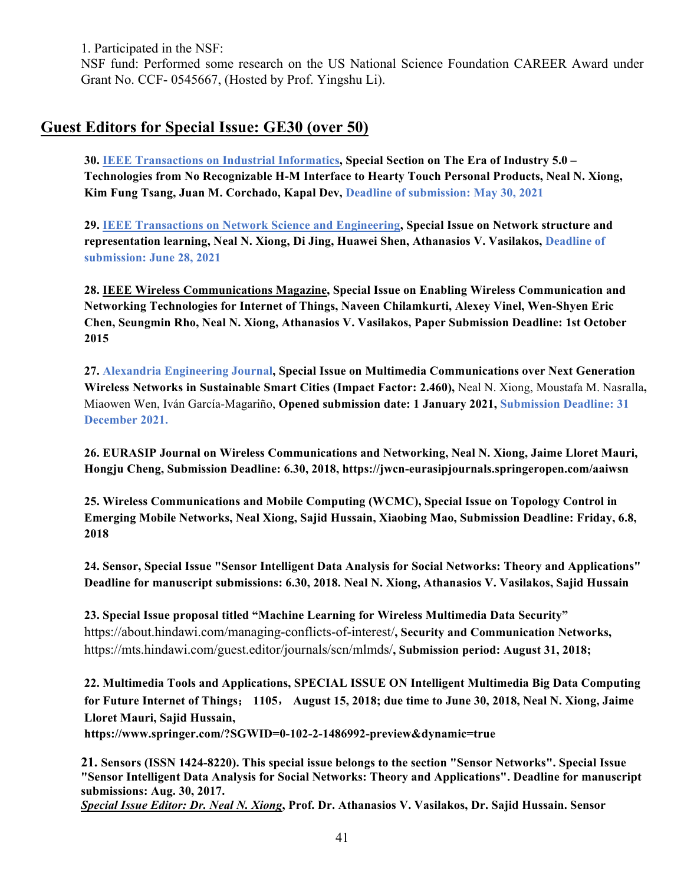1. Participated in the NSF:

NSF fund: Performed some research on the US National Science Foundation CAREER Award under Grant No. CCF- 0545667, (Hosted by Prof. Yingshu Li).

# **Guest Editors for Special Issue: GE30 (over 50)**

**30. IEEE Transactions on Industrial Informatics, Special Section on The Era of Industry 5.0 – Technologies from No Recognizable H-M Interface to Hearty Touch Personal Products, Neal N. Xiong, Kim Fung Tsang, Juan M. Corchado, Kapal Dev, Deadline of submission: May 30, 2021**

**29. IEEE Transactions on Network Science and Engineering, Special Issue on Network structure and representation learning, Neal N. Xiong, Di Jing, Huawei Shen, Athanasios V. Vasilakos, Deadline of submission: June 28, 2021**

**28. IEEE Wireless Communications Magazine, Special Issue on Enabling Wireless Communication and Networking Technologies for Internet of Things, Naveen Chilamkurti, Alexey Vinel, Wen-Shyen Eric Chen, Seungmin Rho, Neal N. Xiong, Athanasios V. Vasilakos, Paper Submission Deadline: 1st October 2015**

**27. Alexandria Engineering Journal, Special Issue on Multimedia Communications over Next Generation Wireless Networks in Sustainable Smart Cities (Impact Factor: 2.460),** Neal N. Xiong, Moustafa M. Nasralla**,**  Miaowen Wen, Iván García-Magariño, **Opened submission date: 1 January 2021, Submission Deadline: 31 December 2021.**

**26. EURASIP Journal on Wireless Communications and Networking, Neal N. Xiong, Jaime Lloret Mauri, Hongju Cheng, Submission Deadline: 6.30, 2018, https://jwcn-eurasipjournals.springeropen.com/aaiwsn**

**25. Wireless Communications and Mobile Computing (WCMC), Special Issue on Topology Control in Emerging Mobile Networks, Neal Xiong, Sajid Hussain, Xiaobing Mao, Submission Deadline: Friday, 6.8, 2018**

**24. Sensor, Special Issue "Sensor Intelligent Data Analysis for Social Networks: Theory and Applications" Deadline for manuscript submissions: 6.30, 2018. Neal N. Xiong, Athanasios V. Vasilakos, Sajid Hussain**

**23. Special Issue proposal titled "Machine Learning for Wireless Multimedia Data Security"**  https://about.hindawi.com/managing-conflicts-of-interest/**, Security and Communication Networks,**  https://mts.hindawi.com/guest.editor/journals/scn/mlmds/**, Submission period: August 31, 2018;** 

**22. Multimedia Tools and Applications, SPECIAL ISSUE ON Intelligent Multimedia Big Data Computing for Future Internet of Things**; **1105**, **August 15, 2018; due time to June 30, 2018, Neal N. Xiong, Jaime Lloret Mauri, Sajid Hussain,** 

**https://www.springer.com/?SGWID=0-102-2-1486992-preview&dynamic=true**

**21. Sensors (ISSN 1424-8220). This special issue belongs to the section "Sensor Networks". Special Issue "Sensor Intelligent Data Analysis for Social Networks: Theory and Applications". Deadline for manuscript submissions: Aug. 30, 2017.**

*Special Issue Editor: Dr. Neal N. Xiong***, Prof. Dr. Athanasios V. Vasilakos, Dr. Sajid Hussain. Sensor**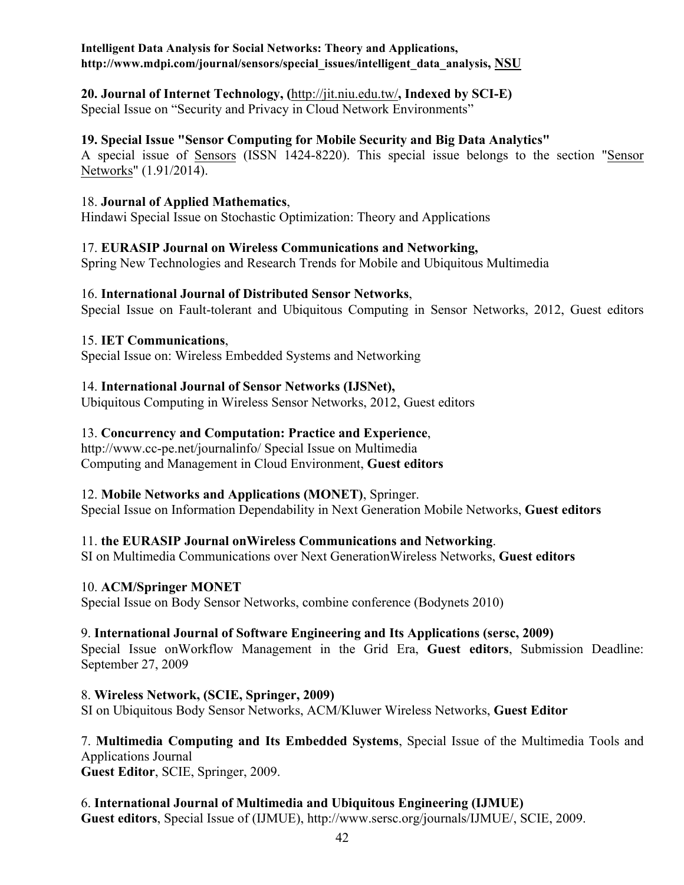#### **Intelligent Data Analysis for Social Networks: Theory and Applications, http://www.mdpi.com/journal/sensors/special\_issues/intelligent\_data\_analysis, NSU**

# **20. Journal of Internet Technology, (**http://jit.niu.edu.tw/**, Indexed by SCI-E)**

Special Issue on "Security and Privacy in Cloud Network Environments"

### **19. Special Issue "Sensor Computing for Mobile Security and Big Data Analytics"**

A special issue of Sensors (ISSN 1424-8220). This special issue belongs to the section "Sensor Networks" (1.91/2014).

#### 18. **Journal of Applied Mathematics**,

Hindawi Special Issue on Stochastic Optimization: Theory and Applications

### 17. **EURASIP Journal on Wireless Communications and Networking,**

Spring New Technologies and Research Trends for Mobile and Ubiquitous Multimedia

### 16. **International Journal of Distributed Sensor Networks**,

Special Issue on Fault-tolerant and Ubiquitous Computing in Sensor Networks, 2012, Guest editors

#### 15. **IET Communications**,

Special Issue on: Wireless Embedded Systems and Networking

### 14. **International Journal of Sensor Networks (IJSNet),**

Ubiquitous Computing in Wireless Sensor Networks, 2012, Guest editors

### 13. **Concurrency and Computation: Practice and Experience**,

http://www.cc-pe.net/journalinfo/ Special Issue on Multimedia Computing and Management in Cloud Environment, **Guest editors**

# 12. **Mobile Networks and Applications (MONET)**, Springer.

Special Issue on Information Dependability in Next Generation Mobile Networks, **Guest editors**

# 11. **the EURASIP Journal onWireless Communications and Networking**.

SI on Multimedia Communications over Next GenerationWireless Networks, **Guest editors**

#### 10. **ACM/Springer MONET**

Special Issue on Body Sensor Networks, combine conference (Bodynets 2010)

# 9. **International Journal of Software Engineering and Its Applications (sersc, 2009)**

Special Issue onWorkflow Management in the Grid Era, **Guest editors**, Submission Deadline: September 27, 2009

# 8. **Wireless Network, (SCIE, Springer, 2009)**

SI on Ubiquitous Body Sensor Networks, ACM/Kluwer Wireless Networks, **Guest Editor**

# 7. **Multimedia Computing and Its Embedded Systems**, Special Issue of the Multimedia Tools and Applications Journal

**Guest Editor**, SCIE, Springer, 2009.

# 6. **International Journal of Multimedia and Ubiquitous Engineering (IJMUE)**

**Guest editors**, Special Issue of (IJMUE), http://www.sersc.org/journals/IJMUE/, SCIE, 2009.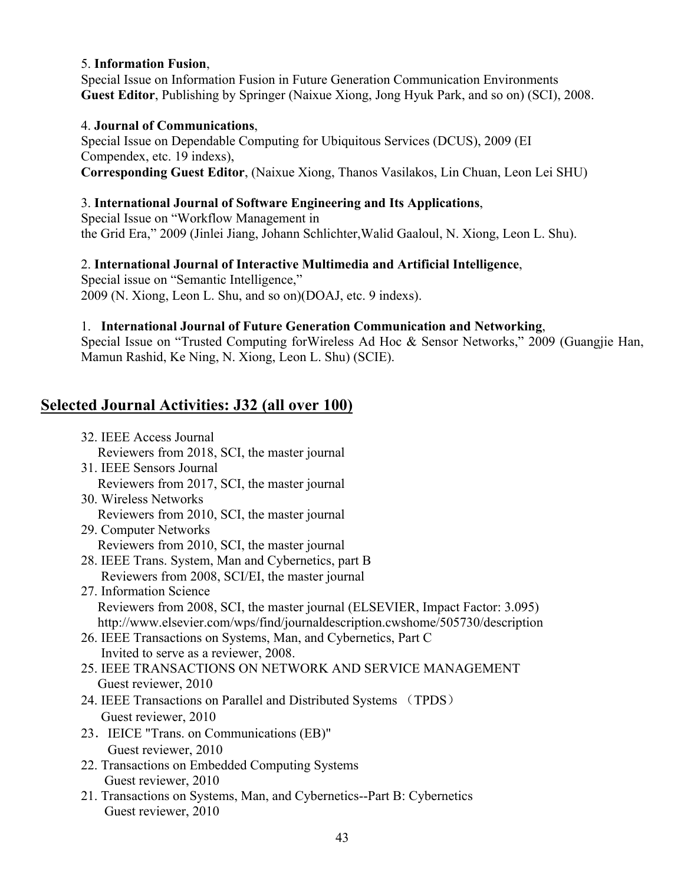#### 5. **Information Fusion**,

Special Issue on Information Fusion in Future Generation Communication Environments **Guest Editor**, Publishing by Springer (Naixue Xiong, Jong Hyuk Park, and so on) (SCI), 2008.

#### 4. **Journal of Communications**,

Special Issue on Dependable Computing for Ubiquitous Services (DCUS), 2009 (EI Compendex, etc. 19 indexs), **Corresponding Guest Editor**, (Naixue Xiong, Thanos Vasilakos, Lin Chuan, Leon Lei SHU)

#### 3. **International Journal of Software Engineering and Its Applications**,

Special Issue on "Workflow Management in the Grid Era," 2009 (Jinlei Jiang, Johann Schlichter,Walid Gaaloul, N. Xiong, Leon L. Shu).

### 2. **International Journal of Interactive Multimedia and Artificial Intelligence**,

Special issue on "Semantic Intelligence," 2009 (N. Xiong, Leon L. Shu, and so on)(DOAJ, etc. 9 indexs).

#### 1. **International Journal of Future Generation Communication and Networking**,

Special Issue on "Trusted Computing forWireless Ad Hoc & Sensor Networks," 2009 (Guangjie Han, Mamun Rashid, Ke Ning, N. Xiong, Leon L. Shu) (SCIE).

# **Selected Journal Activities: J32 (all over 100)**

- 32. IEEE Access Journal Reviewers from 2018, SCI, the master journal 31. IEEE Sensors Journal Reviewers from 2017, SCI, the master journal 30. Wireless Networks Reviewers from 2010, SCI, the master journal 29. Computer Networks Reviewers from 2010, SCI, the master journal 28. IEEE Trans. System, Man and Cybernetics, part B Reviewers from 2008, SCI/EI, the master journal 27. Information Science Reviewers from 2008, SCI, the master journal (ELSEVIER, Impact Factor: 3.095) http://www.elsevier.com/wps/find/journaldescription.cwshome/505730/description 26. IEEE Transactions on Systems, Man, and Cybernetics, Part C Invited to serve as a reviewer, 2008. 25. IEEE TRANSACTIONS ON NETWORK AND SERVICE MANAGEMENT Guest reviewer, 2010 24. IEEE Transactions on Parallel and Distributed Systems (TPDS) Guest reviewer, 2010 23.IEICE "Trans. on Communications (EB)" Guest reviewer, 2010
- 22. Transactions on Embedded Computing Systems Guest reviewer, 2010
- 21. Transactions on Systems, Man, and Cybernetics--Part B: Cybernetics Guest reviewer, 2010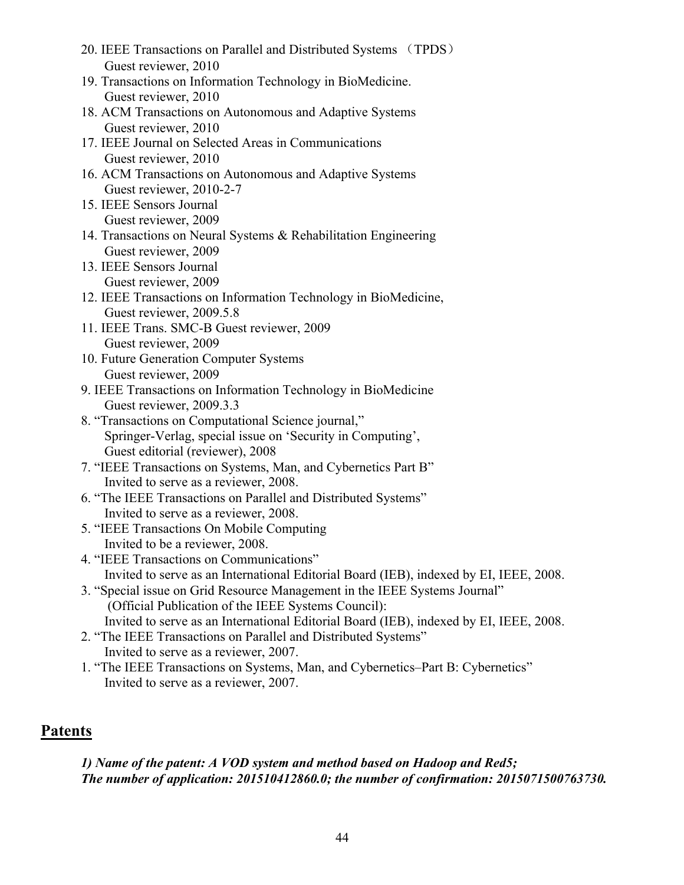- 20. IEEE Transactions on Parallel and Distributed Systems (TPDS) Guest reviewer, 2010
- 19. Transactions on Information Technology in BioMedicine. Guest reviewer, 2010
- 18. ACM Transactions on Autonomous and Adaptive Systems Guest reviewer, 2010
- 17. IEEE Journal on Selected Areas in Communications Guest reviewer, 2010
- 16. ACM Transactions on Autonomous and Adaptive Systems Guest reviewer, 2010-2-7
- 15. IEEE Sensors Journal Guest reviewer, 2009
- 14. Transactions on Neural Systems & Rehabilitation Engineering Guest reviewer, 2009
- 13. IEEE Sensors Journal Guest reviewer, 2009
- 12. IEEE Transactions on Information Technology in BioMedicine, Guest reviewer, 2009.5.8
- 11. IEEE Trans. SMC-B Guest reviewer, 2009 Guest reviewer, 2009
- 10. Future Generation Computer Systems Guest reviewer, 2009
- 9. IEEE Transactions on Information Technology in BioMedicine Guest reviewer, 2009.3.3
- 8. "Transactions on Computational Science journal," Springer-Verlag, special issue on 'Security in Computing', Guest editorial (reviewer), 2008
- 7. "IEEE Transactions on Systems, Man, and Cybernetics Part B" Invited to serve as a reviewer, 2008.
- 6. "The IEEE Transactions on Parallel and Distributed Systems" Invited to serve as a reviewer, 2008.
- 5. "IEEE Transactions On Mobile Computing Invited to be a reviewer, 2008.
- 4. "IEEE Transactions on Communications" Invited to serve as an International Editorial Board (IEB), indexed by EI, IEEE, 2008.
- 3. "Special issue on Grid Resource Management in the IEEE Systems Journal" (Official Publication of the IEEE Systems Council): Invited to serve as an International Editorial Board (IEB), indexed by EI, IEEE, 2008.
- 2. "The IEEE Transactions on Parallel and Distributed Systems" Invited to serve as a reviewer, 2007.
- 1. "The IEEE Transactions on Systems, Man, and Cybernetics–Part B: Cybernetics" Invited to serve as a reviewer, 2007.

# **Patents**

*1) Name of the patent: A VOD system and method based on Hadoop and Red5; The number of application: 201510412860.0; the number of confirmation: 2015071500763730.*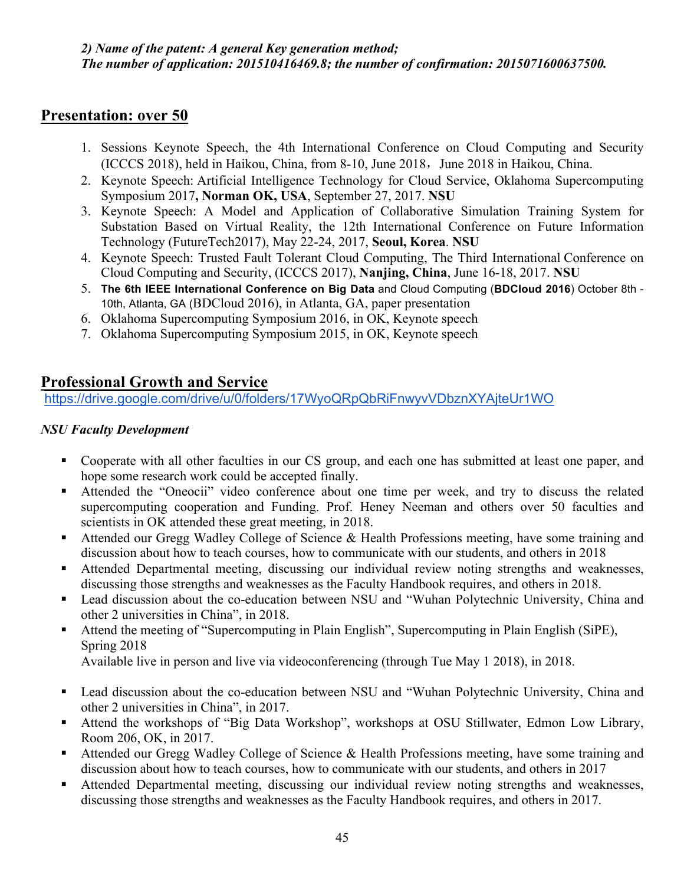# **Presentation: over 50**

- 1. Sessions Keynote Speech, the 4th International Conference on Cloud Computing and Security  $(ICCCS 2018)$ , held in Haikou, China, from 8-10, June 2018, June 2018 in Haikou, China.
- 2. Keynote Speech: Artificial Intelligence Technology for Cloud Service, Oklahoma Supercomputing Symposium 2017**, Norman OK, USA**, September 27, 2017. **NSU**
- 3. Keynote Speech: A Model and Application of Collaborative Simulation Training System for Substation Based on Virtual Reality, the 12th International Conference on Future Information Technology (FutureTech2017), May 22-24, 2017, **Seoul, Korea**. **NSU**
- 4. Keynote Speech: Trusted Fault Tolerant Cloud Computing, The Third International Conference on Cloud Computing and Security, (ICCCS 2017), **Nanjing, China**, June 16-18, 2017. **NSU**
- 5. **The 6th IEEE International Conference on Big Data** and Cloud Computing (**BDCloud 2016**) October 8th 10th, Atlanta, GA (BDCloud 2016), in Atlanta, GA, paper presentation
- 6. Oklahoma Supercomputing Symposium 2016, in OK, Keynote speech
- 7. Oklahoma Supercomputing Symposium 2015, in OK, Keynote speech

# **Professional Growth and Service**

https://drive.google.com/drive/u/0/folders/17WyoQRpQbRiFnwyvVDbznXYAjteUr1WO

# *NSU Faculty Development*

- Cooperate with all other faculties in our CS group, and each one has submitted at least one paper, and hope some research work could be accepted finally.
- Attended the "Oneocii" video conference about one time per week, and try to discuss the related supercomputing cooperation and Funding. Prof. Heney Neeman and others over 50 faculties and scientists in OK attended these great meeting, in 2018.
- Attended our Gregg Wadley College of Science & Health Professions meeting, have some training and discussion about how to teach courses, how to communicate with our students, and others in 2018
- Attended Departmental meeting, discussing our individual review noting strengths and weaknesses, discussing those strengths and weaknesses as the Faculty Handbook requires, and others in 2018.
- Lead discussion about the co-education between NSU and "Wuhan Polytechnic University, China and other 2 universities in China", in 2018.
- Attend the meeting of "Supercomputing in Plain English", Supercomputing in Plain English (SiPE), Spring 2018

Available live in person and live via videoconferencing (through Tue May 1 2018), in 2018.

- Lead discussion about the co-education between NSU and "Wuhan Polytechnic University, China and other 2 universities in China", in 2017.
- Attend the workshops of "Big Data Workshop", workshops at OSU Stillwater, Edmon Low Library, Room 206, OK, in 2017.
- Attended our Gregg Wadley College of Science & Health Professions meeting, have some training and discussion about how to teach courses, how to communicate with our students, and others in 2017
- Attended Departmental meeting, discussing our individual review noting strengths and weaknesses, discussing those strengths and weaknesses as the Faculty Handbook requires, and others in 2017.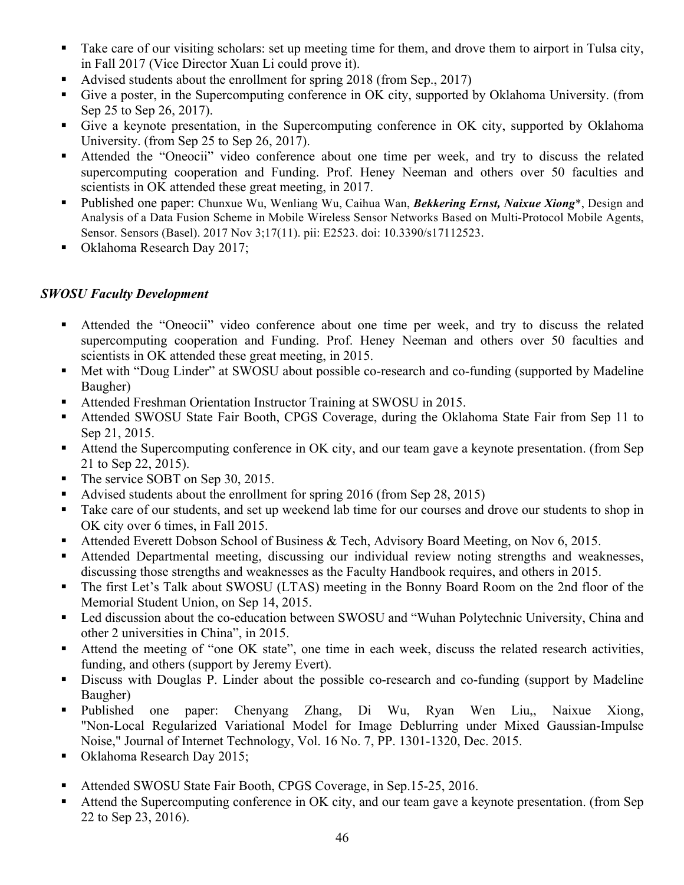- Take care of our visiting scholars: set up meeting time for them, and drove them to airport in Tulsa city, in Fall 2017 (Vice Director Xuan Li could prove it).
- Advised students about the enrollment for spring 2018 (from Sep., 2017)
- Give a poster, in the Supercomputing conference in OK city, supported by Oklahoma University. (from Sep 25 to Sep 26, 2017).
- Give a keynote presentation, in the Supercomputing conference in OK city, supported by Oklahoma University. (from Sep 25 to Sep 26, 2017).
- Attended the "Oneocii" video conference about one time per week, and try to discuss the related supercomputing cooperation and Funding. Prof. Heney Neeman and others over 50 faculties and scientists in OK attended these great meeting, in 2017.
- § Published one paper: Chunxue Wu, Wenliang Wu, Caihua Wan, *Bekkering Ernst, Naixue Xiong*\*, Design and Analysis of a Data Fusion Scheme in Mobile Wireless Sensor Networks Based on Multi-Protocol Mobile Agents, Sensor. Sensors (Basel). 2017 Nov 3;17(11). pii: E2523. doi: 10.3390/s17112523.
- Oklahoma Research Day 2017;

### *SWOSU Faculty Development*

- § Attended the "Oneocii" video conference about one time per week, and try to discuss the related supercomputing cooperation and Funding. Prof. Heney Neeman and others over 50 faculties and scientists in OK attended these great meeting, in 2015.
- Met with "Doug Linder" at SWOSU about possible co-research and co-funding (supported by Madeline Baugher)
- § Attended Freshman Orientation Instructor Training at SWOSU in 2015.
- Attended SWOSU State Fair Booth, CPGS Coverage, during the Oklahoma State Fair from Sep 11 to Sep 21, 2015.
- Attend the Supercomputing conference in OK city, and our team gave a keynote presentation. (from Sep 21 to Sep 22, 2015).
- The service SOBT on Sep 30, 2015.
- Advised students about the enrollment for spring 2016 (from Sep 28, 2015)
- Take care of our students, and set up weekend lab time for our courses and drove our students to shop in OK city over 6 times, in Fall 2015.
- Attended Everett Dobson School of Business & Tech, Advisory Board Meeting, on Nov 6, 2015.
- § Attended Departmental meeting, discussing our individual review noting strengths and weaknesses, discussing those strengths and weaknesses as the Faculty Handbook requires, and others in 2015.
- The first Let's Talk about SWOSU (LTAS) meeting in the Bonny Board Room on the 2nd floor of the Memorial Student Union, on Sep 14, 2015.
- Led discussion about the co-education between SWOSU and "Wuhan Polytechnic University, China and other 2 universities in China", in 2015.
- § Attend the meeting of "one OK state", one time in each week, discuss the related research activities, funding, and others (support by Jeremy Evert).
- Discuss with Douglas P. Linder about the possible co-research and co-funding (support by Madeline Baugher)
- Published one paper: Chenyang Zhang, Di Wu, Ryan Wen Liu,, Naixue Xiong, "Non-Local Regularized Variational Model for Image Deblurring under Mixed Gaussian-Impulse Noise," Journal of Internet Technology, Vol. 16 No. 7, PP. 1301-1320, Dec. 2015.
- Oklahoma Research Day 2015;
- Attended SWOSU State Fair Booth, CPGS Coverage, in Sep.15-25, 2016.
- Attend the Supercomputing conference in OK city, and our team gave a keynote presentation. (from Sep 22 to Sep 23, 2016).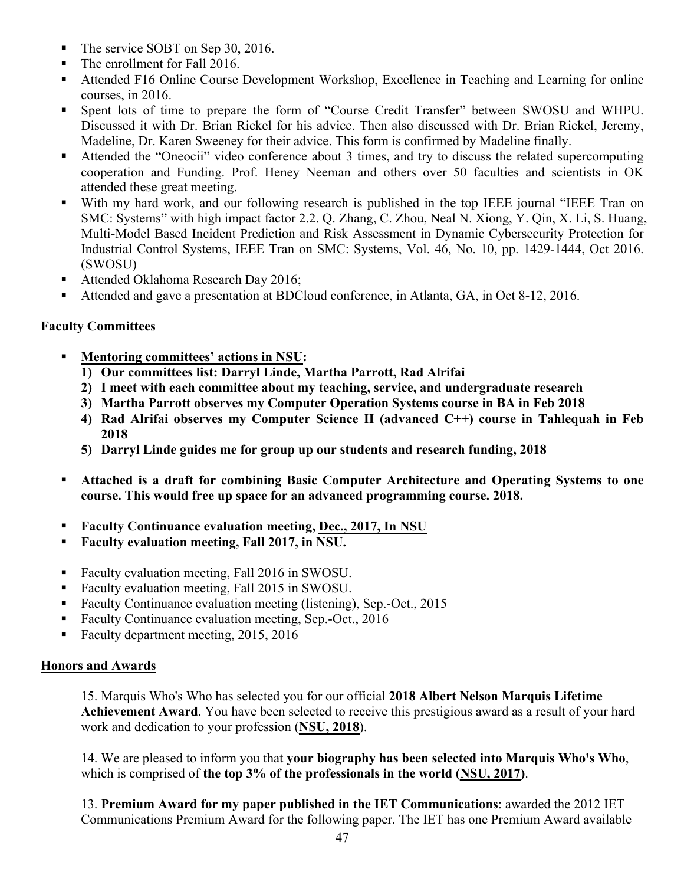- The service SOBT on Sep 30, 2016.
- The enrollment for Fall 2016.
- Attended F16 Online Course Development Workshop, Excellence in Teaching and Learning for online courses, in 2016.
- § Spent lots of time to prepare the form of "Course Credit Transfer" between SWOSU and WHPU. Discussed it with Dr. Brian Rickel for his advice. Then also discussed with Dr. Brian Rickel, Jeremy, Madeline, Dr. Karen Sweeney for their advice. This form is confirmed by Madeline finally.
- § Attended the "Oneocii" video conference about 3 times, and try to discuss the related supercomputing cooperation and Funding. Prof. Heney Neeman and others over 50 faculties and scientists in OK attended these great meeting.
- With my hard work, and our following research is published in the top IEEE journal "IEEE Tran on SMC: Systems" with high impact factor 2.2. Q. Zhang, C. Zhou, Neal N. Xiong, Y. Qin, X. Li, S. Huang, Multi-Model Based Incident Prediction and Risk Assessment in Dynamic Cybersecurity Protection for Industrial Control Systems, IEEE Tran on SMC: Systems, Vol. 46, No. 10, pp. 1429-1444, Oct 2016. (SWOSU)
- Attended Oklahoma Research Day 2016;
- § Attended and gave a presentation at BDCloud conference, in Atlanta, GA, in Oct 8-12, 2016.

### **Faculty Committees**

- § **Mentoring committees' actions in NSU:**
	- **1) Our committees list: Darryl Linde, Martha Parrott, Rad Alrifai**
	- **2) I meet with each committee about my teaching, service, and undergraduate research**
	- **3) Martha Parrott observes my Computer Operation Systems course in BA in Feb 2018**
	- **4) Rad Alrifai observes my Computer Science II (advanced C++) course in Tahlequah in Feb 2018**
	- **5) Darryl Linde guides me for group up our students and research funding, 2018**
- § **Attached is a draft for combining Basic Computer Architecture and Operating Systems to one course. This would free up space for an advanced programming course. 2018.**
- § **Faculty Continuance evaluation meeting, Dec., 2017, In NSU**
- § **Faculty evaluation meeting, Fall 2017, in NSU.**
- Faculty evaluation meeting, Fall 2016 in SWOSU.
- Faculty evaluation meeting, Fall 2015 in SWOSU.
- Faculty Continuance evaluation meeting (listening), Sep.-Oct., 2015
- Faculty Continuance evaluation meeting, Sep.-Oct., 2016
- Faculty department meeting, 2015, 2016

#### **Honors and Awards**

15. Marquis Who's Who has selected you for our official **2018 Albert Nelson Marquis Lifetime Achievement Award**. You have been selected to receive this prestigious award as a result of your hard work and dedication to your profession (**NSU, 2018**).

14. We are pleased to inform you that **your biography has been selected into Marquis Who's Who**, which is comprised of **the top 3% of the professionals in the world (NSU, 2017)**.

13. **Premium Award for my paper published in the IET Communications**: awarded the 2012 IET Communications Premium Award for the following paper. The IET has one Premium Award available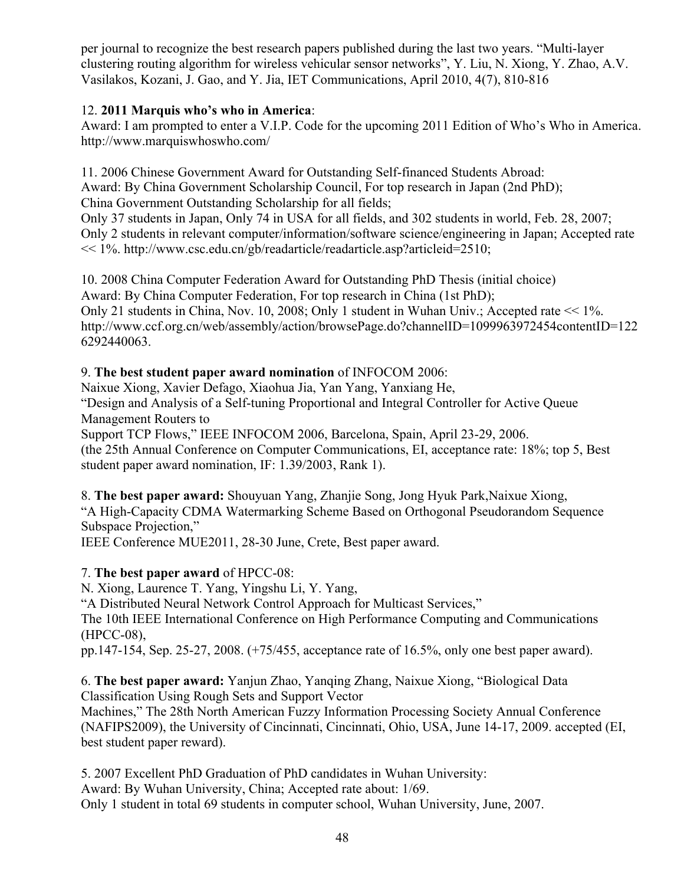per journal to recognize the best research papers published during the last two years. "Multi-layer clustering routing algorithm for wireless vehicular sensor networks", Y. Liu, N. Xiong, Y. Zhao, A.V. Vasilakos, Kozani, J. Gao, and Y. Jia, IET Communications, April 2010, 4(7), 810-816

### 12. **2011 Marquis who's who in America**:

Award: I am prompted to enter a V.I.P. Code for the upcoming 2011 Edition of Who's Who in America. http://www.marquiswhoswho.com/

11. 2006 Chinese Government Award for Outstanding Self-financed Students Abroad: Award: By China Government Scholarship Council, For top research in Japan (2nd PhD); China Government Outstanding Scholarship for all fields;

Only 37 students in Japan, Only 74 in USA for all fields, and 302 students in world, Feb. 28, 2007; Only 2 students in relevant computer/information/software science/engineering in Japan; Accepted rate << 1%. http://www.csc.edu.cn/gb/readarticle/readarticle.asp?articleid=2510;

10. 2008 China Computer Federation Award for Outstanding PhD Thesis (initial choice) Award: By China Computer Federation, For top research in China (1st PhD); Only 21 students in China, Nov. 10, 2008; Only 1 student in Wuhan Univ.; Accepted rate << 1%. http://www.ccf.org.cn/web/assembly/action/browsePage.do?channelID=1099963972454contentID=122 6292440063.

### 9. **The best student paper award nomination** of INFOCOM 2006:

Naixue Xiong, Xavier Defago, Xiaohua Jia, Yan Yang, Yanxiang He, "Design and Analysis of a Self-tuning Proportional and Integral Controller for Active Queue Management Routers to

Support TCP Flows," IEEE INFOCOM 2006, Barcelona, Spain, April 23-29, 2006. (the 25th Annual Conference on Computer Communications, EI, acceptance rate: 18%; top 5, Best student paper award nomination, IF: 1.39/2003, Rank 1).

8. **The best paper award:** Shouyuan Yang, Zhanjie Song, Jong Hyuk Park,Naixue Xiong, "A High-Capacity CDMA Watermarking Scheme Based on Orthogonal Pseudorandom Sequence Subspace Projection,"

IEEE Conference MUE2011, 28-30 June, Crete, Best paper award.

# 7. **The best paper award** of HPCC-08:

N. Xiong, Laurence T. Yang, Yingshu Li, Y. Yang,

"A Distributed Neural Network Control Approach for Multicast Services,"

The 10th IEEE International Conference on High Performance Computing and Communications (HPCC-08),

pp.147-154, Sep. 25-27, 2008. (+75/455, acceptance rate of 16.5%, only one best paper award).

6. **The best paper award:** Yanjun Zhao, Yanqing Zhang, Naixue Xiong, "Biological Data Classification Using Rough Sets and Support Vector

Machines," The 28th North American Fuzzy Information Processing Society Annual Conference (NAFIPS2009), the University of Cincinnati, Cincinnati, Ohio, USA, June 14-17, 2009. accepted (EI, best student paper reward).

5. 2007 Excellent PhD Graduation of PhD candidates in Wuhan University: Award: By Wuhan University, China; Accepted rate about: 1/69. Only 1 student in total 69 students in computer school, Wuhan University, June, 2007.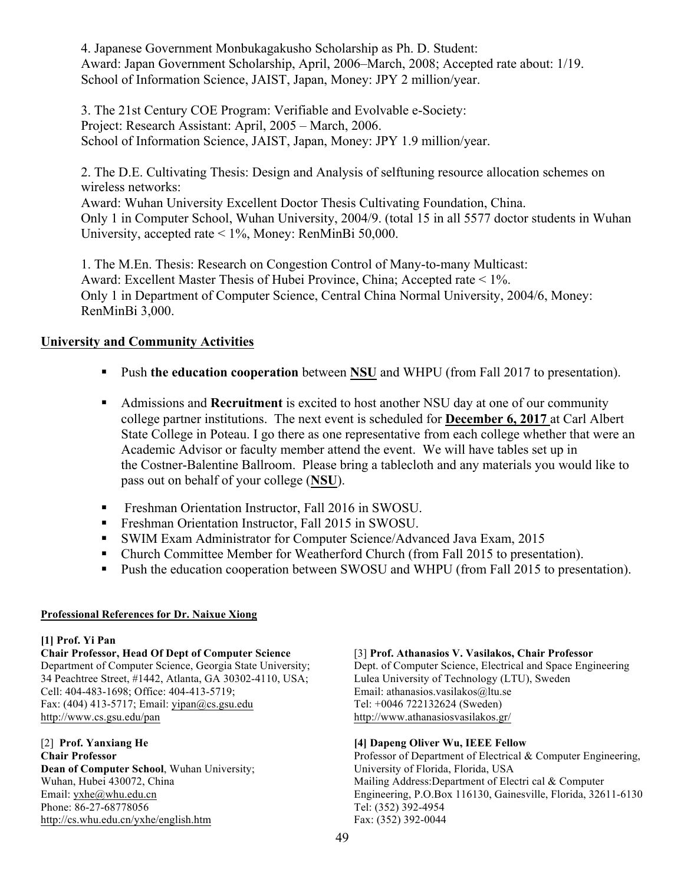4. Japanese Government Monbukagakusho Scholarship as Ph. D. Student: Award: Japan Government Scholarship, April, 2006–March, 2008; Accepted rate about: 1/19. School of Information Science, JAIST, Japan, Money: JPY 2 million/year.

3. The 21st Century COE Program: Verifiable and Evolvable e-Society: Project: Research Assistant: April, 2005 – March, 2006. School of Information Science, JAIST, Japan, Money: JPY 1.9 million/year.

2. The D.E. Cultivating Thesis: Design and Analysis of selftuning resource allocation schemes on wireless networks:

Award: Wuhan University Excellent Doctor Thesis Cultivating Foundation, China. Only 1 in Computer School, Wuhan University, 2004/9. (total 15 in all 5577 doctor students in Wuhan University, accepted rate < 1%, Money: RenMinBi 50,000.

1. The M.En. Thesis: Research on Congestion Control of Many-to-many Multicast: Award: Excellent Master Thesis of Hubei Province, China; Accepted rate < 1%. Only 1 in Department of Computer Science, Central China Normal University, 2004/6, Money: RenMinBi 3,000.

### **University and Community Activities**

- Push **the education cooperation** between **NSU** and WHPU (from Fall 2017 to presentation).
- § Admissions and **Recruitment** is excited to host another NSU day at one of our community college partner institutions. The next event is scheduled for **December 6, 2017** at Carl Albert State College in Poteau. I go there as one representative from each college whether that were an Academic Advisor or faculty member attend the event. We will have tables set up in the Costner-Balentine Ballroom. Please bring a tablecloth and any materials you would like to pass out on behalf of your college (**NSU**).
- Freshman Orientation Instructor, Fall 2016 in SWOSU.
- Freshman Orientation Instructor, Fall 2015 in SWOSU.
- § SWIM Exam Administrator for Computer Science/Advanced Java Exam, 2015
- Church Committee Member for Weatherford Church (from Fall 2015 to presentation).
- Push the education cooperation between SWOSU and WHPU (from Fall 2015 to presentation).

#### **Professional References for Dr. Naixue Xiong**

#### **[1] Prof. Yi Pan**

**Chair Professor, Head Of Dept of Computer Science** Department of Computer Science, Georgia State University; 34 Peachtree Street, #1442, Atlanta, GA 30302-4110, USA; Cell: 404-483-1698; Office: 404-413-5719; Fax: (404) 413-5717; Email: yipan@cs.gsu.edu http://www.cs.gsu.edu/pan

[2] **Prof. Yanxiang He Chair Professor Dean of Computer School**, Wuhan University; Wuhan, Hubei 430072, China Email: yxhe@whu.edu.cn Phone: 86-27-68778056 http://cs.whu.edu.cn/yxhe/english.htm

#### [3] **Prof. Athanasios V. Vasilakos, Chair Professor**

Dept. of Computer Science, Electrical and Space Engineering Lulea University of Technology (LTU), Sweden Email: athanasios.vasilakos@ltu.se Tel: +0046 722132624 (Sweden) http://www.athanasiosvasilakos.gr/

#### **[4] Dapeng Oliver Wu, IEEE Fellow**

Professor of Department of Electrical & Computer Engineering, University of Florida, Florida, USA Mailing Address:Department of Electri cal & Computer Engineering, P.O.Box 116130, Gainesville, Florida, 32611-6130 Tel: (352) 392-4954 Fax: (352) 392-0044